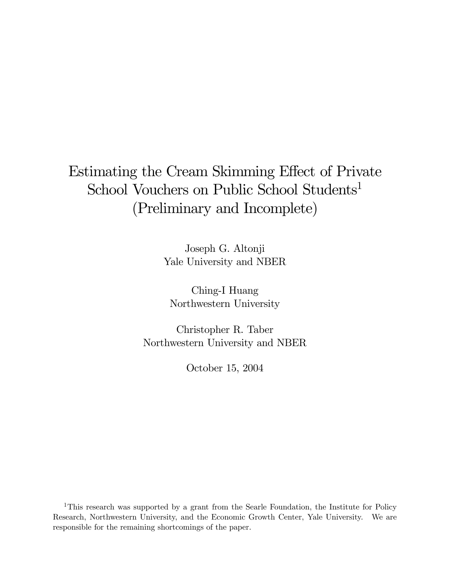# Estimating the Cream Skimming Effect of Private School Vouchers on Public School Students<sup>1</sup> (Preliminary and Incomplete)

Joseph G. Altonji Yale University and NBER

Ching-I Huang Northwestern University

Christopher R. Taber Northwestern University and NBER

October 15, 2004

<sup>1</sup>This research was supported by a grant from the Searle Foundation, the Institute for Policy Research, Northwestern University, and the Economic Growth Center, Yale University. We are responsible for the remaining shortcomings of the paper.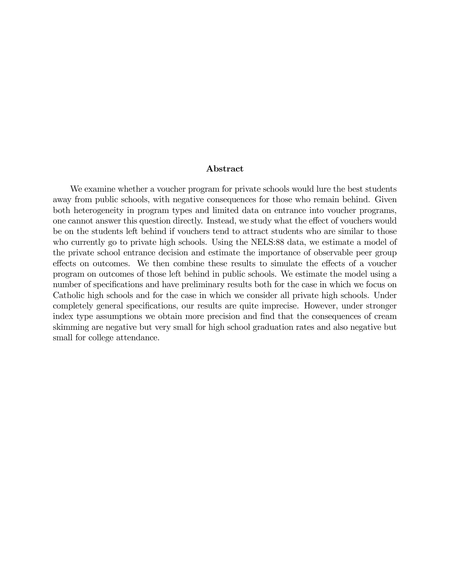#### Abstract

We examine whether a voucher program for private schools would lure the best students away from public schools, with negative consequences for those who remain behind. Given both heterogeneity in program types and limited data on entrance into voucher programs, one cannot answer this question directly. Instead, we study what the effect of vouchers would be on the students left behind if vouchers tend to attract students who are similar to those who currently go to private high schools. Using the NELS:88 data, we estimate a model of the private school entrance decision and estimate the importance of observable peer group effects on outcomes. We then combine these results to simulate the effects of a voucher program on outcomes of those left behind in public schools. We estimate the model using a number of specifications and have preliminary results both for the case in which we focus on Catholic high schools and for the case in which we consider all private high schools. Under completely general specifications, our results are quite imprecise. However, under stronger index type assumptions we obtain more precision and find that the consequences of cream skimming are negative but very small for high school graduation rates and also negative but small for college attendance.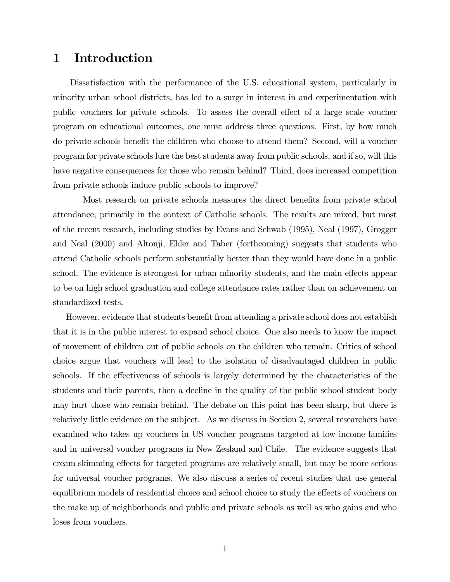### 1 Introduction

Dissatisfaction with the performance of the U.S. educational system, particularly in minority urban school districts, has led to a surge in interest in and experimentation with public vouchers for private schools. To assess the overall effect of a large scale voucher program on educational outcomes, one must address three questions. First, by how much do private schools benefit the children who choose to attend them? Second, will a voucher program for private schools lure the best students away from public schools, and if so, will this have negative consequences for those who remain behind? Third, does increased competition from private schools induce public schools to improve?

Most research on private schools measures the direct benefits from private school attendance, primarily in the context of Catholic schools. The results are mixed, but most of the recent research, including studies by Evans and Schwab (1995), Neal (1997), Grogger and Neal (2000) and Altonji, Elder and Taber (forthcoming) suggests that students who attend Catholic schools perform substantially better than they would have done in a public school. The evidence is strongest for urban minority students, and the main effects appear to be on high school graduation and college attendance rates rather than on achievement on standardized tests.

However, evidence that students benefit from attending a private school does not establish that it is in the public interest to expand school choice. One also needs to know the impact of movement of children out of public schools on the children who remain. Critics of school choice argue that vouchers will lead to the isolation of disadvantaged children in public schools. If the effectiveness of schools is largely determined by the characteristics of the students and their parents, then a decline in the quality of the public school student body may hurt those who remain behind. The debate on this point has been sharp, but there is relatively little evidence on the subject. As we discuss in Section 2, several researchers have examined who takes up vouchers in US voucher programs targeted at low income families and in universal voucher programs in New Zealand and Chile. The evidence suggests that cream skimming effects for targeted programs are relatively small, but may be more serious for universal voucher programs. We also discuss a series of recent studies that use general equilibrium models of residential choice and school choice to study the effects of vouchers on the make up of neighborhoods and public and private schools as well as who gains and who loses from vouchers.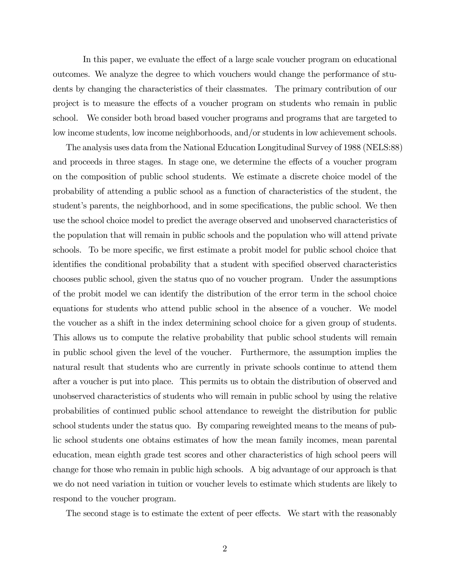In this paper, we evaluate the effect of a large scale voucher program on educational outcomes. We analyze the degree to which vouchers would change the performance of students by changing the characteristics of their classmates. The primary contribution of our project is to measure the effects of a voucher program on students who remain in public school. We consider both broad based voucher programs and programs that are targeted to low income students, low income neighborhoods, and/or students in low achievement schools.

The analysis uses data from the National Education Longitudinal Survey of 1988 (NELS:88) and proceeds in three stages. In stage one, we determine the effects of a voucher program on the composition of public school students. We estimate a discrete choice model of the probability of attending a public school as a function of characteristics of the student, the student's parents, the neighborhood, and in some specifications, the public school. We then use the school choice model to predict the average observed and unobserved characteristics of the population that will remain in public schools and the population who will attend private schools. To be more specific, we first estimate a probit model for public school choice that identifies the conditional probability that a student with specified observed characteristics chooses public school, given the status quo of no voucher program. Under the assumptions of the probit model we can identify the distribution of the error term in the school choice equations for students who attend public school in the absence of a voucher. We model the voucher as a shift in the index determining school choice for a given group of students. This allows us to compute the relative probability that public school students will remain in public school given the level of the voucher. Furthermore, the assumption implies the natural result that students who are currently in private schools continue to attend them after a voucher is put into place. This permits us to obtain the distribution of observed and unobserved characteristics of students who will remain in public school by using the relative probabilities of continued public school attendance to reweight the distribution for public school students under the status quo. By comparing reweighted means to the means of public school students one obtains estimates of how the mean family incomes, mean parental education, mean eighth grade test scores and other characteristics of high school peers will change for those who remain in public high schools. A big advantage of our approach is that we do not need variation in tuition or voucher levels to estimate which students are likely to respond to the voucher program.

The second stage is to estimate the extent of peer effects. We start with the reasonably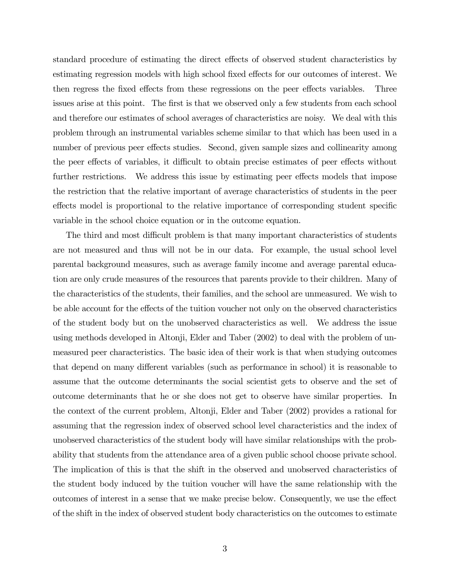standard procedure of estimating the direct effects of observed student characteristics by estimating regression models with high school fixed effects for our outcomes of interest. We then regress the fixed effects from these regressions on the peer effects variables. Three issues arise at this point. The first is that we observed only a few students from each school and therefore our estimates of school averages of characteristics are noisy. We deal with this problem through an instrumental variables scheme similar to that which has been used in a number of previous peer effects studies. Second, given sample sizes and collinearity among the peer effects of variables, it difficult to obtain precise estimates of peer effects without further restrictions. We address this issue by estimating peer effects models that impose the restriction that the relative important of average characteristics of students in the peer effects model is proportional to the relative importance of corresponding student specific variable in the school choice equation or in the outcome equation.

The third and most difficult problem is that many important characteristics of students are not measured and thus will not be in our data. For example, the usual school level parental background measures, such as average family income and average parental education are only crude measures of the resources that parents provide to their children. Many of the characteristics of the students, their families, and the school are unmeasured. We wish to be able account for the effects of the tuition voucher not only on the observed characteristics of the student body but on the unobserved characteristics as well. We address the issue using methods developed in Altonji, Elder and Taber (2002) to deal with the problem of unmeasured peer characteristics. The basic idea of their work is that when studying outcomes that depend on many different variables (such as performance in school) it is reasonable to assume that the outcome determinants the social scientist gets to observe and the set of outcome determinants that he or she does not get to observe have similar properties. In the context of the current problem, Altonji, Elder and Taber (2002) provides a rational for assuming that the regression index of observed school level characteristics and the index of unobserved characteristics of the student body will have similar relationships with the probability that students from the attendance area of a given public school choose private school. The implication of this is that the shift in the observed and unobserved characteristics of the student body induced by the tuition voucher will have the same relationship with the outcomes of interest in a sense that we make precise below. Consequently, we use the effect of the shift in the index of observed student body characteristics on the outcomes to estimate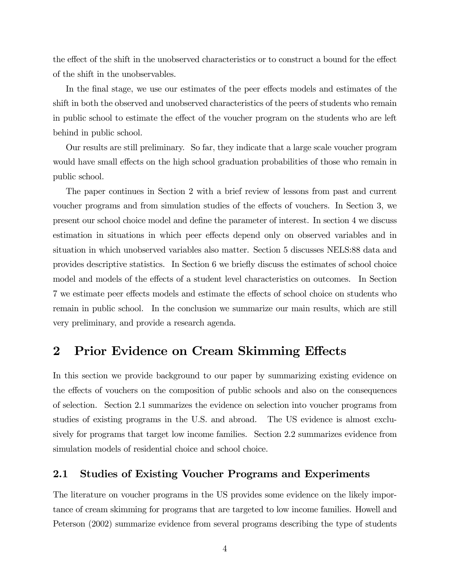the effect of the shift in the unobserved characteristics or to construct a bound for the effect of the shift in the unobservables.

In the final stage, we use our estimates of the peer effects models and estimates of the shift in both the observed and unobserved characteristics of the peers of students who remain in public school to estimate the effect of the voucher program on the students who are left behind in public school.

Our results are still preliminary. So far, they indicate that a large scale voucher program would have small effects on the high school graduation probabilities of those who remain in public school.

The paper continues in Section 2 with a brief review of lessons from past and current voucher programs and from simulation studies of the effects of vouchers. In Section 3, we present our school choice model and define the parameter of interest. In section 4 we discuss estimation in situations in which peer effects depend only on observed variables and in situation in which unobserved variables also matter. Section 5 discusses NELS:88 data and provides descriptive statistics. In Section 6 we briefly discuss the estimates of school choice model and models of the effects of a student level characteristics on outcomes. In Section 7 we estimate peer effects models and estimate the effects of school choice on students who remain in public school. In the conclusion we summarize our main results, which are still very preliminary, and provide a research agenda.

### 2 Prior Evidence on Cream Skimming Effects

In this section we provide background to our paper by summarizing existing evidence on the effects of vouchers on the composition of public schools and also on the consequences of selection. Section 2.1 summarizes the evidence on selection into voucher programs from studies of existing programs in the U.S. and abroad. The US evidence is almost exclusively for programs that target low income families. Section 2.2 summarizes evidence from simulation models of residential choice and school choice.

### 2.1 Studies of Existing Voucher Programs and Experiments

The literature on voucher programs in the US provides some evidence on the likely importance of cream skimming for programs that are targeted to low income families. Howell and Peterson (2002) summarize evidence from several programs describing the type of students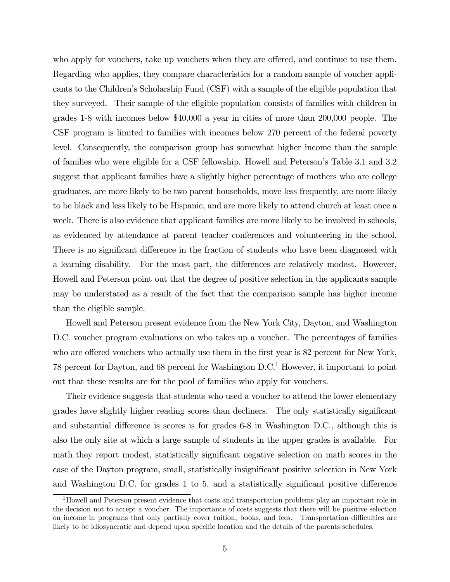who apply for vouchers, take up vouchers when they are offered, and continue to use them. Regarding who applies, they compare characteristics for a random sample of voucher applicants to the Children's Scholarship Fund (CSF) with a sample of the eligible population that they surveyed. Their sample of the eligible population consists of families with children in grades 1-8 with incomes below \$40,000 a year in cities of more than 200,000 people. The CSF program is limited to families with incomes below 270 percent of the federal poverty level. Consequently, the comparison group has somewhat higher income than the sample of families who were eligible for a CSF fellowship. Howell and Peterson's Table 3.1 and 3.2 suggest that applicant families have a slightly higher percentage of mothers who are college graduates, are more likely to be two parent households, move less frequently, are more likely to be black and less likely to be Hispanic, and are more likely to attend church at least once a week. There is also evidence that applicant families are more likely to be involved in schools, as evidenced by attendance at parent teacher conferences and volunteering in the school. There is no significant difference in the fraction of students who have been diagnosed with a learning disability. For the most part, the differences are relatively modest. However, Howell and Peterson point out that the degree of positive selection in the applicants sample may be understated as a result of the fact that the comparison sample has higher income than the eligible sample.

Howell and Peterson present evidence from the New York City, Dayton, and Washington D.C. voucher program evaluations on who takes up a voucher. The percentages of families who are offered vouchers who actually use them in the first year is 82 percent for New York, 78 percent for Dayton, and 68 percent for Washington  $D.C.$ <sup>1</sup> However, it important to point out that these results are for the pool of families who apply for vouchers.

Their evidence suggests that students who used a voucher to attend the lower elementary grades have slightly higher reading scores than decliners. The only statistically significant and substantial difference is scores is for grades 6-8 in Washington D.C., although this is also the only site at which a large sample of students in the upper grades is available. For math they report modest, statistically significant negative selection on math scores in the case of the Dayton program, small, statistically insignificant positive selection in New York and Washington D.C. for grades 1 to 5, and a statistically significant positive difference

<sup>1</sup>Howell and Peterson present evidence that costs and transportation problems play an important role in the decision not to accept a voucher. The importance of costs suggests that there will be positive selection on income in programs that only partially cover tuition, books, and fees. Transportation difficulties are likely to be idiosyncratic and depend upon specific location and the details of the parents schedules.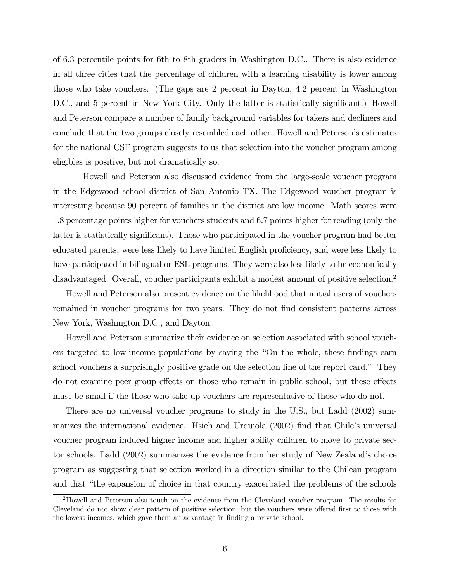of 6.3 percentile points for 6th to 8th graders in Washington D.C.. There is also evidence in all three cities that the percentage of children with a learning disability is lower among those who take vouchers. (The gaps are 2 percent in Dayton, 4.2 percent in Washington D.C., and 5 percent in New York City. Only the latter is statistically significant.) Howell and Peterson compare a number of family background variables for takers and decliners and conclude that the two groups closely resembled each other. Howell and Peterson's estimates for the national CSF program suggests to us that selection into the voucher program among eligibles is positive, but not dramatically so.

Howell and Peterson also discussed evidence from the large-scale voucher program in the Edgewood school district of San Antonio TX. The Edgewood voucher program is interesting because 90 percent of families in the district are low income. Math scores were 1.8 percentage points higher for vouchers students and 6.7 points higher for reading (only the latter is statistically significant). Those who participated in the voucher program had better educated parents, were less likely to have limited English proficiency, and were less likely to have participated in bilingual or ESL programs. They were also less likely to be economically disadvantaged. Overall, voucher participants exhibit a modest amount of positive selection.2

Howell and Peterson also present evidence on the likelihood that initial users of vouchers remained in voucher programs for two years. They do not find consistent patterns across New York, Washington D.C., and Dayton.

Howell and Peterson summarize their evidence on selection associated with school vouchers targeted to low-income populations by saying the "On the whole, these findings earn school vouchers a surprisingly positive grade on the selection line of the report card." They do not examine peer group effects on those who remain in public school, but these effects must be small if the those who take up vouchers are representative of those who do not.

There are no universal voucher programs to study in the U.S., but Ladd (2002) summarizes the international evidence. Hsieh and Urquiola (2002) find that Chile's universal voucher program induced higher income and higher ability children to move to private sector schools. Ladd (2002) summarizes the evidence from her study of New Zealand's choice program as suggesting that selection worked in a direction similar to the Chilean program and that "the expansion of choice in that country exacerbated the problems of the schools

<sup>2</sup>Howell and Peterson also touch on the evidence from the Cleveland voucher program. The results for Cleveland do not show clear pattern of positive selection, but the vouchers were offered first to those with the lowest incomes, which gave them an advantage in finding a private school.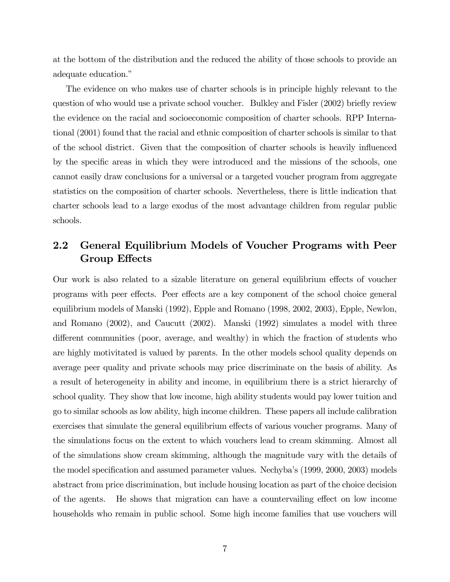at the bottom of the distribution and the reduced the ability of those schools to provide an adequate education."

The evidence on who makes use of charter schools is in principle highly relevant to the question of who would use a private school voucher. Bulkley and Fisler (2002) briefly review the evidence on the racial and socioeconomic composition of charter schools. RPP International (2001) found that the racial and ethnic composition of charter schools is similar to that of the school district. Given that the composition of charter schools is heavily influenced by the specific areas in which they were introduced and the missions of the schools, one cannot easily draw conclusions for a universal or a targeted voucher program from aggregate statistics on the composition of charter schools. Nevertheless, there is little indication that charter schools lead to a large exodus of the most advantage children from regular public schools.

### 2.2 General Equilibrium Models of Voucher Programs with Peer Group Effects

Our work is also related to a sizable literature on general equilibrium effects of voucher programs with peer effects. Peer effects are a key component of the school choice general equilibrium models of Manski (1992), Epple and Romano (1998, 2002, 2003), Epple, Newlon, and Romano (2002), and Caucutt (2002). Manski (1992) simulates a model with three different communities (poor, average, and wealthy) in which the fraction of students who are highly motivitated is valued by parents. In the other models school quality depends on average peer quality and private schools may price discriminate on the basis of ability. As a result of heterogeneity in ability and income, in equilibrium there is a strict hierarchy of school quality. They show that low income, high ability students would pay lower tuition and go to similar schools as low ability, high income children. These papers all include calibration exercises that simulate the general equilibrium effects of various voucher programs. Many of the simulations focus on the extent to which vouchers lead to cream skimming. Almost all of the simulations show cream skimming, although the magnitude vary with the details of the model specification and assumed parameter values. Nechyba's (1999, 2000, 2003) models abstract from price discrimination, but include housing location as part of the choice decision of the agents. He shows that migration can have a countervailing effect on low income households who remain in public school. Some high income families that use vouchers will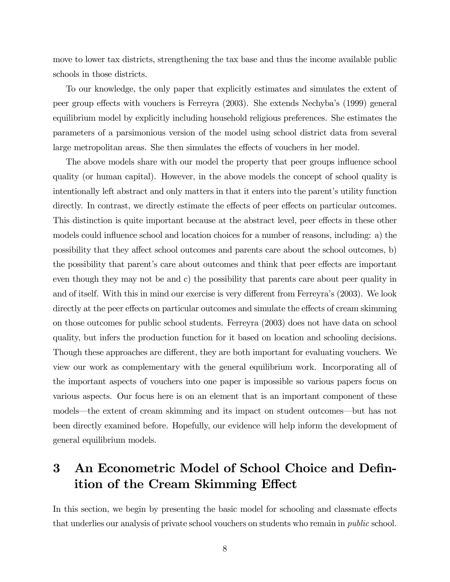move to lower tax districts, strengthening the tax base and thus the income available public schools in those districts.

To our knowledge, the only paper that explicitly estimates and simulates the extent of peer group effects with vouchers is Ferreyra (2003). She extends Nechyba's (1999) general equilibrium model by explicitly including household religious preferences. She estimates the parameters of a parsimonious version of the model using school district data from several large metropolitan areas. She then simulates the effects of vouchers in her model.

The above models share with our model the property that peer groups influence school quality (or human capital). However, in the above models the concept of school quality is intentionally left abstract and only matters in that it enters into the parent's utility function directly. In contrast, we directly estimate the effects of peer effects on particular outcomes. This distinction is quite important because at the abstract level, peer effects in these other models could influence school and location choices for a number of reasons, including: a) the possibility that they affect school outcomes and parents care about the school outcomes, b) the possibility that parent's care about outcomes and think that peer effects are important even though they may not be and c) the possibility that parents care about peer quality in and of itself. With this in mind our exercise is very different from Ferreyra's (2003). We look directly at the peer effects on particular outcomes and simulate the effects of cream skimming on those outcomes for public school students. Ferreyra (2003) does not have data on school quality, but infers the production function for it based on location and schooling decisions. Though these approaches are different, they are both important for evaluating vouchers. We view our work as complementary with the general equilibrium work. Incorporating all of the important aspects of vouchers into one paper is impossible so various papers focus on various aspects. Our focus here is on an element that is an important component of these models–the extent of cream skimming and its impact on student outcomes–but has not been directly examined before. Hopefully, our evidence will help inform the development of general equilibrium models.

## 3 An Econometric Model of School Choice and Definition of the Cream Skimming Effect

In this section, we begin by presenting the basic model for schooling and classmate effects that underlies our analysis of private school vouchers on students who remain in *public* school.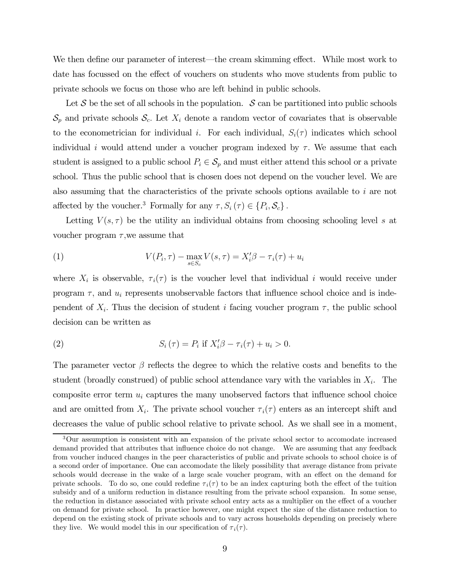We then define our parameter of interest–the cream skimming effect. While most work to date has focussed on the effect of vouchers on students who move students from public to private schools we focus on those who are left behind in public schools.

Let S be the set of all schools in the population. S can be partitioned into public schools  $\mathcal{S}_p$  and private schools  $\mathcal{S}_c$ . Let  $X_i$  denote a random vector of covariates that is observable to the econometrician for individual i. For each individual,  $S_i(\tau)$  indicates which school individual i would attend under a voucher program indexed by  $\tau$ . We assume that each student is assigned to a public school  $P_i \in S_p$  and must either attend this school or a private school. Thus the public school that is chosen does not depend on the voucher level. We are also assuming that the characteristics of the private schools options available to i are not affected by the voucher.<sup>3</sup> Formally for any  $\tau$ ,  $S_i(\tau) \in \{P_i, \mathcal{S}_c\}$ .

Letting  $V(s, \tau)$  be the utility an individual obtains from choosing schooling level s at voucher program  $\tau$ , we assume that

(1) 
$$
V(P_i, \tau) - \max_{s \in S_c} V(s, \tau) = X_i' \beta - \tau_i(\tau) + u_i
$$

where  $X_i$  is observable,  $\tau_i(\tau)$  is the voucher level that individual i would receive under program  $\tau$ , and  $u_i$  represents unobservable factors that influence school choice and is independent of  $X_i$ . Thus the decision of student i facing voucher program  $\tau$ , the public school decision can be written as

(2) 
$$
S_i(\tau) = P_i \text{ if } X_i' \beta - \tau_i(\tau) + u_i > 0.
$$

The parameter vector  $\beta$  reflects the degree to which the relative costs and benefits to the student (broadly construed) of public school attendance vary with the variables in  $X_i$ . The composite error term  $u_i$  captures the many unobserved factors that influence school choice and are omitted from  $X_i$ . The private school voucher  $\tau_i(\tau)$  enters as an intercept shift and decreases the value of public school relative to private school. As we shall see in a moment,

<sup>3</sup>Our assumption is consistent with an expansion of the private school sector to accomodate increased demand provided that attributes that influence choice do not change. We are assuming that any feedback from voucher induced changes in the peer characteristics of public and private schools to school choice is of a second order of importance. One can accomodate the likely possibility that average distance from private schools would decrease in the wake of a large scale voucher program, with an effect on the demand for private schools. To do so, one could redefine  $\tau_i(\tau)$  to be an index capturing both the effect of the tuition subsidy and of a uniform reduction in distance resulting from the private school expansion. In some sense, the reduction in distance associated with private school entry acts as a multiplier on the effect of a voucher on demand for private school. In practice however, one might expect the size of the distance reduction to depend on the existing stock of private schools and to vary across households depending on precisely where they live. We would model this in our specification of  $\tau_i(\tau)$ .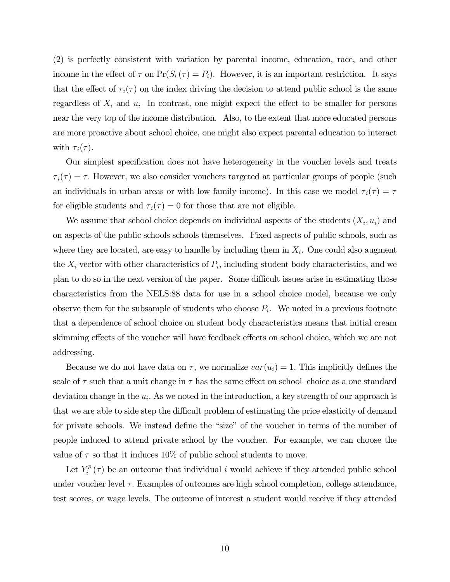(2) is perfectly consistent with variation by parental income, education, race, and other income in the effect of  $\tau$  on  $Pr(S_i(\tau) = P_i)$ . However, it is an important restriction. It says that the effect of  $\tau_i(\tau)$  on the index driving the decision to attend public school is the same regardless of  $X_i$  and  $u_i$  In contrast, one might expect the effect to be smaller for persons near the very top of the income distribution. Also, to the extent that more educated persons are more proactive about school choice, one might also expect parental education to interact with  $\tau_i(\tau)$ .

Our simplest specification does not have heterogeneity in the voucher levels and treats  $\tau_i(\tau) = \tau$ . However, we also consider vouchers targeted at particular groups of people (such an individuals in urban areas or with low family income). In this case we model  $\tau_i(\tau) = \tau$ for eligible students and  $\tau_i(\tau)=0$  for those that are not eligible.

We assume that school choice depends on individual aspects of the students  $(X_i, u_i)$  and on aspects of the public schools schools themselves. Fixed aspects of public schools, such as where they are located, are easy to handle by including them in  $X_i$ . One could also augment the  $X_i$  vector with other characteristics of  $P_i$ , including student body characteristics, and we plan to do so in the next version of the paper. Some difficult issues arise in estimating those characteristics from the NELS:88 data for use in a school choice model, because we only observe them for the subsample of students who choose  $P_i$ . We noted in a previous footnote that a dependence of school choice on student body characteristics means that initial cream skimming effects of the voucher will have feedback effects on school choice, which we are not addressing.

Because we do not have data on  $\tau$ , we normalize  $var(u_i)=1$ . This implicitly defines the scale of  $\tau$  such that a unit change in  $\tau$  has the same effect on school choice as a one standard deviation change in the  $u_i$ . As we noted in the introduction, a key strength of our approach is that we are able to side step the difficult problem of estimating the price elasticity of demand for private schools. We instead define the "size" of the voucher in terms of the number of people induced to attend private school by the voucher. For example, we can choose the value of  $\tau$  so that it induces 10% of public school students to move.

Let  $Y_i^p(\tau)$  be an outcome that individual i would achieve if they attended public school under voucher level  $\tau$ . Examples of outcomes are high school completion, college attendance, test scores, or wage levels. The outcome of interest a student would receive if they attended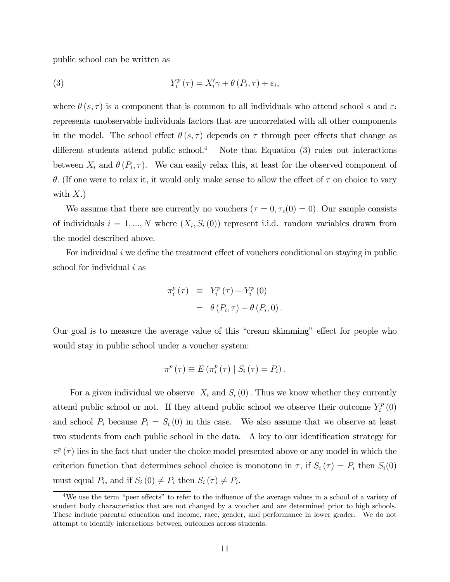public school can be written as

(3) 
$$
Y_i^p(\tau) = X_i'\gamma + \theta(P_i, \tau) + \varepsilon_i,
$$

where  $\theta(s, \tau)$  is a component that is common to all individuals who attend school s and  $\varepsilon_i$ represents unobservable individuals factors that are uncorrelated with all other components in the model. The school effect  $\theta(s, \tau)$  depends on  $\tau$  through peer effects that change as different students attend public school.<sup>4</sup> Note that Equation  $(3)$  rules out interactions between  $X_i$  and  $\theta(P_i, \tau)$ . We can easily relax this, at least for the observed component of θ. (If one were to relax it, it would only make sense to allow the effect of  $τ$  on choice to vary with  $X.$ )

We assume that there are currently no vouchers  $(\tau = 0, \tau_i(0) = 0)$ . Our sample consists of individuals  $i = 1, ..., N$  where  $(X_i, S_i(0))$  represent i.i.d. random variables drawn from the model described above.

For individual  $i$  we define the treatment effect of vouchers conditional on staying in public school for individual  $i$  as

$$
\pi_i^p(\tau) \equiv Y_i^p(\tau) - Y_i^p(0)
$$
  
=  $\theta(P_i, \tau) - \theta(P_i, 0)$ .

Our goal is to measure the average value of this "cream skimming" effect for people who would stay in public school under a voucher system:

$$
\pi^{p}(\tau) \equiv E(\pi_{i}^{p}(\tau) | S_{i}(\tau) = P_{i}).
$$

For a given individual we observe  $X_i$  and  $S_i(0)$ . Thus we know whether they currently attend public school or not. If they attend public school we observe their outcome  $Y_i^p(0)$ and school  $P_i$  because  $P_i = S_i(0)$  in this case. We also assume that we observe at least two students from each public school in the data. A key to our identification strategy for  $\pi^p(\tau)$  lies in the fact that under the choice model presented above or any model in which the criterion function that determines school choice is monotone in  $\tau$ , if  $S_i(\tau) = P_i$  then  $S_i(0)$ must equal  $P_i$ , and if  $S_i(0) \neq P_i$  then  $S_i(\tau) \neq P_i$ .

<sup>&</sup>lt;sup>4</sup>We use the term "peer effects" to refer to the influence of the average values in a school of a variety of student body characteristics that are not changed by a voucher and are determined prior to high schools. These include parental education and income, race, gender, and performance in lower grader. We do not attempt to identify interactions between outcomes across students.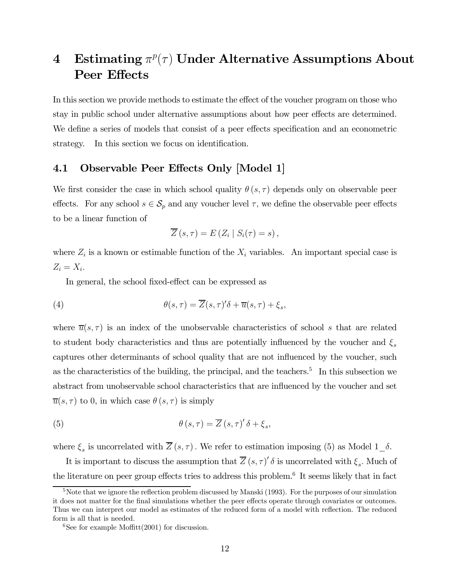## 4 Estimating  $\pi^p(\tau)$  Under Alternative Assumptions About Peer Effects

In this section we provide methods to estimate the effect of the voucher program on those who stay in public school under alternative assumptions about how peer effects are determined. We define a series of models that consist of a peer effects specification and an econometric strategy. In this section we focus on identification.

### 4.1 Observable Peer Effects Only [Model 1]

We first consider the case in which school quality  $\theta(s, \tau)$  depends only on observable peer effects. For any school  $s \in \mathcal{S}_p$  and any voucher level  $\tau$ , we define the observable peer effects to be a linear function of

$$
\overline{Z}(s,\tau) = E(Z_i \mid S_i(\tau) = s),
$$

where  $Z_i$  is a known or estimable function of the  $X_i$  variables. An important special case is  $Z_i = X_i$ .

In general, the school fixed-effect can be expressed as

(4) 
$$
\theta(s,\tau) = \overline{Z}(s,\tau)'\delta + \overline{u}(s,\tau) + \xi_s,
$$

where  $\overline{u}(s, \tau)$  is an index of the unobservable characteristics of school s that are related to student body characteristics and thus are potentially influenced by the voucher and  $\xi_s$ captures other determinants of school quality that are not influenced by the voucher, such as the characteristics of the building, the principal, and the teachers.<sup>5</sup> In this subsection we abstract from unobservable school characteristics that are influenced by the voucher and set  $\overline{u}(s,\tau)$  to 0, in which case  $\theta(s,\tau)$  is simply

(5) 
$$
\theta(s,\tau) = \overline{Z}(s,\tau)'\delta + \xi_s,
$$

where  $\xi_s$  is uncorrelated with  $\overline{Z}(s,\tau)$ . We refer to estimation imposing (5) as Model 1\_ $\delta$ .

It is important to discuss the assumption that  $Z(s, \tau)'$  *δ* is uncorrelated with  $\xi_s$ . Much of the literature on peer group effects tries to address this problem.<sup>6</sup> It seems likely that in fact

<sup>&</sup>lt;sup>5</sup>Note that we ignore the reflection problem discussed by Manski (1993). For the purposes of our simulation it does not matter for the final simulations whether the peer effects operate through covariates or outcomes. Thus we can interpret our model as estimates of the reduced form of a model with reflection. The reduced form is all that is needed.

 $6$ See for example Moffitt $(2001)$  for discussion.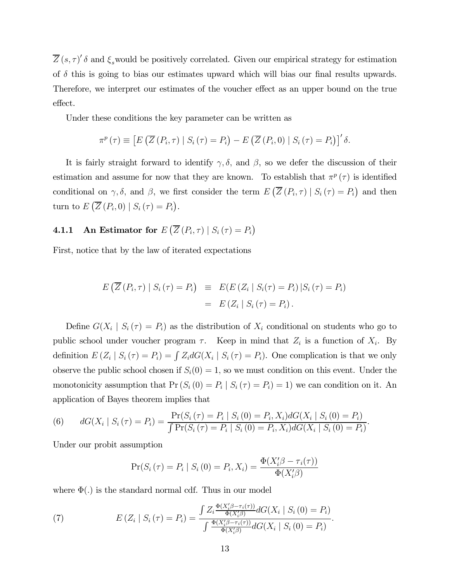$Z(s,\tau)'$  δ and  $\xi_s$  would be positively correlated. Given our empirical strategy for estimation of  $\delta$  this is going to bias our estimates upward which will bias our final results upwards. Therefore, we interpret our estimates of the voucher effect as an upper bound on the true effect.

Under these conditions the key parameter can be written as

$$
\pi^p(\tau) \equiv \left[ E\left(\overline{Z}\left(P_i, \tau\right) \mid S_i\left(\tau\right) = P_i\right) - E\left(\overline{Z}\left(P_i, 0\right) \mid S_i\left(\tau\right) = P_i\right) \right]'
$$
  $\delta.$ 

It is fairly straight forward to identify  $\gamma$ ,  $\delta$ , and  $\beta$ , so we defer the discussion of their estimation and assume for now that they are known. To establish that  $\pi^p(\tau)$  is identified conditional on  $\gamma$ ,  $\delta$ , and  $\beta$ , we first consider the term  $E\left(\overline{Z}\left(P_i, \tau\right) \mid S_i\left(\tau\right) = P_i\right)$  and then turn to  $E\left(\overline{Z}\left(P_i,0\right) \mid S_i\left(\tau\right) = P_i\right)$ .

## **4.1.1** An Estimator for  $E\left(\overline{Z}\left(P_i, \tau\right) \mid S_i\left(\tau\right) = P_i\right)$

First, notice that by the law of iterated expectations

$$
E\left(\overline{Z}\left(P_i,\tau\right) \mid S_i\left(\tau\right) = P_i\right) \equiv E\left(E\left(Z_i \mid S_i(\tau) = P_i\right) \mid S_i\left(\tau\right) = P_i\right)
$$

$$
= E\left(Z_i \mid S_i\left(\tau\right) = P_i\right).
$$

Define  $G(X_i | S_i(\tau) = P_i)$  as the distribution of  $X_i$  conditional on students who go to public school under voucher program  $\tau$ . Keep in mind that  $Z_i$  is a function of  $X_i$ . By definition  $E(Z_i | S_i(\tau) = P_i) = \int Z_i dG(X_i | S_i(\tau) = P_i)$ . One complication is that we only observe the public school chosen if  $S_i(0) = 1$ , so we must condition on this event. Under the monotonicity assumption that  $Pr(S_i(0) = P_i | S_i(\tau) = P_i) = 1)$  we can condition on it. An application of Bayes theorem implies that

(6) 
$$
dG(X_i \mid S_i(\tau) = P_i) = \frac{\Pr(S_i(\tau) = P_i \mid S_i(0) = P_i, X_i) dG(X_i \mid S_i(0) = P_i)}{\int \Pr(S_i(\tau) = P_i \mid S_i(0) = P_i, X_i) dG(X_i \mid S_i(0) = P_i)}.
$$

Under our probit assumption

$$
Pr(S_i(\tau) = P_i | S_i(0) = P_i, X_i) = \frac{\Phi(X_i'\beta - \tau_i(\tau))}{\Phi(X_i'\beta)}
$$

where  $\Phi(.)$  is the standard normal cdf. Thus in our model

(7) 
$$
E(Z_i \mid S_i(\tau) = P_i) = \frac{\int Z_i \frac{\Phi(X'_i \beta - \tau_i(\tau))}{\Phi(X'_i \beta)} dG(X_i \mid S_i(0) = P_i)}{\int \frac{\Phi(X'_i \beta - \tau_i(\tau))}{\Phi(X'_i \beta)} dG(X_i \mid S_i(0) = P_i)}.
$$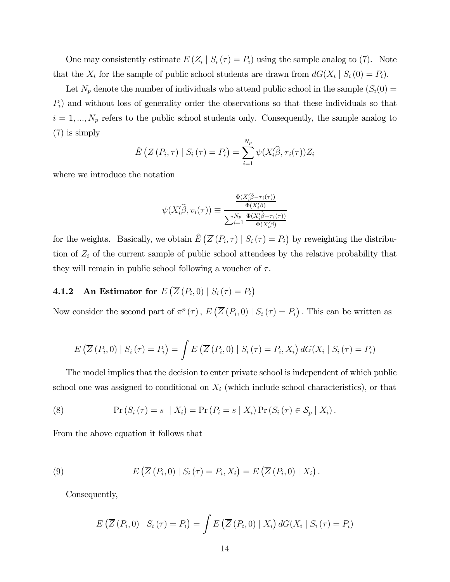One may consistently estimate  $E(Z_i | S_i(\tau) = P_i)$  using the sample analog to (7). Note that the  $X_i$  for the sample of public school students are drawn from  $dG(X_i | S_i(0) = P_i)$ .

Let  $N_p$  denote the number of individuals who attend public school in the sample  $(S_i(0) =$  $P_i$ ) and without loss of generality order the observations so that these individuals so that  $i = 1, ..., N_p$  refers to the public school students only. Consequently, the sample analog to (7) is simply

$$
\hat{E}\left(\overline{Z}\left(P_i,\tau\right) \mid S_i\left(\tau\right) = P_i\right) = \sum_{i=1}^{N_p} \psi(X_i'\widehat{\beta},\tau_i(\tau))Z_i
$$

where we introduce the notation

$$
\psi(X_i'\widehat{\beta}, v_i(\tau)) \equiv \frac{\frac{\Phi(X_i'\widehat{\beta} - \tau_i(\tau))}{\Phi(X_i'\widehat{\beta})}}{\sum_{i=1}^{N_p} \frac{\Phi(X_i'\widehat{\beta} - \tau_i(\tau))}{\Phi(X_i'\widehat{\beta})}}
$$

for the weights. Basically, we obtain  $\hat{E}(\overline{Z}(P_i, \tau) | S_i(\tau) = P_i)$  by reweighting the distribution of  $Z_i$  of the current sample of public school attendees by the relative probability that they will remain in public school following a voucher of  $\tau$ .

## **4.1.2** An Estimator for  $E\left(\overline{Z}\left(P_i,0\right) \mid S_i\left(\tau\right) = P_i\right)$

Now consider the second part of  $\pi^p(\tau)$ ,  $E\left(\overline{Z}(P_i,0) \mid S_i(\tau) = P_i\right)$ . This can be written as

$$
E\left(\overline{Z}\left(P_i,0\right) \mid S_i\left(\tau\right) = P_i\right) = \int E\left(\overline{Z}\left(P_i,0\right) \mid S_i\left(\tau\right) = P_i, X_i\right) dG(X_i \mid S_i\left(\tau\right) = P_i)
$$

The model implies that the decision to enter private school is independent of which public school one was assigned to conditional on  $X_i$  (which include school characteristics), or that

(8) 
$$
\Pr(S_i(\tau) = s \mid X_i) = \Pr(P_i = s \mid X_i) \Pr(S_i(\tau) \in S_p \mid X_i).
$$

From the above equation it follows that

(9) 
$$
E\left(\overline{Z}\left(P_i,0\right) \mid S_i\left(\tau\right) = P_i, X_i\right) = E\left(\overline{Z}\left(P_i,0\right) \mid X_i\right).
$$

Consequently,

$$
E\left(\overline{Z}\left(P_i,0\right) \mid S_i\left(\tau\right) = P_i\right) = \int E\left(\overline{Z}\left(P_i,0\right) \mid X_i\right) dG(X_i \mid S_i\left(\tau\right) = P_i)
$$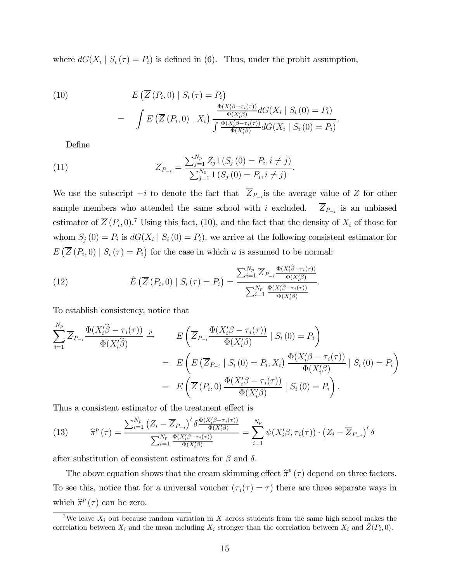where  $dG(X_i | S_i(\tau) = P_i)$  is defined in (6). Thus, under the probit assumption,

(10)  
\n
$$
E\left(\overline{Z}\left(P_i,0\right) \mid S_i\left(\tau\right) = P_i\right)
$$
\n
$$
= \int E\left(\overline{Z}\left(P_i,0\right) \mid X_i\right) \frac{\frac{\Phi(X_i'\beta - \tau_i(\tau))}{\Phi(X_i'\beta)} dG(X_i \mid S_i\left(0\right) = P_i)}{\int \frac{\Phi(X_i'\beta - \tau_i(\tau))}{\Phi(X_i'\beta)} dG(X_i \mid S_i\left(0\right) = P_i)}
$$

Define

(11) 
$$
\overline{Z}_{P_{-i}} = \frac{\sum_{j=1}^{N_p} Z_j \mathbf{1}(S_j(0) = P_i, i \neq j)}{\sum_{j=1}^{N_0} \mathbf{1}(S_j(0) = P_i, i \neq j)}.
$$

We use the subscript  $-i$  to denote the fact that  $\overline{Z}_{P-i}$  is the average value of Z for other sample members who attended the same school with i excluded.  $\overline{Z}_{P_{-i}}$  is an unbiased estimator of  $\overline{Z}(P_i,0)$ .<sup>7</sup> Using this fact, (10), and the fact that the density of  $X_i$  of those for whom  $S_j(0) = P_i$  is  $dG(X_i | S_i(0) = P_i)$ , we arrive at the following consistent estimator for  $E\left(\overline{Z}\left(P_i,0\right) \mid S_i\left(\tau\right) = P_i\right)$  for the case in which u is assumed to be normal:

.

(12) 
$$
\hat{E}\left(\overline{Z}\left(P_i,0\right) \mid S_i\left(\tau\right) = P_i\right) = \frac{\sum_{i=1}^{N_p} \overline{Z}_{P_{-i}} \frac{\Phi(X_i'\widehat{\beta} - \tau_i(\tau))}{\Phi(X_i'\widehat{\beta})}}{\sum_{i=1}^{N_p} \frac{\Phi(X_i'\widehat{\beta} - \tau_i(\tau))}{\Phi(X_i'\widehat{\beta})}}.
$$

To establish consistency, notice that

$$
\sum_{i=1}^{N_p} \overline{Z}_{P_{-i}} \frac{\Phi(X_i'\widehat{\beta} - \tau_i(\tau))}{\Phi(X_i'\widehat{\beta})} \xrightarrow{p} \qquad E\left(\overline{Z}_{P_{-i}} \frac{\Phi(X_i'\beta - \tau_i(\tau))}{\Phi(X_i'\beta)} \mid S_i(0) = P_i\right)
$$

$$
= E\left(E\left(\overline{Z}_{P_{-i}} \mid S_i(0) = P_i, X_i\right) \frac{\Phi(X_i'\beta - \tau_i(\tau))}{\Phi(X_i'\beta)} \mid S_i(0) = P_i\right)
$$

$$
= E\left(\overline{Z}(P_i, 0) \frac{\Phi(X_i'\beta - \tau_i(\tau))}{\Phi(X_i'\beta)} \mid S_i(0) = P_i\right).
$$

Thus a consistent estimator of the treatment effect is

(13) 
$$
\widehat{\pi}^p(\tau) = \frac{\sum_{i=1}^{N_p} (Z_i - \overline{Z}_{P_{-i}})' \delta \frac{\Phi(X_i'\beta - \tau_i(\tau))}{\Phi(X_i'\beta)}}{\sum_{i=1}^{N_p} \frac{\Phi(X_i'\beta - \tau_i(\tau))}{\Phi(X_i'\beta)}} = \sum_{i=1}^{N_p} \psi(X_i'\beta, \tau_i(\tau)) \cdot (Z_i - \overline{Z}_{P_{-i}})' \delta
$$

after substitution of consistent estimators for  $\beta$  and  $\delta$ .

The above equation shows that the cream skimming effect  $\hat{\pi}^p(\tau)$  depend on three factors. To see this, notice that for a universal voucher  $(\tau_i(\tau) = \tau)$  there are three separate ways in which  $\hat{\pi}^p(\tau)$  can be zero.

<sup>&</sup>lt;sup>7</sup>We leave  $X_i$  out because random variation in X across students from the same high school makes the correlation between  $X_i$  and the mean including  $X_i$  stronger than the correlation between  $X_i$  and  $\bar{Z}(P_i, 0)$ .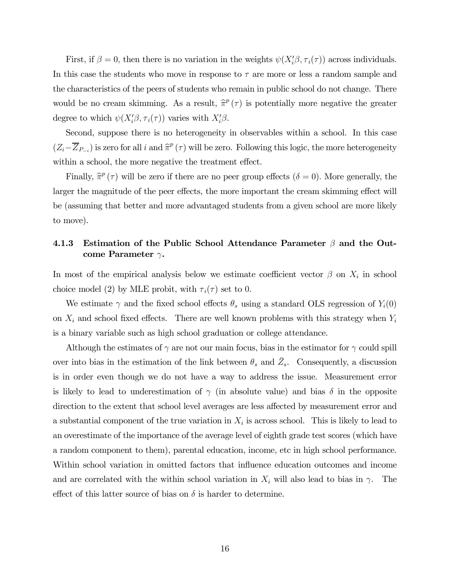First, if  $\beta = 0$ , then there is no variation in the weights  $\psi(X_i'\beta, \tau_i(\tau))$  across individuals. In this case the students who move in response to  $\tau$  are more or less a random sample and the characteristics of the peers of students who remain in public school do not change. There would be no cream skimming. As a result,  $\hat{\pi}^p(\tau)$  is potentially more negative the greater degree to which  $\psi(X_i'\beta, \tau_i(\tau))$  varies with  $X_i'\beta$ .

Second, suppose there is no heterogeneity in observables within a school. In this case  $(Z_i-\overline{Z}_{P-i})$  is zero for all i and  $\hat{\pi}^p(\tau)$  will be zero. Following this logic, the more heterogeneity within a school, the more negative the treatment effect.

Finally,  $\hat{\pi}^p(\tau)$  will be zero if there are no peer group effects ( $\delta = 0$ ). More generally, the larger the magnitude of the peer effects, the more important the cream skimming effect will be (assuming that better and more advantaged students from a given school are more likely to move).

### 4.1.3 Estimation of the Public School Attendance Parameter  $\beta$  and the Outcome Parameter  $\gamma$ .

In most of the empirical analysis below we estimate coefficient vector  $\beta$  on  $X_i$  in school choice model (2) by MLE probit, with  $\tau_i(\tau)$  set to 0.

We estimate  $\gamma$  and the fixed school effects  $\theta_s$  using a standard OLS regression of  $Y_i(0)$ on  $X_i$  and school fixed effects. There are well known problems with this strategy when  $Y_i$ is a binary variable such as high school graduation or college attendance.

Although the estimates of  $\gamma$  are not our main focus, bias in the estimator for  $\gamma$  could spill over into bias in the estimation of the link between  $\theta_s$  and  $\overline{Z}_s$ . Consequently, a discussion is in order even though we do not have a way to address the issue. Measurement error is likely to lead to underestimation of  $\gamma$  (in absolute value) and bias  $\delta$  in the opposite direction to the extent that school level averages are less affected by measurement error and a substantial component of the true variation in  $X_i$  is across school. This is likely to lead to an overestimate of the importance of the average level of eighth grade test scores (which have a random component to them), parental education, income, etc in high school performance. Within school variation in omitted factors that influence education outcomes and income and are correlated with the within school variation in  $X_i$  will also lead to bias in  $\gamma$ . The effect of this latter source of bias on  $\delta$  is harder to determine.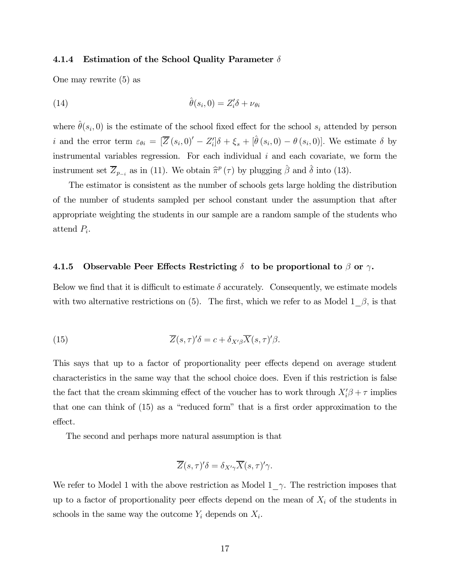#### 4.1.4 Estimation of the School Quality Parameter  $\delta$

One may rewrite (5) as

(14) 
$$
\hat{\theta}(s_i, 0) = Z_i' \delta + \nu_{\theta i}
$$

where  $\hat{\theta}(s_i, 0)$  is the estimate of the school fixed effect for the school  $s_i$  attended by person i and the error term  $\varepsilon_{\theta i} = [\overline{Z}(s_i, 0)' - Z'_i] \delta + \xi_s + [\hat{\theta}(s_i, 0) - \theta(s_i, 0)].$  We estimate  $\delta$  by instrumental variables regression. For each individual  $i$  and each covariate, we form the instrument set  $\overline{Z}_{p_{-i}}$  as in (11). We obtain  $\hat{\pi}^p(\tau)$  by plugging  $\hat{\beta}$  and  $\hat{\delta}$  into (13).

The estimator is consistent as the number of schools gets large holding the distribution of the number of students sampled per school constant under the assumption that after appropriate weighting the students in our sample are a random sample of the students who attend  $P_i$ .

#### 4.1.5 Observable Peer Effects Restricting  $\delta$  to be proportional to  $\beta$  or  $\gamma$ .

Below we find that it is difficult to estimate  $\delta$  accurately. Consequently, we estimate models with two alternative restrictions on (5). The first, which we refer to as Model 1\_ $\beta$ , is that

(15) 
$$
\overline{Z}(s,\tau)'\delta = c + \delta_{X'\beta}\overline{X}(s,\tau)'\beta.
$$

This says that up to a factor of proportionality peer effects depend on average student characteristics in the same way that the school choice does. Even if this restriction is false the fact that the cream skimming effect of the voucher has to work through  $X_i' \beta + \tau$  implies that one can think of (15) as a "reduced form" that is a first order approximation to the effect.

The second and perhaps more natural assumption is that

$$
\overline{Z}(s,\tau)'\delta = \delta_{X'\gamma}\overline{X}(s,\tau)'\gamma.
$$

We refer to Model 1 with the above restriction as Model 1  $\gamma$ . The restriction imposes that up to a factor of proportionality peer effects depend on the mean of  $X_i$  of the students in schools in the same way the outcome  $Y_i$  depends on  $X_i$ .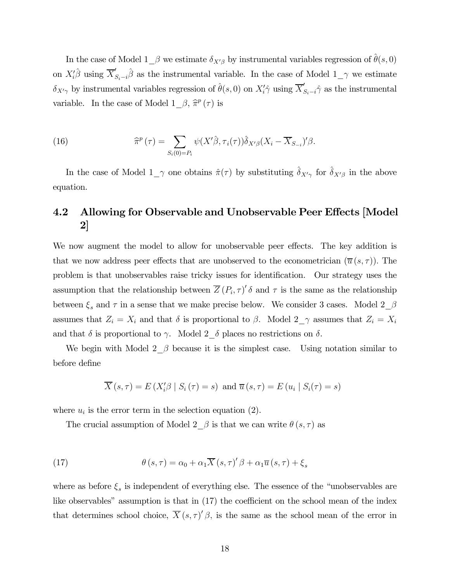In the case of Model 1\_ $\beta$  we estimate  $\delta_{X'\beta}$  by instrumental variables regression of  $\theta(s, 0)$ on  $X_i'\hat{\beta}$  using  $\overline{X}'_{S_i-i}\hat{\beta}$  as the instrumental variable. In the case of Model  $1\_\gamma$  we estimate  $\delta_{X'\gamma}$  by instrumental variables regression of  $\hat{\theta}(s,0)$  on  $X_i'\hat{\gamma}$  using  $\overline{X}'_{S_i-i}\hat{\gamma}$  as the instrumental variable. In the case of Model  $1_{\alpha} \beta$ ,  $\hat{\pi}^p(\tau)$  is

(16) 
$$
\widehat{\pi}^p(\tau) = \sum_{S_i(0)=P_i} \psi(X'\widehat{\beta}, \tau_i(\tau)) \widehat{\delta}_{X'\beta}(X_i - \overline{X}_{S_{-i}})' \beta.
$$

In the case of Model  $1\_\gamma$  one obtains  $\hat{\pi}(\tau)$  by substituting  $\hat{\delta}_{X'\gamma}$  for  $\hat{\delta}_{X'\beta}$  in the above equation.

### 4.2 Allowing for Observable and Unobservable Peer Effects [Model 2]

We now augment the model to allow for unobservable peer effects. The key addition is that we now address peer effects that are unobserved to the econometrician  $(\overline{u}(s,\tau))$ . The problem is that unobservables raise tricky issues for identification. Our strategy uses the assumption that the relationship between  $\overline{Z}(P_i, \tau)'$   $\delta$  and  $\tau$  is the same as the relationship between  $\xi_s$  and  $\tau$  in a sense that we make precise below. We consider 3 cases. Model  $2\_\beta$ assumes that  $Z_i = X_i$  and that  $\delta$  is proportional to  $\beta$ . Model  $2\gamma$  assumes that  $Z_i = X_i$ and that  $\delta$  is proportional to  $\gamma$ . Model  $2\_\delta$  places no restrictions on  $\delta$ .

We begin with Model  $2\_\beta$  because it is the simplest case. Using notation similar to before define

$$
\overline{X}(s,\tau) = E(X_i'\beta \mid S_i(\tau) = s) \text{ and } \overline{u}(s,\tau) = E(u_i \mid S_i(\tau) = s)
$$

where  $u_i$  is the error term in the selection equation (2).

The crucial assumption of Model  $2 \beta$  is that we can write  $\theta(s, \tau)$  as

(17) 
$$
\theta(s,\tau) = \alpha_0 + \alpha_1 \overline{X}(s,\tau)'\beta + \alpha_1 \overline{u}(s,\tau) + \xi_s
$$

where as before  $\xi_s$  is independent of everything else. The essence of the "unobservables are like observables" assumption is that in  $(17)$  the coefficient on the school mean of the index that determines school choice,  $X(s,\tau)'(\beta)$ , is the same as the school mean of the error in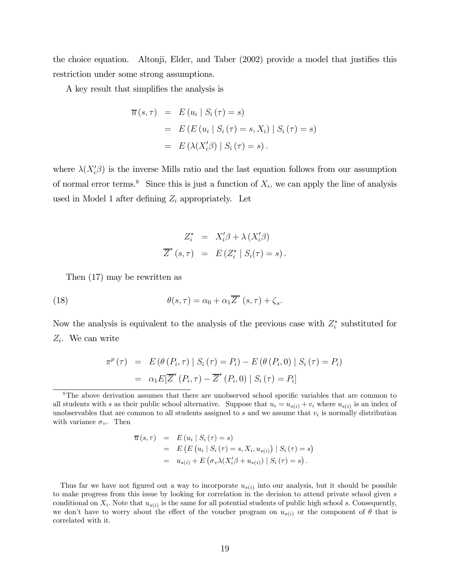the choice equation. Altonji, Elder, and Taber (2002) provide a model that justifies this restriction under some strong assumptions.

A key result that simplifies the analysis is

$$
\overline{u}(s,\tau) = E(u_i | S_i(\tau) = s)
$$
  
= 
$$
E(E(u_i | S_i(\tau) = s, X_i) | S_i(\tau) = s)
$$
  
= 
$$
E(\lambda(X_i'\beta) | S_i(\tau) = s).
$$

where  $\lambda(X_i'\beta)$  is the inverse Mills ratio and the last equation follows from our assumption of normal error terms.<sup>8</sup> Since this is just a function of  $X_i$ , we can apply the line of analysis used in Model 1 after defining  $Z_i$  appropriately. Let

$$
Z_i^* = X_i'\beta + \lambda (X_i'\beta)
$$
  

$$
\overline{Z}^*(s,\tau) = E(Z_i^* | S_i(\tau) = s).
$$

Then (17) may be rewritten as

(18) 
$$
\theta(s,\tau) = \alpha_0 + \alpha_1 \overline{Z}^*(s,\tau) + \zeta_s.
$$

Now the analysis is equivalent to the analysis of the previous case with  $Z_i^*$  substituted for  $Z_i$ . We can write

$$
\pi^{p}(\tau) = E(\theta(P_{i}, \tau) | S_{i}(\tau) = P_{i}) - E(\theta(P_{i}, 0) | S_{i}(\tau) = P_{i})
$$
  
=  $\alpha_{1} E[\overline{Z}^{*}(P_{i}, \tau) - \overline{Z}^{*}(P_{i}, 0) | S_{i}(\tau) = P_{i}]$ 

$$
\overline{u}(s,\tau) = E(u_i | S_i(\tau) = s) \n= E (E (u_i | S_i(\tau) = s, X_i, u_{s(i)}) | S_i(\tau) = s) \n= u_{s(i)} + E (\sigma_v \lambda (X_i' \beta + u_{s(i)}) | S_i(\tau) = s).
$$

Thus far we have not figured out a way to incorporate  $u_{s(i)}$  into our analysis, but it should be possible to make progress from this issue by looking for correlation in the decision to attend private school given s conditional on  $X_i$ . Note that  $u_{s(i)}$  is the same for all potential students of public high school s. Consequently, we don't have to worry about the effect of the voucher program on  $u_{s(i)}$  or the component of  $\theta$  that is correlated with it.

<sup>&</sup>lt;sup>8</sup>The above derivation assumes that there are unobserved school specific variables that are common to all students with s as their public school alternative. Suppose that  $u_i = u_{s(i)} + v_i$  where  $u_{s(i)}$  is an index of unobservables that are common to all students assigned to s and we assume that  $v_i$  is normally distribution with variance  $\sigma_v$ . Then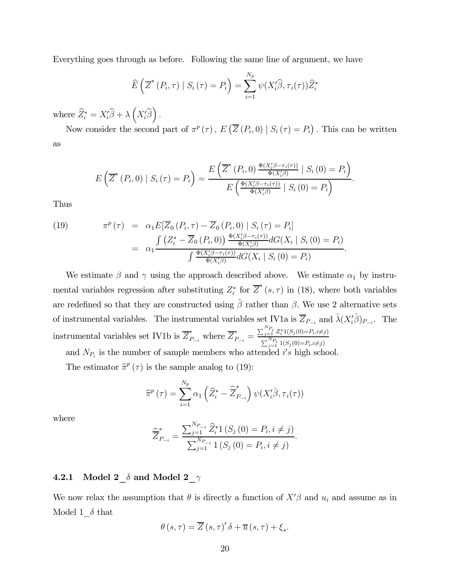Everything goes through as before. Following the same line of argument, we have

$$
\widehat{E}\left(\overline{Z}^*(P_i,\tau) \mid S_i\left(\tau\right) = P_i\right) = \sum_{i=1}^{N_p} \psi(X_i'\widehat{\beta},\tau_i(\tau))\widehat{Z}_i^*
$$

where  $\widehat{Z}_{i}^{*} = X_{i}'\widehat{\beta} + \lambda \left(X_{i}'\widehat{\beta}\right)$ ´ .

Now consider the second part of  $\pi^p(\tau)$ ,  $E\left(\overline{Z}(P_i,0) \mid S_i(\tau) = P_i\right)$ . This can be written as

$$
E\left(\overline{Z}^*(P_i,0) \mid S_i(\tau) = P_i\right) = \frac{E\left(\overline{Z}^*(P_i,0) \frac{\Phi(X_i'\beta - \tau_i(\tau))}{\Phi(X_i'\beta)} \mid S_i(0) = P_i\right)}{E\left(\frac{\Phi(X_i'\beta - \tau_i(\tau))}{\Phi(X_i'\beta)} \mid S_i(0) = P_i\right)}.
$$

Thus

(19) 
$$
\pi^{p}(\tau) = \alpha_{1} E[\overline{Z}_{0}(P_{i}, \tau) - \overline{Z}_{0}(P_{i}, 0) | S_{i}(\tau) = P_{i}]
$$

$$
= \alpha_{1} \frac{\int (Z_{i}^{*} - \overline{Z}_{0}(P_{i}, 0)) \frac{\Phi(X_{i}^{\prime}\beta - \tau_{i}(\tau))}{\Phi(X_{i}^{\prime}\beta)} dG(X_{i} | S_{i} (0) = P_{i})}{\int \frac{\Phi(X_{i}^{\prime}\beta - \tau_{i}(\tau))}{\Phi(X_{i}^{\prime}\beta)} dG(X_{i} | S_{i} (0) = P_{i})}.
$$

We estimate  $\beta$  and  $\gamma$  using the approach described above. We estimate  $\alpha_1$  by instrumental variables regression after substituting  $Z_i^*$  for  $\overline{Z}^*(s, \tau)$  in (18), where both variables are redefined so that they are constructed using  $\hat{\beta}$  rather than  $\beta$ . We use 2 alternative sets of instrumental variables. The instrumental variables set IV1a is  $\overline{Z}_{P_{-i}}$  and  $\overline{\lambda}(X_i^{\prime}\hat{\beta})_{P_{-i}}$ . The instrumental variables set IV1b is  $\overline{Z}_{P_{-i}}^{*}$  where  $\overline{Z}_{P_{-i}}^{*}$  $\sum_{j=1}^{N_{P_i}} Z_i^* 1(S_j(0) = P_i, i \neq j)$  $\sum_{j=1}^{N_{P_i}} 1(S_j(0)=P_i,i\neq j)$ and  $N_{P_i}$  is the number of sample members who attended i's high school.

The estimator  $\hat{\pi}^p(\tau)$  is the sample analog to (19):

$$
\widehat{\pi}^p(\tau) = \sum_{i=1}^{N_p} \alpha_1 \left( \widehat{Z}_i^* - \widehat{\overline{Z}}_{P_{-i}}^* \right) \psi(X_i' \widehat{\beta}, \tau_i(\tau))
$$

where

$$
\widehat{\overline{Z}}_{P_{-i}}^{*} = \frac{\sum_{j=1}^{N_{P_{-i}}} \widehat{Z}_i^{*} 1\left(S_j\left(0\right) = P_i, i \neq j\right)}{\sum_{j=1}^{N_{P_{-i}}} 1\left(S_j\left(0\right) = P_i, i \neq j\right)}.
$$

### 4.2.1 Model  $2\delta$  and Model  $2\gamma$

We now relax the assumption that  $\theta$  is directly a function of  $X'\beta$  and  $u_i$  and assume as in Model  $1_{\sigma}$  that

$$
\theta(s,\tau) = \overline{Z}(s,\tau)'\,\delta + \overline{u}(s,\tau) + \xi_s.
$$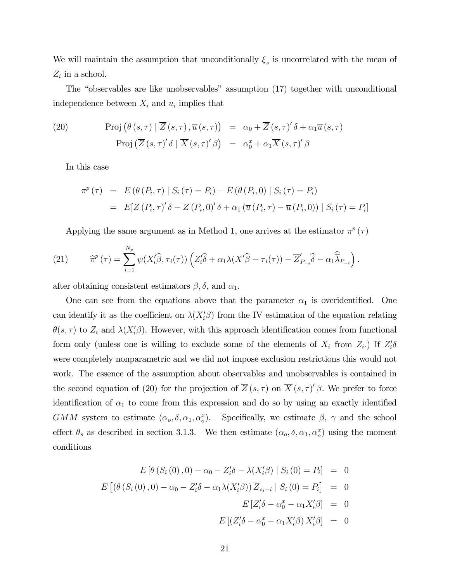We will maintain the assumption that unconditionally  $\xi_s$  is uncorrelated with the mean of  $Z_i$  in a school.

The "observables are like unobservables" assumption (17) together with unconditional independence between  $X_i$  and  $u_i$  implies that

(20) Proj 
$$
(\theta(s,\tau) | \overline{Z}(s,\tau), \overline{u}(s,\tau)) = \alpha_0 + \overline{Z}(s,\tau)'\delta + \alpha_1 \overline{u}(s,\tau)
$$
  
\nProj  $(\overline{Z}(s,\tau)'\delta | \overline{X}(s,\tau)'\beta) = \alpha_0^x + \alpha_1 \overline{X}(s,\tau)'\beta$ 

In this case

$$
\pi^{p}(\tau) = E(\theta(P_{i}, \tau) | S_{i}(\tau) = P_{i}) - E(\theta(P_{i}, 0) | S_{i}(\tau) = P_{i})
$$
  
= 
$$
E[\overline{Z}(P_{i}, \tau)' \delta - \overline{Z}(P_{i}, 0)' \delta + \alpha_{1} (\overline{u}(P_{i}, \tau) - \overline{u}(P_{i}, 0)) | S_{i}(\tau) = P_{i}]
$$

Applying the same argument as in Method 1, one arrives at the estimator  $\pi^p(\tau)$ 

(21) 
$$
\widehat{\pi}^p(\tau) = \sum_{i=1}^{N_p} \psi(X_i'\widehat{\beta}, \tau_i(\tau)) \left(Z_i'\widehat{\delta} + \alpha_1 \lambda(X'\widehat{\beta} - \tau_i(\tau)) - \overline{Z}_{P_{-i}}'\widehat{\delta} - \alpha_1 \widehat{\overline{\lambda}}_{P_{-i}}\right).
$$

after obtaining consistent estimators  $\beta$ ,  $\delta$ , and  $\alpha_1$ .

One can see from the equations above that the parameter  $\alpha_1$  is overidentified. One can identify it as the coefficient on  $\lambda(X_i^{\prime}\beta)$  from the IV estimation of the equation relating  $\theta(s,\tau)$  to  $Z_i$  and  $\lambda(X_i'\beta)$ . However, with this approach identification comes from functional form only (unless one is willing to exclude some of the elements of  $X_i$  from  $Z_i$ .) If  $Z_i' \delta$ were completely nonparametric and we did not impose exclusion restrictions this would not work. The essence of the assumption about observables and unobservables is contained in the second equation of (20) for the projection of  $\overline{Z}(s,\tau)$  on  $\overline{X}(s,\tau)'$   $\beta$ . We prefer to force identification of  $\alpha_1$  to come from this expression and do so by using an exactly identified GMM system to estimate  $(\alpha_o, \delta, \alpha_1, \alpha_o^x)$ . Specifically, we estimate  $\beta$ ,  $\gamma$  and the school effect  $\theta_s$  as described in section 3.1.3. We then estimate  $(\alpha_o, \delta, \alpha_1, \alpha_o^x)$  using the moment conditions

$$
E\left[\theta\left(S_{i}\left(0\right),0\right)-\alpha_{0}-Z_{i}'\delta-\lambda\left(X_{i}'\beta\right)\mid S_{i}\left(0\right)=P_{i}\right] = 0
$$
  

$$
E\left[\left(\theta\left(S_{i}\left(0\right),0\right)-\alpha_{0}-Z_{i}'\delta-\alpha_{1}\lambda\left(X_{i}'\beta\right)\right)\overline{Z}_{s_{i}-i}\mid S_{i}\left(0\right)=P_{i}\right] = 0
$$
  

$$
E\left[Z_{i}'\delta-\alpha_{0}^{x}-\alpha_{1}X_{i}'\beta\right] = 0
$$
  

$$
E\left[\left(Z_{i}'\delta-\alpha_{0}^{x}-\alpha_{1}X_{i}'\beta\right)X_{i}'\beta\right] = 0
$$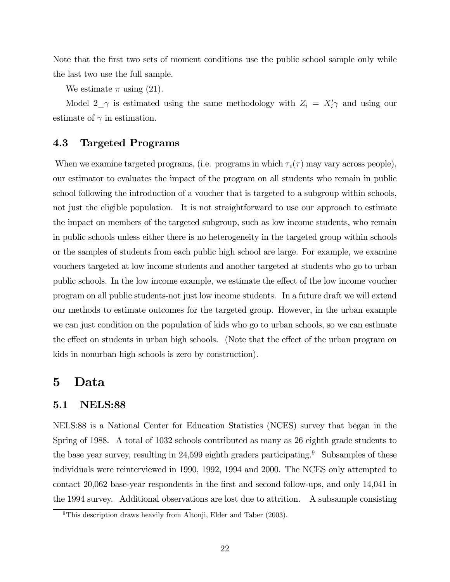Note that the first two sets of moment conditions use the public school sample only while the last two use the full sample.

We estimate  $\pi$  using (21).

Model  $2\gamma$  is estimated using the same methodology with  $Z_i = X'_i \gamma$  and using our estimate of  $\gamma$  in estimation.

### 4.3 Targeted Programs

When we examine targeted programs, (i.e. programs in which  $\tau_i(\tau)$  may vary across people), our estimator to evaluates the impact of the program on all students who remain in public school following the introduction of a voucher that is targeted to a subgroup within schools, not just the eligible population. It is not straightforward to use our approach to estimate the impact on members of the targeted subgroup, such as low income students, who remain in public schools unless either there is no heterogeneity in the targeted group within schools or the samples of students from each public high school are large. For example, we examine vouchers targeted at low income students and another targeted at students who go to urban public schools. In the low income example, we estimate the effect of the low income voucher program on all public students-not just low income students. In a future draft we will extend our methods to estimate outcomes for the targeted group. However, in the urban example we can just condition on the population of kids who go to urban schools, so we can estimate the effect on students in urban high schools. (Note that the effect of the urban program on kids in nonurban high schools is zero by construction).

### 5 Data

### 5.1 NELS:88

NELS:88 is a National Center for Education Statistics (NCES) survey that began in the Spring of 1988. A total of 1032 schools contributed as many as 26 eighth grade students to the base year survey, resulting in  $24,599$  eighth graders participating.<sup>9</sup> Subsamples of these individuals were reinterviewed in 1990, 1992, 1994 and 2000. The NCES only attempted to contact 20,062 base-year respondents in the first and second follow-ups, and only 14,041 in the 1994 survey. Additional observations are lost due to attrition. A subsample consisting

<sup>&</sup>lt;sup>9</sup>This description draws heavily from Altonji, Elder and Taber (2003).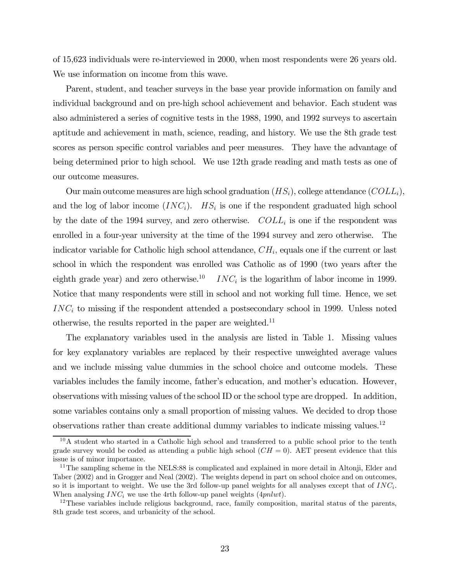of 15,623 individuals were re-interviewed in 2000, when most respondents were 26 years old. We use information on income from this wave.

Parent, student, and teacher surveys in the base year provide information on family and individual background and on pre-high school achievement and behavior. Each student was also administered a series of cognitive tests in the 1988, 1990, and 1992 surveys to ascertain aptitude and achievement in math, science, reading, and history. We use the 8th grade test scores as person specific control variables and peer measures. They have the advantage of being determined prior to high school. We use 12th grade reading and math tests as one of our outcome measures.

Our main outcome measures are high school graduation  $(HS_i)$ , college attendance  $(COLL_i)$ , and the log of labor income  $(INC_i)$ .  $HS_i$  is one if the respondent graduated high school by the date of the 1994 survey, and zero otherwise.  $COLL_i$  is one if the respondent was enrolled in a four-year university at the time of the 1994 survey and zero otherwise. The indicator variable for Catholic high school attendance,  $CH_i$ , equals one if the current or last school in which the respondent was enrolled was Catholic as of 1990 (two years after the eighth grade year) and zero otherwise.<sup>10</sup> INC<sub>i</sub> is the logarithm of labor income in 1999. Notice that many respondents were still in school and not working full time. Hence, we set  $INC<sub>i</sub>$  to missing if the respondent attended a postsecondary school in 1999. Unless noted otherwise, the results reported in the paper are weighted.<sup>11</sup>

The explanatory variables used in the analysis are listed in Table 1. Missing values for key explanatory variables are replaced by their respective unweighted average values and we include missing value dummies in the school choice and outcome models. These variables includes the family income, father's education, and mother's education. However, observations with missing values of the school ID or the school type are dropped. In addition, some variables contains only a small proportion of missing values. We decided to drop those observations rather than create additional dummy variables to indicate missing values.12

 $10$ A student who started in a Catholic high school and transferred to a public school prior to the tenth grade survey would be coded as attending a public high school  $(CH = 0)$ . AET present evidence that this issue is of minor importance.

<sup>&</sup>lt;sup>11</sup>The sampling scheme in the NELS:88 is complicated and explained in more detail in Altonji, Elder and Taber (2002) and in Grogger and Neal (2002). The weights depend in part on school choice and on outcomes, so it is important to weight. We use the 3rd follow-up panel weights for all analyses except that of  $INC_i$ . When analysing  $INC_i$  we use the 4rth follow-up panel weights ( $4pnlwt$ ).<br><sup>12</sup>These variables include religious background, race, family composition, marital status of the parents,

<sup>8</sup>th grade test scores, and urbanicity of the school.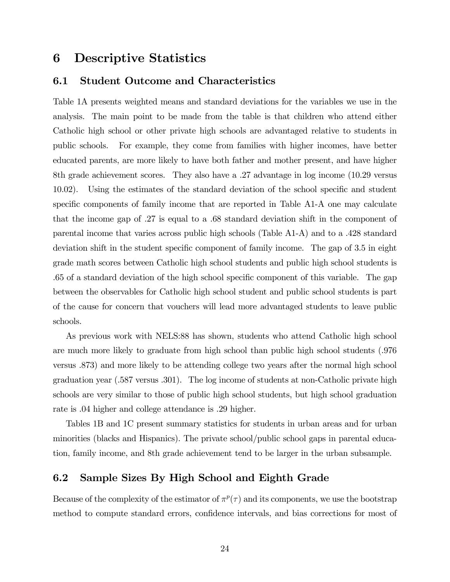### 6 Descriptive Statistics

#### 6.1 Student Outcome and Characteristics

Table 1A presents weighted means and standard deviations for the variables we use in the analysis. The main point to be made from the table is that children who attend either Catholic high school or other private high schools are advantaged relative to students in public schools. For example, they come from families with higher incomes, have better educated parents, are more likely to have both father and mother present, and have higher 8th grade achievement scores. They also have a .27 advantage in log income (10.29 versus 10.02). Using the estimates of the standard deviation of the school specific and student specific components of family income that are reported in Table A1-A one may calculate that the income gap of .27 is equal to a .68 standard deviation shift in the component of parental income that varies across public high schools (Table A1-A) and to a .428 standard deviation shift in the student specific component of family income. The gap of 3.5 in eight grade math scores between Catholic high school students and public high school students is .65 of a standard deviation of the high school specific component of this variable. The gap between the observables for Catholic high school student and public school students is part of the cause for concern that vouchers will lead more advantaged students to leave public schools.

As previous work with NELS:88 has shown, students who attend Catholic high school are much more likely to graduate from high school than public high school students (.976 versus .873) and more likely to be attending college two years after the normal high school graduation year (.587 versus .301). The log income of students at non-Catholic private high schools are very similar to those of public high school students, but high school graduation rate is .04 higher and college attendance is .29 higher.

Tables 1B and 1C present summary statistics for students in urban areas and for urban minorities (blacks and Hispanics). The private school/public school gaps in parental education, family income, and 8th grade achievement tend to be larger in the urban subsample.

### 6.2 Sample Sizes By High School and Eighth Grade

Because of the complexity of the estimator of  $\pi^p(\tau)$  and its components, we use the bootstrap method to compute standard errors, confidence intervals, and bias corrections for most of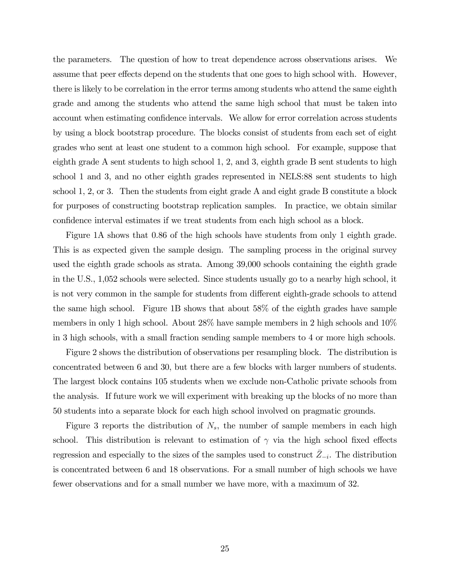the parameters. The question of how to treat dependence across observations arises. We assume that peer effects depend on the students that one goes to high school with. However, there is likely to be correlation in the error terms among students who attend the same eighth grade and among the students who attend the same high school that must be taken into account when estimating confidence intervals. We allow for error correlation across students by using a block bootstrap procedure. The blocks consist of students from each set of eight grades who sent at least one student to a common high school. For example, suppose that eighth grade A sent students to high school 1, 2, and 3, eighth grade B sent students to high school 1 and 3, and no other eighth grades represented in NELS:88 sent students to high school 1, 2, or 3. Then the students from eight grade A and eight grade B constitute a block for purposes of constructing bootstrap replication samples. In practice, we obtain similar confidence interval estimates if we treat students from each high school as a block.

Figure 1A shows that 0.86 of the high schools have students from only 1 eighth grade. This is as expected given the sample design. The sampling process in the original survey used the eighth grade schools as strata. Among 39,000 schools containing the eighth grade in the U.S., 1,052 schools were selected. Since students usually go to a nearby high school, it is not very common in the sample for students from different eighth-grade schools to attend the same high school. Figure 1B shows that about 58% of the eighth grades have sample members in only 1 high school. About 28% have sample members in 2 high schools and 10% in 3 high schools, with a small fraction sending sample members to 4 or more high schools.

Figure 2 shows the distribution of observations per resampling block. The distribution is concentrated between 6 and 30, but there are a few blocks with larger numbers of students. The largest block contains 105 students when we exclude non-Catholic private schools from the analysis. If future work we will experiment with breaking up the blocks of no more than 50 students into a separate block for each high school involved on pragmatic grounds.

Figure 3 reports the distribution of  $N_s$ , the number of sample members in each high school. This distribution is relevant to estimation of  $\gamma$  via the high school fixed effects regression and especially to the sizes of the samples used to construct  $Z_{-i}$ . The distribution is concentrated between 6 and 18 observations. For a small number of high schools we have fewer observations and for a small number we have more, with a maximum of 32.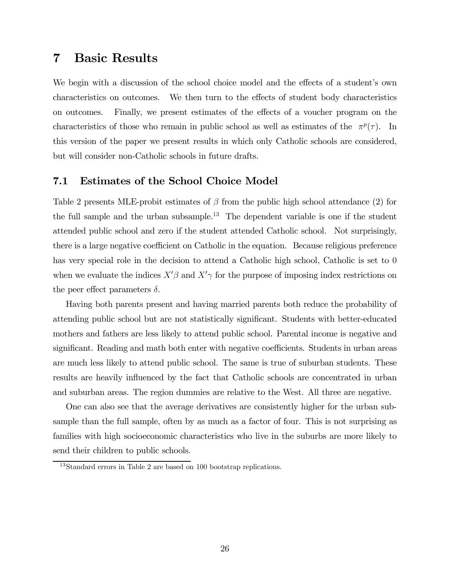### 7 Basic Results

We begin with a discussion of the school choice model and the effects of a student's own characteristics on outcomes. We then turn to the effects of student body characteristics on outcomes. Finally, we present estimates of the effects of a voucher program on the characteristics of those who remain in public school as well as estimates of the  $\pi^p(\tau)$ . In this version of the paper we present results in which only Catholic schools are considered, but will consider non-Catholic schools in future drafts.

### 7.1 Estimates of the School Choice Model

Table 2 presents MLE-probit estimates of  $\beta$  from the public high school attendance (2) for the full sample and the urban subsample.<sup>13</sup> The dependent variable is one if the student attended public school and zero if the student attended Catholic school. Not surprisingly, there is a large negative coefficient on Catholic in the equation. Because religious preference has very special role in the decision to attend a Catholic high school, Catholic is set to 0 when we evaluate the indices  $X'\beta$  and  $X'\gamma$  for the purpose of imposing index restrictions on the peer effect parameters  $\delta$ .

Having both parents present and having married parents both reduce the probability of attending public school but are not statistically significant. Students with better-educated mothers and fathers are less likely to attend public school. Parental income is negative and significant. Reading and math both enter with negative coefficients. Students in urban areas are much less likely to attend public school. The same is true of suburban students. These results are heavily influenced by the fact that Catholic schools are concentrated in urban and suburban areas. The region dummies are relative to the West. All three are negative.

One can also see that the average derivatives are consistently higher for the urban subsample than the full sample, often by as much as a factor of four. This is not surprising as families with high socioeconomic characteristics who live in the suburbs are more likely to send their children to public schools.

<sup>13</sup>Standard errors in Table 2 are based on 100 bootstrap replications.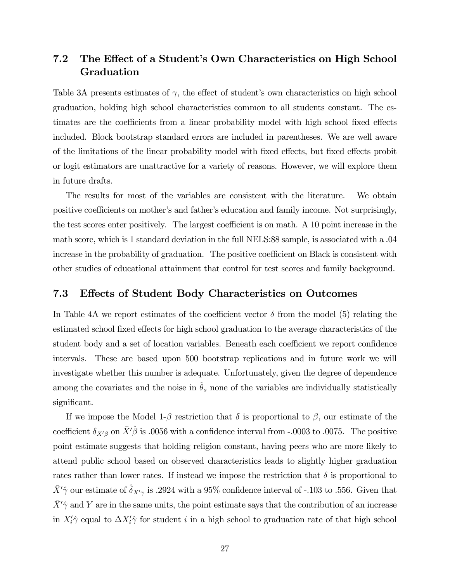### 7.2 The Effect of a Student's Own Characteristics on High School Graduation

Table 3A presents estimates of  $\gamma$ , the effect of student's own characteristics on high school graduation, holding high school characteristics common to all students constant. The estimates are the coefficients from a linear probability model with high school fixed effects included. Block bootstrap standard errors are included in parentheses. We are well aware of the limitations of the linear probability model with fixed effects, but fixed effects probit or logit estimators are unattractive for a variety of reasons. However, we will explore them in future drafts.

The results for most of the variables are consistent with the literature. We obtain positive coefficients on mother's and father's education and family income. Not surprisingly, the test scores enter positively. The largest coefficient is on math. A 10 point increase in the math score, which is 1 standard deviation in the full NELS:88 sample, is associated with a .04 increase in the probability of graduation. The positive coefficient on Black is consistent with other studies of educational attainment that control for test scores and family background.

#### 7.3 Effects of Student Body Characteristics on Outcomes

In Table 4A we report estimates of the coefficient vector  $\delta$  from the model (5) relating the estimated school fixed effects for high school graduation to the average characteristics of the student body and a set of location variables. Beneath each coefficient we report confidence intervals. These are based upon 500 bootstrap replications and in future work we will investigate whether this number is adequate. Unfortunately, given the degree of dependence among the covariates and the noise in  $\hat{\theta}_s$  none of the variables are individually statistically significant.

If we impose the Model 1-β restriction that  $\delta$  is proportional to  $\beta$ , our estimate of the coefficient  $\delta_{X'\beta}$  on  $\bar{X}'\hat{\beta}$  is .0056 with a confidence interval from -.0003 to .0075. The positive point estimate suggests that holding religion constant, having peers who are more likely to attend public school based on observed characteristics leads to slightly higher graduation rates rather than lower rates. If instead we impose the restriction that  $\delta$  is proportional to  $\bar{X}'\hat{\gamma}$  our estimate of  $\hat{\delta}_{X'\gamma}$  is .2924 with a 95% confidence interval of -.103 to .556. Given that  $\bar{X}'\hat{\gamma}$  and Y are in the same units, the point estimate says that the contribution of an increase in  $X_i' \hat{\gamma}$  equal to  $\Delta X_i' \hat{\gamma}$  for student i in a high school to graduation rate of that high school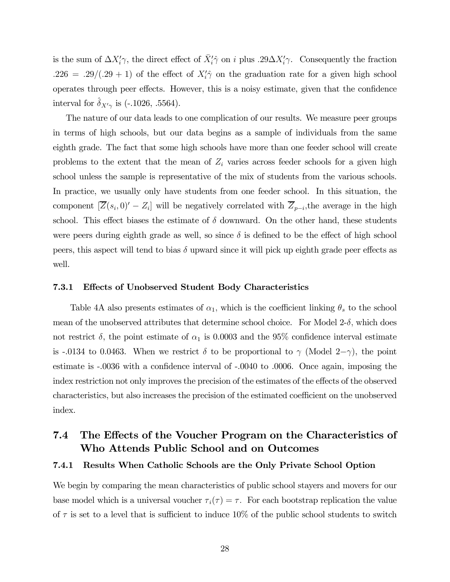is the sum of  $\Delta X_i' \gamma$ , the direct effect of  $\bar{X}_i' \hat{\gamma}$  on i plus .29 $\Delta X_i' \gamma$ . Consequently the fraction  $.226 = .29/(.29 + 1)$  of the effect of  $X_i^2 \hat{\gamma}$  on the graduation rate for a given high school operates through peer effects. However, this is a noisy estimate, given that the confidence interval for  $\delta_{X'\gamma}$  is (-.1026, .5564).

The nature of our data leads to one complication of our results. We measure peer groups in terms of high schools, but our data begins as a sample of individuals from the same eighth grade. The fact that some high schools have more than one feeder school will create problems to the extent that the mean of  $Z_i$  varies across feeder schools for a given high school unless the sample is representative of the mix of students from the various schools. In practice, we usually only have students from one feeder school. In this situation, the component  $[\overline{Z}(s_i, 0) - Z_i]$  will be negatively correlated with  $\overline{Z}_{p-i}$ , the average in the high school. This effect biases the estimate of  $\delta$  downward. On the other hand, these students were peers during eighth grade as well, so since  $\delta$  is defined to be the effect of high school peers, this aspect will tend to bias  $\delta$  upward since it will pick up eighth grade peer effects as well.

#### 7.3.1 Effects of Unobserved Student Body Characteristics

Table 4A also presents estimates of  $\alpha_1$ , which is the coefficient linking  $\theta_s$  to the school mean of the unobserved attributes that determine school choice. For Model  $2-\delta$ , which does not restrict  $\delta$ , the point estimate of  $\alpha_1$  is 0.0003 and the 95% confidence interval estimate is -.0134 to 0.0463. When we restrict  $\delta$  to be proportional to  $\gamma$  (Model 2- $\gamma$ ), the point estimate is -.0036 with a confidence interval of -.0040 to .0006. Once again, imposing the index restriction not only improves the precision of the estimates of the effects of the observed characteristics, but also increases the precision of the estimated coefficient on the unobserved index.

### 7.4 The Effects of the Voucher Program on the Characteristics of Who Attends Public School and on Outcomes

#### 7.4.1 Results When Catholic Schools are the Only Private School Option

We begin by comparing the mean characteristics of public school stayers and movers for our base model which is a universal voucher  $\tau_i(\tau) = \tau$ . For each bootstrap replication the value of  $\tau$  is set to a level that is sufficient to induce 10% of the public school students to switch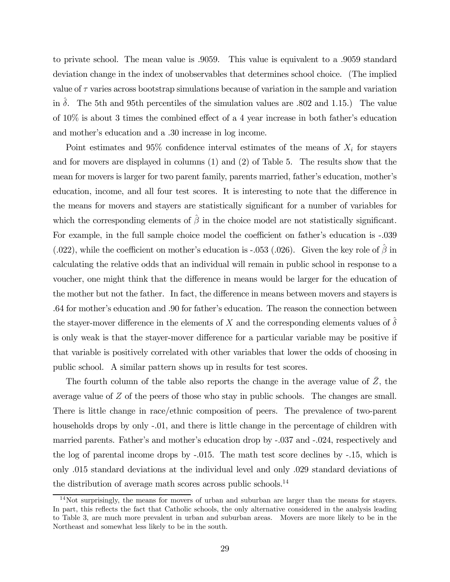to private school. The mean value is .9059. This value is equivalent to a .9059 standard deviation change in the index of unobservables that determines school choice. (The implied value of  $\tau$  varies across bootstrap simulations because of variation in the sample and variation in  $\delta$ . The 5th and 95th percentiles of the simulation values are .802 and 1.15.) The value of 10% is about 3 times the combined effect of a 4 year increase in both father's education and mother's education and a .30 increase in log income.

Point estimates and  $95\%$  confidence interval estimates of the means of  $X_i$  for stayers and for movers are displayed in columns (1) and (2) of Table 5. The results show that the mean for movers is larger for two parent family, parents married, father's education, mother's education, income, and all four test scores. It is interesting to note that the difference in the means for movers and stayers are statistically significant for a number of variables for which the corresponding elements of  $\hat{\beta}$  in the choice model are not statistically significant. For example, in the full sample choice model the coefficient on father's education is -.039 (.022), while the coefficient on mother's education is -.053 (.026). Given the key role of  $\hat{\beta}$  in calculating the relative odds that an individual will remain in public school in response to a voucher, one might think that the difference in means would be larger for the education of the mother but not the father. In fact, the difference in means between movers and stayers is .64 for mother's education and .90 for father's education. The reason the connection between the stayer-mover difference in the elements of X and the corresponding elements values of  $\delta$ is only weak is that the stayer-mover difference for a particular variable may be positive if that variable is positively correlated with other variables that lower the odds of choosing in public school. A similar pattern shows up in results for test scores.

The fourth column of the table also reports the change in the average value of  $\bar{Z}$ , the average value of Z of the peers of those who stay in public schools. The changes are small. There is little change in race/ethnic composition of peers. The prevalence of two-parent households drops by only -.01, and there is little change in the percentage of children with married parents. Father's and mother's education drop by -.037 and -.024, respectively and the log of parental income drops by -.015. The math test score declines by -.15, which is only .015 standard deviations at the individual level and only .029 standard deviations of the distribution of average math scores across public schools.<sup>14</sup>

 $14$ Not surprisingly, the means for movers of urban and suburban are larger than the means for stayers. In part, this reflects the fact that Catholic schools, the only alternative considered in the analysis leading to Table 3, are much more prevalent in urban and suburban areas. Movers are more likely to be in the Northeast and somewhat less likely to be in the south.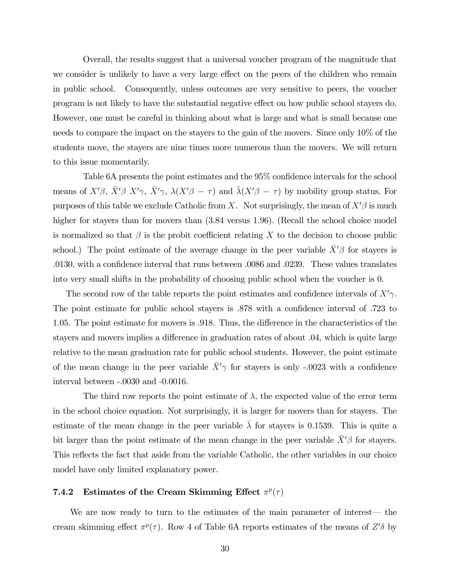Overall, the results suggest that a universal voucher program of the magnitude that we consider is unlikely to have a very large effect on the peers of the children who remain in public school. Consequently, unless outcomes are very sensitive to peers, the voucher program is not likely to have the substantial negative effect on how public school stayers do. However, one must be careful in thinking about what is large and what is small because one needs to compare the impact on the stayers to the gain of the movers. Since only 10% of the students move, the stayers are nine times more numerous than the movers. We will return to this issue momentarily.

Table 6A presents the point estimates and the 95% confidence intervals for the school means of  $X'\beta$ ,  $\bar{X}'\beta$   $X'\gamma$ ,  $\bar{X}'\gamma$ ,  $\lambda(X'\beta - \tau)$  and  $\bar{\lambda}(X'\beta - \tau)$  by mobility group status. For purposes of this table we exclude Catholic from X. Not surprisingly, the mean of  $X'\beta$  is much higher for stayers than for movers than  $(3.84 \text{ versus } 1.96)$ . (Recall the school choice model is normalized so that  $\beta$  is the probit coefficient relating X to the decision to choose public school.) The point estimate of the average change in the peer variable  $\bar{X}'\beta$  for stayers is .0130, with a confidence interval that runs between .0086 and .0239. These values translates into very small shifts in the probability of choosing public school when the voucher is 0.

The second row of the table reports the point estimates and confidence intervals of  $X'\gamma$ . The point estimate for public school stayers is .878 with a confidence interval of .723 to 1.05. The point estimate for movers is .918. Thus, the difference in the characteristics of the stayers and movers implies a difference in graduation rates of about .04, which is quite large relative to the mean graduation rate for public school students. However, the point estimate of the mean change in the peer variable  $\bar{X}'\gamma$  for stayers is only -.0023 with a confidence interval between -.0030 and -0.0016.

The third row reports the point estimate of  $\lambda$ , the expected value of the error term in the school choice equation. Not surprisingly, it is larger for movers than for stayers. The estimate of the mean change in the peer variable  $\bar{\lambda}$  for stayers is 0.1539. This is quite a bit larger than the point estimate of the mean change in the peer variable  $\bar{X}'\beta$  for stayers. This reflects the fact that aside from the variable Catholic, the other variables in our choice model have only limited explanatory power.

### 7.4.2 Estimates of the Cream Skimming Effect  $\pi^p(\tau)$

We are now ready to turn to the estimates of the main parameter of interest— the cream skimming effect  $\pi^p(\tau)$ . Row 4 of Table 6A reports estimates of the means of  $Z'\delta$  by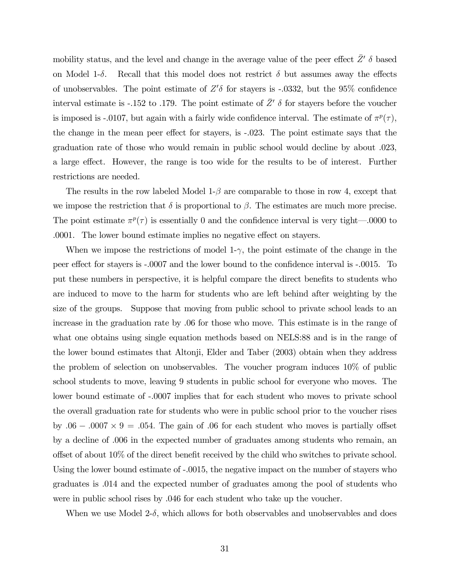mobility status, and the level and change in the average value of the peer effect  $\bar{Z}'$   $\delta$  based on Model 1- $\delta$ . Recall that this model does not restrict  $\delta$  but assumes away the effects of unobservables. The point estimate of  $Z'\delta$  for stayers is -.0332, but the 95% confidence interval estimate is -.152 to .179. The point estimate of  $\bar{Z}'$   $\delta$  for stayers before the voucher is imposed is -.0107, but again with a fairly wide confidence interval. The estimate of  $\pi^p(\tau)$ , the change in the mean peer effect for stayers, is -.023. The point estimate says that the graduation rate of those who would remain in public school would decline by about .023, a large effect. However, the range is too wide for the results to be of interest. Further restrictions are needed.

The results in the row labeled Model  $1-\beta$  are comparable to those in row 4, except that we impose the restriction that  $\delta$  is proportional to  $\beta$ . The estimates are much more precise. The point estimate  $\pi^p(\tau)$  is essentially 0 and the confidence interval is very tight—.0000 to .0001. The lower bound estimate implies no negative effect on stayers.

When we impose the restrictions of model 1- $\gamma$ , the point estimate of the change in the peer effect for stayers is -.0007 and the lower bound to the confidence interval is -.0015. To put these numbers in perspective, it is helpful compare the direct benefits to students who are induced to move to the harm for students who are left behind after weighting by the size of the groups. Suppose that moving from public school to private school leads to an increase in the graduation rate by .06 for those who move. This estimate is in the range of what one obtains using single equation methods based on NELS:88 and is in the range of the lower bound estimates that Altonji, Elder and Taber (2003) obtain when they address the problem of selection on unobservables. The voucher program induces 10% of public school students to move, leaving 9 students in public school for everyone who moves. The lower bound estimate of -.0007 implies that for each student who moves to private school the overall graduation rate for students who were in public school prior to the voucher rises by .06 – .0007  $\times$  9 = .054. The gain of .06 for each student who moves is partially offset by a decline of .006 in the expected number of graduates among students who remain, an offset of about 10% of the direct benefit received by the child who switches to private school. Using the lower bound estimate of -.0015, the negative impact on the number of stayers who graduates is .014 and the expected number of graduates among the pool of students who were in public school rises by .046 for each student who take up the voucher.

When we use Model  $2-\delta$ , which allows for both observables and unobservables and does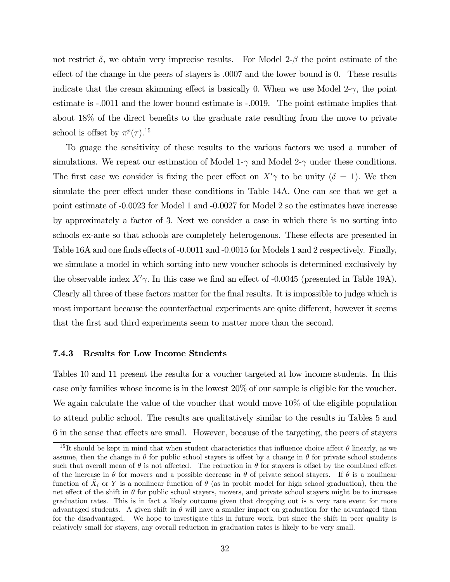not restrict  $\delta$ , we obtain very imprecise results. For Model 2- $\beta$  the point estimate of the effect of the change in the peers of stayers is .0007 and the lower bound is 0. These results indicate that the cream skimming effect is basically 0. When we use Model  $2-\gamma$ , the point estimate is -.0011 and the lower bound estimate is -.0019. The point estimate implies that about 18% of the direct benefits to the graduate rate resulting from the move to private school is offset by  $\pi^p(\tau)$ .<sup>15</sup>

To guage the sensitivity of these results to the various factors we used a number of simulations. We repeat our estimation of Model 1- $\gamma$  and Model 2- $\gamma$  under these conditions. The first case we consider is fixing the peer effect on  $X'\gamma$  to be unity  $(\delta = 1)$ . We then simulate the peer effect under these conditions in Table 14A. One can see that we get a point estimate of -0.0023 for Model 1 and -0.0027 for Model 2 so the estimates have increase by approximately a factor of 3. Next we consider a case in which there is no sorting into schools ex-ante so that schools are completely heterogenous. These effects are presented in Table 16A and one finds effects of -0.0011 and -0.0015 for Models 1 and 2 respectively. Finally, we simulate a model in which sorting into new voucher schools is determined exclusively by the observable index  $X'\gamma$ . In this case we find an effect of -0.0045 (presented in Table 19A). Clearly all three of these factors matter for the final results. It is impossible to judge which is most important because the counterfactual experiments are quite different, however it seems that the first and third experiments seem to matter more than the second.

#### 7.4.3 Results for Low Income Students

Tables 10 and 11 present the results for a voucher targeted at low income students. In this case only families whose income is in the lowest 20% of our sample is eligible for the voucher. We again calculate the value of the voucher that would move  $10\%$  of the eligible population to attend public school. The results are qualitatively similar to the results in Tables 5 and 6 in the sense that effects are small. However, because of the targeting, the peers of stayers

<sup>&</sup>lt;sup>15</sup>It should be kept in mind that when student characteristics that influence choice affect  $\theta$  linearly, as we assume, then the change in  $\theta$  for public school stayers is offset by a change in  $\theta$  for private school students such that overall mean of  $\theta$  is not affected. The reduction in  $\theta$  for stayers is offset by the combined effect of the increase in  $\theta$  for movers and a possible decrease in  $\theta$  of private school stayers. If  $\theta$  is a nonlinear function of  $X_i$  or Y is a nonlinear function of  $\theta$  (as in probit model for high school graduation), then the net effect of the shift in  $\theta$  for public school stayers, movers, and private school stayers might be to increase graduation rates. This is in fact a likely outcome given that dropping out is a very rare event for more advantaged students. A given shift in  $\theta$  will have a smaller impact on graduation for the advantaged than for the disadvantaged. We hope to investigate this in future work, but since the shift in peer quality is relatively small for stayers, any overall reduction in graduation rates is likely to be very small.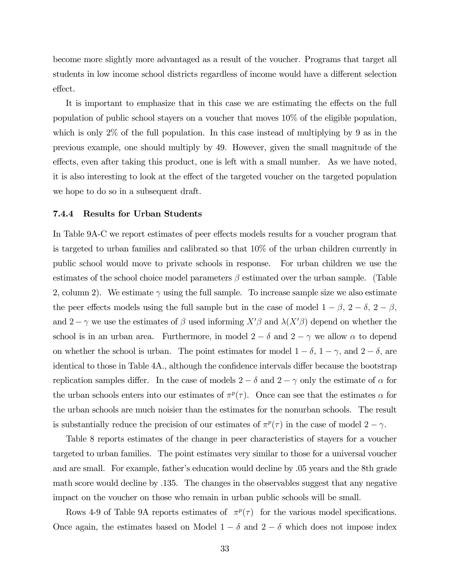become more slightly more advantaged as a result of the voucher. Programs that target all students in low income school districts regardless of income would have a different selection effect.

It is important to emphasize that in this case we are estimating the effects on the full population of public school stayers on a voucher that moves 10% of the eligible population, which is only 2% of the full population. In this case instead of multiplying by 9 as in the previous example, one should multiply by 49. However, given the small magnitude of the effects, even after taking this product, one is left with a small number. As we have noted, it is also interesting to look at the effect of the targeted voucher on the targeted population we hope to do so in a subsequent draft.

#### 7.4.4 Results for Urban Students

In Table 9A-C we report estimates of peer effects models results for a voucher program that is targeted to urban families and calibrated so that 10% of the urban children currently in public school would move to private schools in response. For urban children we use the estimates of the school choice model parameters  $\beta$  estimated over the urban sample. (Table 2, column 2). We estimate  $\gamma$  using the full sample. To increase sample size we also estimate the peer effects models using the full sample but in the case of model  $1 - \beta$ ,  $2 - \delta$ ,  $2 - \beta$ , and  $2-\gamma$  we use the estimates of  $\beta$  used informing  $X'\beta$  and  $\lambda(X'\beta)$  depend on whether the school is in an urban area. Furthermore, in model  $2 - \delta$  and  $2 - \gamma$  we allow  $\alpha$  to depend on whether the school is urban. The point estimates for model  $1 - \delta$ ,  $1 - \gamma$ , and  $2 - \delta$ , are identical to those in Table 4A., although the confidence intervals differ because the bootstrap replication samples differ. In the case of models  $2 - \delta$  and  $2 - \gamma$  only the estimate of  $\alpha$  for the urban schools enters into our estimates of  $\pi^p(\tau)$ . Once can see that the estimates  $\alpha$  for the urban schools are much noisier than the estimates for the nonurban schools. The result is substantially reduce the precision of our estimates of  $\pi^p(\tau)$  in the case of model  $2 - \gamma$ .

Table 8 reports estimates of the change in peer characteristics of stayers for a voucher targeted to urban families. The point estimates very similar to those for a universal voucher and are small. For example, father's education would decline by .05 years and the 8th grade math score would decline by .135. The changes in the observables suggest that any negative impact on the voucher on those who remain in urban public schools will be small.

Rows 4-9 of Table 9A reports estimates of  $\pi^p(\tau)$  for the various model specifications. Once again, the estimates based on Model  $1 - \delta$  and  $2 - \delta$  which does not impose index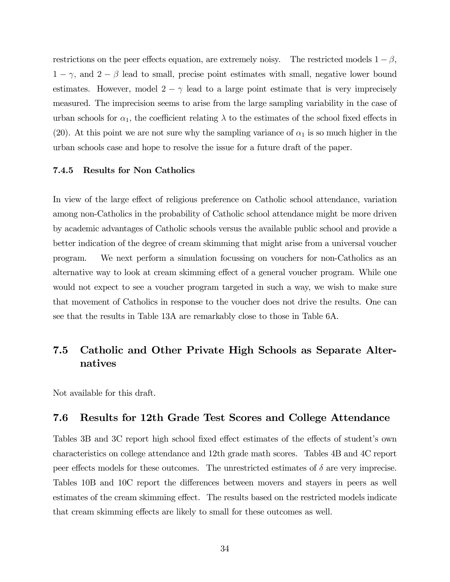restrictions on the peer effects equation, are extremely noisy. The restricted models  $1 - \beta$ ,  $1 - \gamma$ , and  $2 - \beta$  lead to small, precise point estimates with small, negative lower bound estimates. However, model  $2 - \gamma$  lead to a large point estimate that is very imprecisely measured. The imprecision seems to arise from the large sampling variability in the case of urban schools for  $\alpha_1$ , the coefficient relating  $\lambda$  to the estimates of the school fixed effects in (20). At this point we are not sure why the sampling variance of  $\alpha_1$  is so much higher in the urban schools case and hope to resolve the issue for a future draft of the paper.

#### 7.4.5 Results for Non Catholics

In view of the large effect of religious preference on Catholic school attendance, variation among non-Catholics in the probability of Catholic school attendance might be more driven by academic advantages of Catholic schools versus the available public school and provide a better indication of the degree of cream skimming that might arise from a universal voucher program. We next perform a simulation focussing on vouchers for non-Catholics as an alternative way to look at cream skimming effect of a general voucher program. While one would not expect to see a voucher program targeted in such a way, we wish to make sure that movement of Catholics in response to the voucher does not drive the results. One can see that the results in Table 13A are remarkably close to those in Table 6A.

### 7.5 Catholic and Other Private High Schools as Separate Alternatives

Not available for this draft.

### 7.6 Results for 12th Grade Test Scores and College Attendance

Tables 3B and 3C report high school fixed effect estimates of the effects of student's own characteristics on college attendance and 12th grade math scores. Tables 4B and 4C report peer effects models for these outcomes. The unrestricted estimates of  $\delta$  are very imprecise. Tables 10B and 10C report the differences between movers and stayers in peers as well estimates of the cream skimming effect. The results based on the restricted models indicate that cream skimming effects are likely to small for these outcomes as well.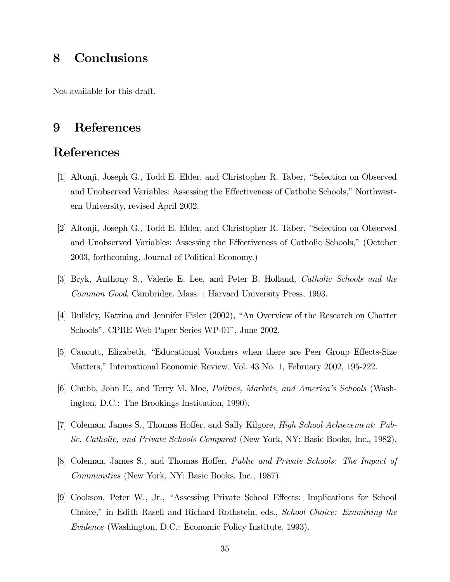## 8 Conclusions

Not available for this draft.

## 9 References

## References

- [1] Altonji, Joseph G., Todd E. Elder, and Christopher R. Taber, "Selection on Observed and Unobserved Variables: Assessing the Effectiveness of Catholic Schools," Northwestern University, revised April 2002.
- [2] Altonji, Joseph G., Todd E. Elder, and Christopher R. Taber, "Selection on Observed and Unobserved Variables: Assessing the Effectiveness of Catholic Schools," (October 2003, forthcoming, Journal of Political Economy.)
- [3] Bryk, Anthony S., Valerie E. Lee, and Peter B. Holland, Catholic Schools and the Common Good, Cambridge, Mass. : Harvard University Press, 1993.
- [4] Bulkley, Katrina and Jennifer Fisler (2002), "An Overview of the Research on Charter Schools", CPRE Web Paper Series WP-01", June 2002,
- [5] Caucutt, Elizabeth, "Educational Vouchers when there are Peer Group Effects-Size Matters," International Economic Review, Vol. 43 No. 1, February 2002, 195-222.
- [6] Chubb, John E., and Terry M. Moe, Politics, Markets, and America's Schools (Washington, D.C.: The Brookings Institution, 1990).
- [7] Coleman, James S., Thomas Hoffer, and Sally Kilgore, High School Achievement: Public, Catholic, and Private Schools Compared (New York, NY: Basic Books, Inc., 1982).
- [8] Coleman, James S., and Thomas Hoffer, Public and Private Schools: The Impact of Communities (New York, NY: Basic Books, Inc., 1987).
- [9] Cookson, Peter W., Jr., "Assessing Private School Effects: Implications for School Choice," in Edith Rasell and Richard Rothstein, eds., School Choice: Examining the Evidence (Washington, D.C.: Economic Policy Institute, 1993).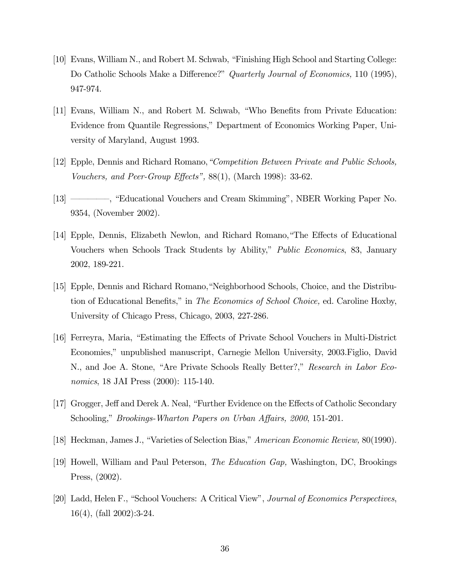- [10] Evans, William N., and Robert M. Schwab, "Finishing High School and Starting College: Do Catholic Schools Make a Difference?" Quarterly Journal of Economics, 110 (1995), 947-974.
- [11] Evans, William N., and Robert M. Schwab, "Who Benefits from Private Education: Evidence from Quantile Regressions," Department of Economics Working Paper, University of Maryland, August 1993.
- [12] Epple, Dennis and Richard Romano,"Competition Between Private and Public Schools, Vouchers, and Peer-Group Effects", 88(1), (March 1998): 33-62.
- [13] ––––—, "Educational Vouchers and Cream Skimming", NBER Working Paper No. 9354, (November 2002).
- [14] Epple, Dennis, Elizabeth Newlon, and Richard Romano,"The Effects of Educational Vouchers when Schools Track Students by Ability," Public Economics, 83, January 2002, 189-221.
- [15] Epple, Dennis and Richard Romano,"Neighborhood Schools, Choice, and the Distribution of Educational Benefits," in The Economics of School Choice, ed. Caroline Hoxby, University of Chicago Press, Chicago, 2003, 227-286.
- [16] Ferreyra, Maria, "Estimating the Effects of Private School Vouchers in Multi-District Economies," unpublished manuscript, Carnegie Mellon University, 2003.Figlio, David N., and Joe A. Stone, "Are Private Schools Really Better?," Research in Labor Economics, 18 JAI Press (2000): 115-140.
- [17] Grogger, Jeff and Derek A. Neal, "Further Evidence on the Effects of Catholic Secondary Schooling," Brookings-Wharton Papers on Urban Affairs, 2000, 151-201.
- [18] Heckman, James J., "Varieties of Selection Bias," American Economic Review, 80(1990).
- [19] Howell, William and Paul Peterson, The Education Gap, Washington, DC, Brookings Press, (2002).
- [20] Ladd, Helen F., "School Vouchers: A Critical View", Journal of Economics Perspectives, 16(4), (fall 2002):3-24.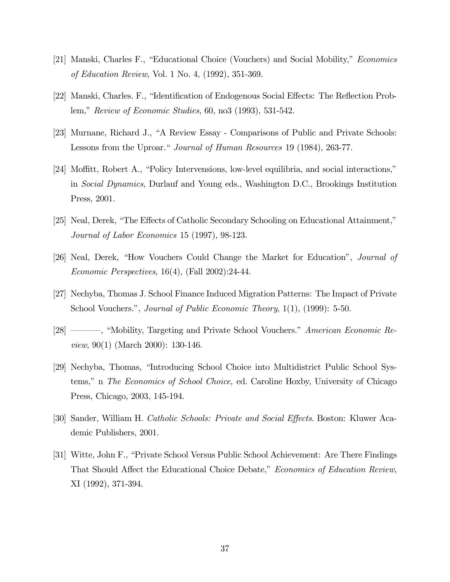- [21] Manski, Charles F., "Educational Choice (Vouchers) and Social Mobility," Economics of Education Review, Vol. 1 No. 4, (1992), 351-369.
- [22] Manski, Charles. F., "Identification of Endogenous Social Effects: The Reflection Problem," Review of Economic Studies, 60, no3 (1993), 531-542.
- [23] Murnane, Richard J., "A Review Essay Comparisons of Public and Private Schools: Lessons from the Uproar." Journal of Human Resources 19 (1984), 263-77.
- [24] Moffitt, Robert A., "Policy Intervensions, low-level equilibria, and social interactions," in Social Dynamics, Durlauf and Young eds., Washington D.C., Brookings Institution Press, 2001.
- [25] Neal, Derek, "The Effects of Catholic Secondary Schooling on Educational Attainment," Journal of Labor Economics 15 (1997), 98-123.
- [26] Neal, Derek, "How Vouchers Could Change the Market for Education", Journal of Economic Perspectives, 16(4), (Fall 2002):24-44.
- [27] Nechyba, Thomas J. School Finance Induced Migration Patterns: The Impact of Private School Vouchers.", *Journal of Public Economic Theory*, 1(1), (1999): 5-50.
- [28] –––—, "Mobility, Targeting and Private School Vouchers." American Economic Review, 90(1) (March 2000): 130-146.
- [29] Nechyba, Thomas, "Introducing School Choice into Multidistrict Public School Systems," n The Economics of School Choice, ed. Caroline Hoxby, University of Chicago Press, Chicago, 2003, 145-194.
- [30] Sander, William H. Catholic Schools: Private and Social Effects. Boston: Kluwer Academic Publishers, 2001.
- [31] Witte, John F., "Private School Versus Public School Achievement: Are There Findings That Should Affect the Educational Choice Debate," Economics of Education Review, XI (1992), 371-394.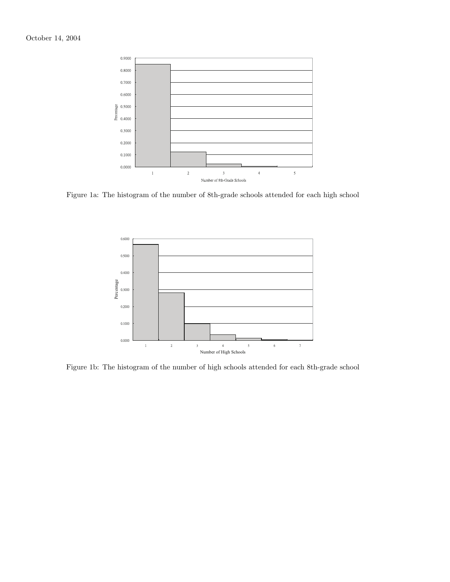

Figure 1a: The histogram of the number of 8th-grade schools attended for each high school



Figure 1b: The histogram of the number of high schools attended for each 8th-grade school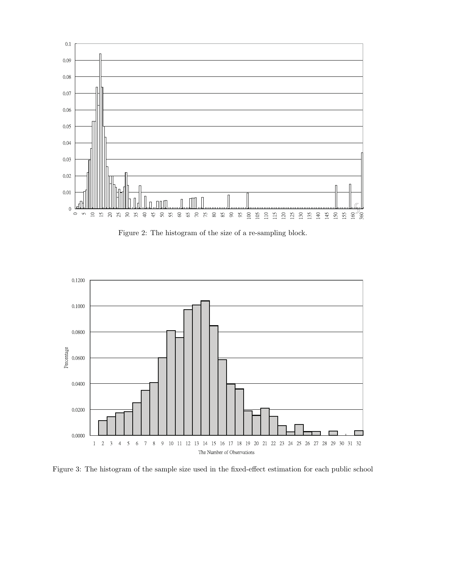

Figure 2: The histogram of the size of a re-sampling block.



Figure 3: The histogram of the sample size used in the fixed-effect estimation for each public school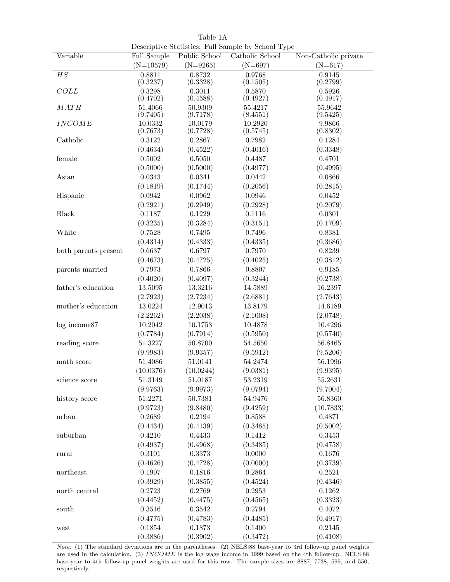|                      | Descriptive Statistics: Full Sample by School Type |                     |                     |                      |  |  |  |
|----------------------|----------------------------------------------------|---------------------|---------------------|----------------------|--|--|--|
| Variable             | Full Sample                                        | Public School       | Catholic School     | Non-Catholic private |  |  |  |
|                      | $(N=10579)$                                        | $(N=9265)$          | $(N=697)$           | $(N=617)$            |  |  |  |
| $\overline{HS}$      | 0.8811<br>(0.3237)                                 | 0.8732<br>(0.3328)  | 0.9768<br>(0.1505)  | 0.9145<br>(0.2799)   |  |  |  |
| COLL                 | 0.3298<br>(0.4702)                                 | 0.3011<br>(0.4588)  | 0.5870<br>(0.4927)  | 0.5926<br>(0.4917)   |  |  |  |
| MATH                 | 51.4066                                            | 50.9309             | 55.4217             | 55.9642              |  |  |  |
|                      | (9.7405)                                           | (9.7178)            | (8.4551)            | (9.5425)             |  |  |  |
| <b>INCOME</b>        | 10.0332<br>(0.7673)                                | 10.0179<br>(0.7728) | 10.2920<br>(0.5745) | 9.9866<br>(0.8302)   |  |  |  |
| Catholic             | 0.3122                                             | 0.2867              | 0.7982              | 0.1284               |  |  |  |
|                      | (0.4634)                                           | (0.4522)            | (0.4016)            | (0.3348)             |  |  |  |
| female               | 0.5002                                             | 0.5050              | 0.4487              | 0.4701               |  |  |  |
|                      | (0.5000)                                           | (0.5000)            | (0.4977)            | (0.4995)             |  |  |  |
| Asian                | 0.0343                                             | 0.0341              | 0.0442              | 0.0866               |  |  |  |
|                      | (0.1819)                                           | (0.1744)            | (0.2056)            | (0.2815)             |  |  |  |
| Hispanic             | 0.0942                                             | 0.0962              | 0.0946              | 0.0452               |  |  |  |
|                      | (0.2921)                                           | (0.2949)            | (0.2928)            | (0.2079)             |  |  |  |
| <b>Black</b>         | 0.1187                                             | 0.1229              | 0.1116              | 0.0301               |  |  |  |
|                      | (0.3235)                                           | (0.3284)            | (0.3151)            | (0.1709)             |  |  |  |
| White                | 0.7528                                             | 0.7495              | 0.7496              | 0.8381               |  |  |  |
|                      | (0.4314)                                           | (0.4333)            | (0.4335)            | (0.3686)             |  |  |  |
| both parents present | 0.6637                                             | 0.6797              | 0.7970              | 0.8239               |  |  |  |
|                      | (0.4673)                                           | (0.4725)            | (0.4025)            | (0.3812)             |  |  |  |
| parents married      | 0.7973                                             | 0.7866              | 0.8807              | 0.9185               |  |  |  |
|                      | (0.4020)                                           | (0.4097)            | (0.3244)            | (0.2738)             |  |  |  |
| father's education   | 13.5095                                            | 13.3216             | 14.5889             | 16.2397              |  |  |  |
|                      | (2.7923)                                           | (2.7234)            | (2.6881)            | (2.7643)             |  |  |  |
| mother's education   | 13.0224                                            | 12.9013             | 13.8179             | 14.6189              |  |  |  |
|                      | (2.2262)                                           | (2.2038)            | (2.1008)            | (2.0748)             |  |  |  |
| log income87         | 10.2042                                            | 10.1753             | 10.4878             | 10.4296              |  |  |  |
|                      | (0.7784)                                           | (0.7914)            | (0.5950)            | (0.5740)             |  |  |  |
| reading score        | 51.3227                                            | 50.8700             | 54.5650             | 56.8465              |  |  |  |
|                      | (9.9983)                                           | (9.9357)            | (9.5912)            | (9.5206)             |  |  |  |
| math score           | 51.4086                                            | 51.0141             | 54.2474             | 56.1996              |  |  |  |
|                      | (10.0376)                                          | (10.0244)           | (9.0381)            | (9.9395)             |  |  |  |
| science score        | 51.3149                                            | 51.0187             | 53.2319             | 55.2631              |  |  |  |
|                      | (9.9763)                                           | (9.9973)            | (9.0794)            | (9.7004)             |  |  |  |
| history score        | 51.2271                                            | 50.7381             | 54.9476             | 56.8360              |  |  |  |
|                      | (9.9723)                                           | (9.8480)            | (9.4259)            | (10.7833)            |  |  |  |
| urban                | 0.2689                                             | 0.2194              | 0.8588              | 0.4871               |  |  |  |
|                      | (0.4434)                                           | (0.4139)            | (0.3485)            | (0.5002)             |  |  |  |
| suburban             | 0.4210                                             | 0.4433              | 0.1412              | 0.3453               |  |  |  |
|                      | (0.4937)                                           | (0.4968)            | (0.3485)            | (0.4758)             |  |  |  |
| rural                | 0.3101                                             | 0.3373              | 0.0000              | 0.1676               |  |  |  |
|                      | (0.4626)                                           |                     |                     |                      |  |  |  |
| northeast            | 0.1907                                             | (0.4728)<br>0.1816  | (0.0000)<br>0.2864  | (0.3739)<br>0.2521   |  |  |  |
|                      |                                                    |                     |                     |                      |  |  |  |
|                      | (0.3929)                                           | (0.3855)            | (0.4524)            | (0.4346)             |  |  |  |
| north central        | 0.2723                                             | 0.2769              | 0.2953              | 0.1262               |  |  |  |
|                      | (0.4452)                                           | (0.4475)            | (0.4565)            | (0.3323)             |  |  |  |
| south                | 0.3516                                             | 0.3542              | 0.2794              | 0.4072               |  |  |  |
|                      | (0.4775)                                           | (0.4783)            | (0.4485)            | (0.4917)             |  |  |  |
| west                 | 0.1854                                             | 0.1873              | 0.1400              | 0.2145               |  |  |  |
|                      | (0.3886)                                           | (0.3902)            | (0.3472)            | (0.4108)             |  |  |  |

Table 1A

Note: (1) The standard deviations are in the parentheses. (2) NELS:88 base-year to 3rd follow-up panel weights are used in the calculation. (3) INCOME is the log wage income in 1999 based on the 4th follow-up. NELS:88 base-year to 4th follow-up panel weights are used for this row. The sample sizes are 8887, 7738, 599, and 550, respectively.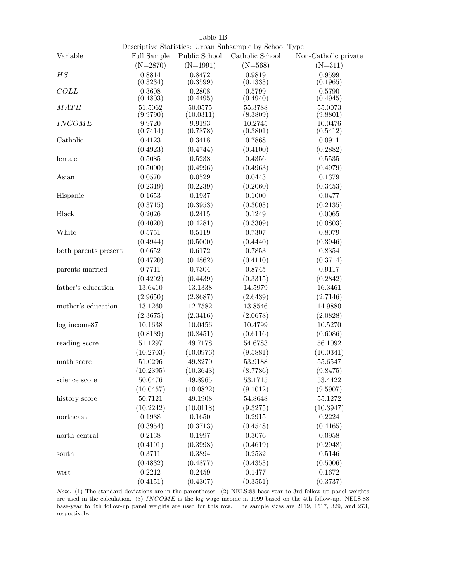|                      |                     |                      | Descriptive Statistics: Urban Subsample by School Type |                      |
|----------------------|---------------------|----------------------|--------------------------------------------------------|----------------------|
| Variable             | Full Sample         | Public School        | Catholic School                                        | Non-Catholic private |
|                      | $(N=2870)$          | $(N=1991)$           | $(N=568)$                                              | $(N=311)$            |
| $\overline{HS}$      | 0.8814<br>(0.3234)  | 0.8472<br>(0.3599)   | 0.9819<br>(0.1333)                                     | 0.9599<br>(0.1965)   |
| COLL                 | 0.3608<br>(0.4803)  | 0.2808<br>(0.4495)   | 0.5799<br>(0.4940)                                     | 0.5790<br>(0.4945)   |
| MATH                 | 51.5062<br>(9.9790) | 50.0575<br>(10.0311) | 55.3788<br>(8.3809)                                    | 55.0073<br>(9.8801)  |
| <b>INCOME</b>        | 9.9720<br>(0.7414)  | 9.9193<br>(0.7878)   | 10.2745<br>(0.3801)                                    | 10.0476<br>(0.5412)  |
| Catholic             | 0.4123              | 0.3418               | 0.7868                                                 | 0.0911               |
|                      | (0.4923)            | (0.4744)             | (0.4100)                                               | (0.2882)             |
| female               | 0.5085              | 0.5238               | 0.4356                                                 | $0.5535\,$           |
|                      | (0.5000)            | (0.4996)             | (0.4963)                                               | (0.4979)             |
| Asian                | 0.0570              | 0.0529               | 0.0443                                                 | 0.1379               |
|                      | (0.2319)            | (0.2239)             | (0.2060)                                               | (0.3453)             |
| Hispanic             | 0.1653              | 0.1937               | 0.1000                                                 | 0.0477               |
|                      | (0.3715)            | (0.3953)             | (0.3003)                                               | (0.2135)             |
| <b>Black</b>         | 0.2026              | 0.2415               | 0.1249                                                 | 0.0065               |
|                      | (0.4020)            | (0.4281)             | (0.3309)                                               | (0.0803)             |
| White                | 0.5751              | 0.5119               | 0.7307                                                 | 0.8079               |
|                      | (0.4944)            | (0.5000)             | (0.4440)                                               | (0.3946)             |
| both parents present | 0.6652              | 0.6172               | 0.7853                                                 | 0.8354               |
|                      | (0.4720)            | (0.4862)             | (0.4110)                                               | (0.3714)             |
| parents married      | 0.7711              | 0.7304               | 0.8745                                                 | 0.9117               |
|                      | (0.4202)            | (0.4439)             | (0.3315)                                               | (0.2842)             |
| father's education   | 13.6410             | 13.1338              | 14.5979                                                | 16.3461              |
|                      | (2.9650)            | (2.8687)             | (2.6439)                                               | (2.7146)             |
| mother's education   | 13.1260             | 12.7582              | 13.8546                                                | 14.9880              |
|                      | (2.3675)            | (2.3416)             | (2.0678)                                               | (2.0828)             |
| log income87         | 10.1638             | 10.0456              | 10.4799                                                | 10.5270              |
|                      | (0.8139)            | (0.8451)             | (0.6116)                                               | (0.6086)             |
| reading score        | 51.1297             | 49.7178              | 54.6783                                                | 56.1092              |
|                      | (10.2703)           | (10.0976)            | (9.5881)                                               | (10.0341)            |
| math score           | 51.0296             | 49.8270              | 53.9188                                                | $55.6547\,$          |
|                      | (10.2395)           | (10.3643)            | (8.7786)                                               | (9.8475)             |
| science score        | 50.0476             | 49.8965              | 53.1715                                                | 53.4422              |
|                      | (10.0457)           | (10.0822)            | (9.1012)                                               | (9.5907)             |
| history score        | 50.7121             | 49.1908              | 54.8648                                                | 55.1272              |
|                      | (10.2242)           | (10.0118)            | (9.3275)                                               | (10.3947)            |
| northeast            | 0.1938              | 0.1650               | 0.2915                                                 | 0.2224               |
|                      | (0.3954)            | (0.3713)             | (0.4548)                                               | (0.4165)             |
| north central        | 0.2138              | 0.1997               | 0.3076                                                 | 0.0958               |
|                      | (0.4101)            | (0.3998)             | (0.4619)                                               | (0.2948)             |
| south                | 0.3711              | 0.3894               | 0.2532                                                 | 0.5146               |
|                      | (0.4832)            | (0.4877)             | (0.4353)                                               | (0.5006)             |
| west                 | 0.2212              | 0.2459               | 0.1477                                                 | 0.1672               |
|                      | (0.4151)            | (0.4307)             | (0.3551)                                               | (0.3737)             |

Table 1B Descriptive Statistics: Urban Subsample by School Type

Note: (1) The standard deviations are in the parentheses. (2) NELS:88 base-year to 3rd follow-up panel weights are used in the calculation. (3)  $INCOME$  is the log wage income in 1999 based on the 4th follow-up. NELS:88 base-year to 4th follow-up panel weights are used for this row. The sample sizes are 2119, 1517, 329, and 273, respectively.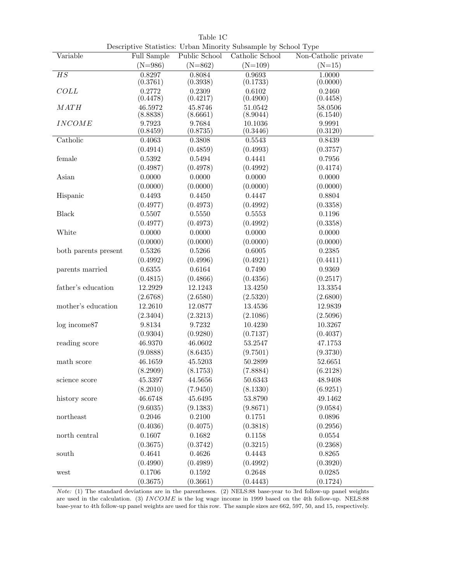|                      |                     |                     | Descriptive Statistics: Urban Minority Subsample by School Type |                      |
|----------------------|---------------------|---------------------|-----------------------------------------------------------------|----------------------|
| Variable             | Full Sample         | Public School       | Catholic School                                                 | Non-Catholic private |
|                      | $(N=986)$           | $(N=862)$           | $(N=109)$                                                       | $(N=15)$             |
| $\overline{HS}$      | 0.8297<br>(0.3761)  | 0.8084<br>(0.3938)  | 0.9693<br>(0.1733)                                              | 1.0000<br>(0.0000)   |
| COLL                 | 0.2772<br>(0.4478)  | 0.2309<br>(0.4217)  | 0.6102<br>(0.4900)                                              | 0.2460<br>(0.4458)   |
| MATH                 | 46.5972<br>(8.8838) | 45.8746<br>(8.6661) | 51.0542<br>(8.9044)                                             | 58.0506<br>(6.1540)  |
| <b>INCOME</b>        | 9.7923<br>(0.8459)  | 9.7684<br>(0.8735)  | 10.1036<br>(0.3446)                                             | 9.9991<br>(0.3120)   |
| Catholic             | 0.4063              | 0.3808              | 0.5543                                                          | 0.8439               |
|                      | (0.4914)            | (0.4859)            | (0.4993)                                                        | (0.3757)             |
| female               | 0.5392              | 0.5494              | 0.4441                                                          | 0.7956               |
|                      | (0.4987)            | (0.4978)            | (0.4992)                                                        | (0.4174)             |
| Asian                | 0.0000              | 0.0000              | 0.0000                                                          | 0.0000               |
|                      | (0.0000)            | (0.0000)            | (0.0000)                                                        | (0.0000)             |
| Hispanic             | 0.4493              | 0.4450              | 0.4447                                                          | 0.8804               |
|                      | (0.4977)            | (0.4973)            | (0.4992)                                                        | (0.3358)             |
| <b>Black</b>         | 0.5507              | 0.5550              | 0.5553                                                          | 0.1196               |
|                      | (0.4977)            | (0.4973)            | (0.4992)                                                        | (0.3358)             |
| White                | 0.0000              | 0.0000              | 0.0000                                                          | 0.0000               |
|                      | (0.0000)            | (0.0000)            | (0.0000)                                                        | (0.0000)             |
| both parents present | 0.5326              | 0.5266              | 0.6005                                                          | 0.2385               |
|                      | (0.4992)            | (0.4996)            | (0.4921)                                                        | (0.4411)             |
| parents married      | 0.6355              | 0.6164              | 0.7490                                                          | 0.9369               |
|                      | (0.4815)            | (0.4866)            | (0.4356)                                                        | (0.2517)             |
| father's education   | 12.2929             | 12.1243             | 13.4250                                                         | 13.3354              |
|                      | (2.6768)            | (2.6580)            | (2.5320)                                                        | (2.6800)             |
| mother's education   | 12.2610             | 12.0877             | 13.4536                                                         | 12.9839              |
|                      | (2.3404)            | (2.3213)            | (2.1086)                                                        | (2.5096)             |
| log income87         | 9.8134              | 9.7232              | 10.4230                                                         | 10.3267              |
|                      | (0.9304)            | (0.9280)            | (0.7137)                                                        | (0.4037)             |
| reading score        | 46.9370             | 46.0602             | 53.2547                                                         | 47.1753              |
|                      | (9.0888)            | (8.6435)            | (9.7501)                                                        | (9.3730)             |
| math score           | 46.1659             | 45.5203             | 50.2899                                                         | 52.6651              |
|                      | (8.2909)            | (8.1753)            | (7.8884)                                                        | (6.2128)             |
| science score        | 45.3397             | 44.5656             | 50.6343                                                         | 48.9408              |
|                      | (8.2010)            | (7.9450)            | (8.1330)                                                        | (6.9251)             |
| history score        | 46.6748             | 45.6495             | 53.8790                                                         | 49.1462              |
|                      | (9.6035)            | (9.1383)            | (9.8671)                                                        | (9.0584)             |
| northeast            | 0.2046              | 0.2100              | 0.1751                                                          | 0.0896               |
|                      | (0.4036)            | (0.4075)            | (0.3818)                                                        | (0.2956)             |
| north central        | 0.1607              | 0.1682              | 0.1158                                                          | 0.0554               |
|                      | (0.3675)            | (0.3742)            | (0.3215)                                                        | (0.2368)             |
| south                | 0.4641              | 0.4626              | 0.4443                                                          | 0.8265               |
|                      | (0.4990)            | (0.4989)            | (0.4992)                                                        | (0.3920)             |
| west                 | 0.1706              | 0.1592              | 0.2648                                                          | 0.0285               |
|                      | (0.3675)            | (0.3661)            | (0.4443)                                                        | (0.1724)             |

Table 1C Descriptive Statistics: Urban Minority Subsample by School Type

Note: (1) The standard deviations are in the parentheses. (2) NELS:88 base-year to 3rd follow-up panel weights are used in the calculation. (3) INCOME is the log wage income in 1999 based on the 4th follow-up. NELS:88 base-year to 4th follow-up panel weights are used for this row. The sample sizes are 662, 597, 50, and 15, respectively.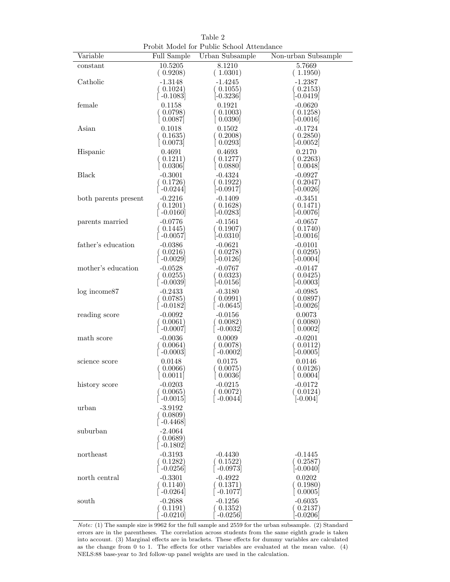|                      |                                                  | Probit Model for Public School Attendance |                     |
|----------------------|--------------------------------------------------|-------------------------------------------|---------------------|
| Variable             | Full Sample                                      | Urban Subsample                           | Non-urban Subsample |
| $_{\rm constant}$    | 10.5205                                          | 8.1210                                    | 5.7669              |
|                      | (0.9208)                                         | (1.0301)                                  | (1.1950)            |
| Catholic             | $-1.3148$                                        | $-1.4245$                                 | $-1.2387$           |
|                      | (0.1024)                                         | 0.1055)                                   | (0.2153)            |
|                      | [`-0.1083]                                       | $[-0.3236]$                               | $[-0.0419]$         |
| female               | 0.1158                                           | 0.1921                                    | $-0.0620$           |
|                      | $( \; 0.0798)$                                   | 0.1003)                                   | $( \ 0.1258)$       |
|                      | 0.0087                                           | 0.0390                                    | $[-0.0016]$         |
| Asian                | 0.1018                                           | 0.1502                                    | $-0.1724$           |
|                      | (0.1635)                                         | 0.2008)                                   | (0.2850)            |
|                      | 0.0073                                           | 0.0293                                    | $[-0.0052]$         |
| Hispanic             | 0.4691                                           | 0.4693                                    | 0.2170              |
|                      | 0.1211)                                          | 0.1277                                    | 0.2263)             |
|                      | $\left[0.0306\right]$                            | 0.0880                                    | $\mid 0.0048 \mid$  |
| <b>Black</b>         | $-0.3001$                                        | $-0.4324$                                 | $-0.0927$           |
|                      | (0.1726)                                         | $( \; 0.1922)$                            | (0.2047)            |
|                      | $\left[ \, -0.0244 \right]$                      | -0.0917                                   | $[-0.0026]$         |
| both parents present | $-0.2216$                                        | $-0.1409$                                 | $-0.3451$           |
|                      | (0.1201)                                         | 0.1628)                                   | (0.1471)            |
|                      | $\left[ -0.0160 \right]$                         | $[-0.0283]$                               | $[-0.0076]$         |
| parents married      | $-0.0776$                                        | $-0.1561$                                 | $-0.0657$           |
|                      | (0.1445)                                         | 0.1907)                                   | 0.1740)             |
|                      | $\lceil$ -0.0057]                                | $[-0.0310]$                               | $[-0.0016]$         |
| father's education   | $-0.0386$                                        | $-0.0621$                                 | $-0.0101$           |
|                      | (0.0216)                                         | 0.0278)                                   | (0.0295)            |
|                      | $\left[ -0.0029\right]$                          | $[-0.0126]$                               | $[-0.0004]$         |
| mother's education   | $-0.0528$                                        | $-0.0767$                                 | $-0.0147$           |
|                      | (0.0255)                                         | $( \; 0.0323)$                            | (0.0425)            |
|                      | $\left[ -0.0039 \right]$                         | $[-0.0156]$                               | $[-0.0003]$         |
| $log$ income $87$    | $-0.2433$                                        | $-0.3180$                                 | $-0.0985$           |
|                      | (0.0785)                                         | (0.0991)                                  | $( \; 0.0897)$      |
|                      | $\lceil -0.0182 \rceil$                          | $-0.0645$                                 | $[-0.0026]$         |
| reading score        | $-0.0092$                                        | $-0.0156$                                 | 0.0073              |
|                      | (0.0061)                                         | (0.0082)                                  | 0.0080)             |
|                      | $\hat{-}0.0007$                                  | $-0.0032$                                 | 0.0002              |
| math score           | $-0.0036$                                        | 0.0009                                    | $-0.0201$           |
|                      | (0.0064)                                         | (0.0078)                                  | ( 0.0112)           |
|                      | $\lceil -0.0003 \rceil$                          | $\left[ -0.0002\right]$                   | $[-0.0005]$         |
| science score        | 0.0148                                           | 0.0175                                    | 0.0146              |
|                      | 0.0066)                                          | 0.0075                                    | 0.0126)             |
|                      | [0.0011]                                         | [0.0036]                                  | [0.0004]            |
| history score        | $-0.0203$                                        | $-0.0215$                                 | $-0.0172$           |
|                      | (0.0065)                                         | (0.0072)                                  | (0.0124)            |
|                      | $\lceil -0.0015 \rceil$                          | $\left[ -0.0044\right]$                   | $[-0.004]$          |
| urban                | $-3.9192$<br>(0.0809)<br>$-0.4468$               |                                           |                     |
| suburban             | $-2.4064$<br>(0.0689)<br>$\lceil -0.1802 \rceil$ |                                           |                     |
| northeast            | $-0.3193$                                        | $-0.4430$                                 | $-0.1445$           |
|                      | (0.1282)                                         | (0.1522)                                  | (0.2587)            |
|                      | $\lceil -0.0256 \rceil$                          | $\left[ -0.0973\right]$                   | $[-0.0040]$         |
| north central        | $-0.3301$                                        | $-0.4922$                                 | 0.0202              |
|                      | (0.1140)                                         | (0.1371)                                  | 0.1980)             |
|                      | $\lceil -0.0264 \rceil$                          | $-0.1077$                                 | 0.0005              |
| south                | $-0.2688$                                        | $-0.1256$                                 | $-0.6035$           |
|                      | (0.1191)                                         | (0.1352)                                  | 0.2137)             |
|                      | $-0.0210$                                        | $-0.0256$                                 | $-0.0206$           |

Table 2

Note: (1) The sample size is 9962 for the full sample and 2559 for the urban subsample. (2) Standard errors are in the parentheses. The correlation across students from the same eighth grade is taken into account. (3) Marginal effects are in brackets. These effects for dummy variables are calculated as the change from 0 to 1. The effects for other variables are evaluated at the mean value. (4) NELS:88 base-year to 3rd follow-up panel weights are used in the calculation.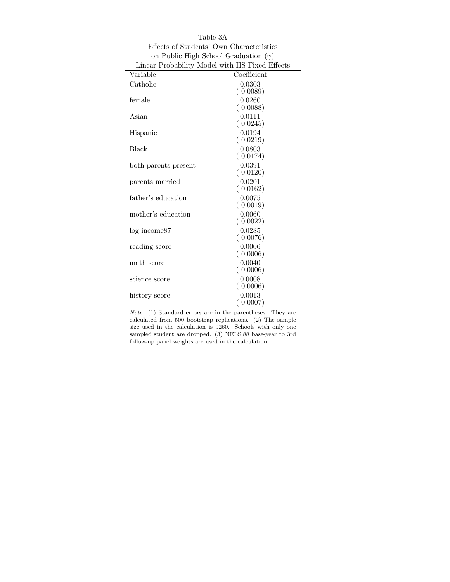| Linear Probability Model with HS Fixed Effects |                    |
|------------------------------------------------|--------------------|
| Variable                                       | Coefficient        |
| Catholic                                       | 0.0303             |
|                                                | (0.0089)           |
| female                                         | 0.0260             |
|                                                | (0.0088)           |
| Asian                                          | 0.0111             |
|                                                | (0.0245)           |
| Hispanic                                       | 0.0194             |
|                                                | (0.0219)           |
| <b>Black</b>                                   | 0.0803             |
|                                                | (0.0174)           |
| both parents present                           | 0.0391             |
|                                                | (0.0120)           |
| parents married                                | 0.0201             |
|                                                | (0.0162)           |
| father's education                             | 0.0075<br>(0.0019) |
| mother's education                             | 0.0060             |
|                                                | (0.0022)           |
| log income87                                   | 0.0285             |
|                                                | (0.0076)           |
| reading score                                  | 0.0006             |
|                                                | (0.0006)           |
| math score                                     | 0.0040             |
|                                                | (0.0006)           |
| science score                                  | 0.0008             |
|                                                | (0.0006)           |
| history score                                  | 0.0013             |
|                                                | (0.0007)           |

Table 3A Effects of Students' Own Characteristics on Public High School Graduation  $(\gamma)$ 

Note: (1) Standard errors are in the parentheses. They are calculated from 500 bootstrap replications. (2) The sample size used in the calculation is 9260. Schools with only one sampled student are dropped. (3) NELS:88 base-year to 3rd follow-up panel weights are used in the calculation.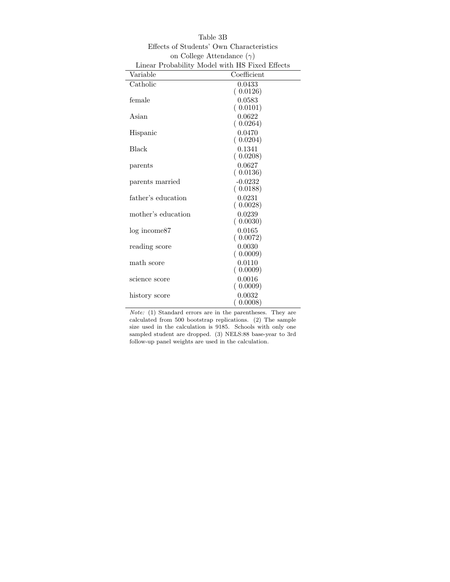|                    | Linear Probability Model with HS Fixed Effects |
|--------------------|------------------------------------------------|
| Variable           | Coefficient                                    |
| Catholic           | 0.0433                                         |
|                    | (0.0126)                                       |
| female             | 0.0583                                         |
|                    | (0.0101)                                       |
| Asian              | 0.0622                                         |
|                    | (0.0264)                                       |
| Hispanic           | 0.0470                                         |
|                    | (0.0204)<br>0.1341                             |
| Black              | (0.0208)                                       |
| parents            | 0.0627                                         |
|                    | (0.0136)                                       |
| parents married    | $-0.0232$                                      |
|                    | (0.0188)                                       |
| father's education | 0.0231                                         |
|                    | (0.0028)                                       |
| mother's education | 0.0239                                         |
|                    | (0.0030)                                       |
| log income87       | 0.0165                                         |
|                    | (0.0072)                                       |
| reading score      | 0.0030                                         |
|                    | (0.0009)                                       |
| math score         | 0.0110<br>(0.0009)                             |
| science score      | 0.0016                                         |
|                    | (0.0009)                                       |
| history score      | 0.0032                                         |
|                    | 0.0008)                                        |

Table 3B Effects of Students' Own Characteristics on College Attendance  $(\gamma)$ 

Note: (1) Standard errors are in the parentheses. They are calculated from 500 bootstrap replications. (2) The sample size used in the calculation is 9185. Schools with only one sampled student are dropped. (3) NELS:88 base-year to 3rd follow-up panel weights are used in the calculation.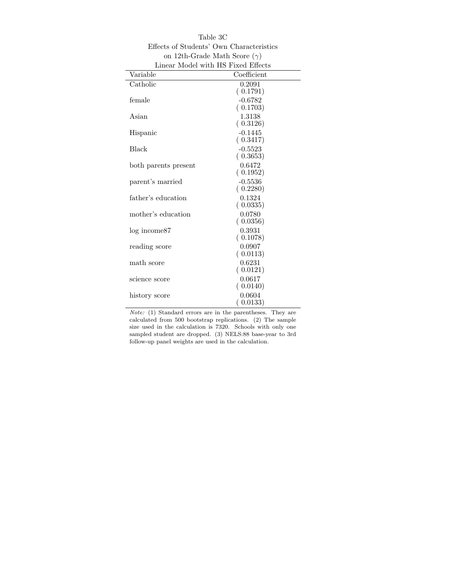| Linear Model with HS Fixed Effects |                       |
|------------------------------------|-----------------------|
| Variable                           | Coefficient           |
| Catholic                           | 0.2091                |
|                                    | (0.1791)              |
| female                             | $-0.6782$             |
|                                    | (0.1703)              |
| Asian                              | 1.3138                |
|                                    | (0.3126)              |
| Hispanic                           | $-0.1445$             |
|                                    | (0.3417)              |
| Black                              | $-0.5523$<br>(0.3653) |
|                                    | 0.6472                |
| both parents present               | (0.1952)              |
| parent's married                   | $-0.5536$             |
|                                    | (0.2280)              |
| father's education                 | 0.1324                |
|                                    | (0.0335)              |
| mother's education                 | 0.0780                |
|                                    | (0.0356)              |
| log income87                       | 0.3931                |
|                                    | (0.1078)              |
| reading score                      | 0.0907                |
|                                    | (0.0113)              |
| math score                         | 0.6231                |
|                                    | (0.0121)              |
| science score                      | 0.0617                |
|                                    | (0.0140)              |
| history score                      | 0.0604<br>0.0133)     |
|                                    |                       |

Table 3C Effects of Students' Own Characteristics on 12th-Grade Math Score  $(\gamma)$ 

Note: (1) Standard errors are in the parentheses. They are calculated from 500 bootstrap replications. (2) The sample size used in the calculation is 7320. Schools with only one sampled student are dropped. (3) NELS:88 base-year to 3rd follow-up panel weights are used in the calculation.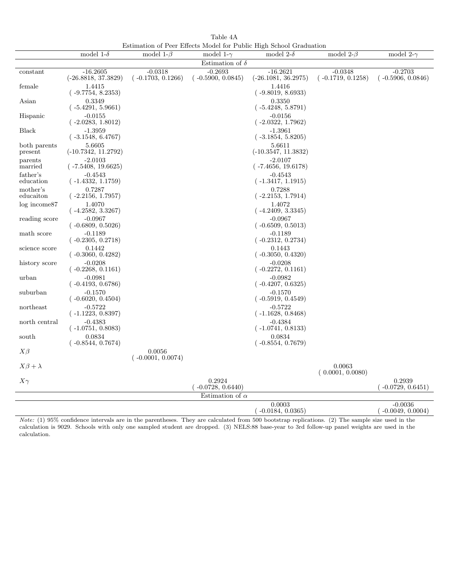Table 4A Estimation of Peer Effects Model for Public High School Graduation

|                         | model 1- $\delta$                          | model 1- $\beta$                 | model 1- $\gamma$                | Louinauon of Fed Lifecto model for Fabile High behoof Graduation<br>model 2- $\delta$ | model 2- $\beta$                 | model 2- $\gamma$                |
|-------------------------|--------------------------------------------|----------------------------------|----------------------------------|---------------------------------------------------------------------------------------|----------------------------------|----------------------------------|
|                         |                                            |                                  | Estimation of $\delta$           |                                                                                       |                                  |                                  |
| constant                | $-16.2605$<br>$(-26.8818, 37.3829)$        | $-0.0318$<br>$(-0.1703, 0.1266)$ | $-0.2693$<br>$(-0.5900, 0.0845)$ | $-16.2621$<br>$(-26.1081, 36.2975)$                                                   | $-0.0348$<br>$(-0.1719, 0.1258)$ | $-0.2703$<br>$(-0.5906, 0.0846)$ |
| female                  | 1.4415<br>$(-9.7754, 8.2353)$              |                                  |                                  | 1.4416<br>$(-9.8019, 8.6933)$                                                         |                                  |                                  |
| Asian                   | 0.3349<br>$(-5.4291, 5.9661)$              |                                  |                                  | 0.3350<br>$(-5.4248, 5.8791)$                                                         |                                  |                                  |
| Hispanic                | $-0.0155$<br>$(-2.0283, 1.8012)$           |                                  |                                  | $-0.0156$<br>$(-2.0322, 1.7962)$                                                      |                                  |                                  |
| <b>Black</b>            | $-1.3959$<br>$(-3.1548, 6.4767)$           |                                  |                                  | $-1.3961$<br>$(-3.1854, 5.8205)$                                                      |                                  |                                  |
| both parents<br>present | 5.6605<br>$(-10.7342, 11.2792)$            |                                  |                                  | 5.6611<br>$(-10.3547, 11.3832)$                                                       |                                  |                                  |
| parents<br>married      | $-2.0103$<br>$(-7.5408, 19.6625)$          |                                  |                                  | $-2.0107$<br>$(-7.4656, 19.6178)$                                                     |                                  |                                  |
| father's<br>education   | $-0.4543$<br>$(-1.4332, 1.1759)$           |                                  |                                  | $-0.4543$<br>$(-1.3417, 1.1915)$                                                      |                                  |                                  |
| mother's<br>educaiton   | 0.7287<br>$(-2.2156, 1.7957)$              |                                  |                                  | 0.7288<br>$(-2.2153, 1.7914)$                                                         |                                  |                                  |
| log income87            | 1.4070<br>$(-4.2582, 3.3267)$              |                                  |                                  | 1.4072<br>$(-4.2409, 3.3345)$                                                         |                                  |                                  |
| reading score           | $-0.0967$<br>$(-0.6809, 0.5026)$           |                                  |                                  | $-0.0967$<br>$(-0.6509, 0.5013)$                                                      |                                  |                                  |
| math score              | $-0.1189$<br>$(-0.2305, 0.2718)$           |                                  |                                  | $-0.1189$<br>$(-0.2312, 0.2734)$                                                      |                                  |                                  |
| science score           | 0.1442<br>$(-0.3060, 0.4282)$              |                                  |                                  | 0.1443<br>$(-0.3050, 0.4320)$                                                         |                                  |                                  |
| history score           | $-0.0208$<br>$(-0.2268, 0.1161)$           |                                  |                                  | $-0.0208$<br>$(-0.2272, 0.1161)$                                                      |                                  |                                  |
| urban                   | $-0.0981$<br>( -0.4193, 0.6786)            |                                  |                                  | $-0.0982$<br>$(-0.4207, 0.6325)$                                                      |                                  |                                  |
| suburban                | $-0.1570$<br>$(-0.6020, 0.4504)$           |                                  |                                  | $-0.1570$<br>$(-0.5919, 0.4549)$                                                      |                                  |                                  |
| northeast               | $-0.5722$<br>( -1.1223, 0.8397)            |                                  |                                  | $-0.5722$<br>$(-1.1628, 0.8468)$                                                      |                                  |                                  |
| north central           | $-0.4383$<br>$(-1.0751, 0.8083)$<br>0.0834 |                                  |                                  | $-0.4384$<br>$(-1.0741, 0.8133)$<br>0.0834                                            |                                  |                                  |
| south                   | ( -0.8544, 0.7674)                         |                                  |                                  | $(-0.8554, 0.7679)$                                                                   |                                  |                                  |
| $X\beta$                |                                            | 0.0056<br>$(-0.0001, 0.0074)$    |                                  |                                                                                       |                                  |                                  |
| $X\beta+\lambda$        |                                            |                                  |                                  |                                                                                       | 0.0063<br>(0.0001, 0.0080)       |                                  |
| $X\gamma$               |                                            |                                  | 0.2924<br>$-0.0728, 0.6440$      |                                                                                       |                                  | 0.2939<br>$-0.0729, 0.6451)$     |
|                         |                                            |                                  | Estimation of $\alpha$           |                                                                                       |                                  |                                  |
|                         |                                            |                                  |                                  | 0.0003<br>$(-0.0184, 0.0365)$                                                         |                                  | $-0.0036$<br>$(-0.0049, 0.0004)$ |

Note: (1) 95% confidence intervals are in the parentheses. They are calculated from 500 bootstrap replications. (2) The sample size used in the calculation is 9029. Schools with only one sampled student are dropped. (3) NELS:88 base-year to 3rd follow-up panel weights are used in the calculation.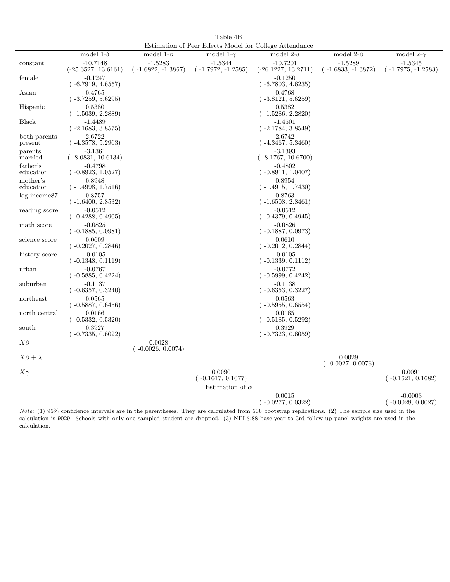Table 4B Estimation of Peer Effects Model for College Attendance

|                         | model 1- $\delta$                   | model 1- $\beta$                  | ESUTTRATION OF FEET ENTERED MODEL TOP CONTERED ATTENUATIVE<br>model 1- $\gamma$ | model 2- $\delta$                   | model 2- $\beta$                  | model 2- $\gamma$                 |
|-------------------------|-------------------------------------|-----------------------------------|---------------------------------------------------------------------------------|-------------------------------------|-----------------------------------|-----------------------------------|
| constant                | $-10.7148$<br>$(-25.6527, 13.6161)$ | $-1.5283$<br>$(-1.6822, -1.3867)$ | $-1.5344$<br>$(-1.7972, -1.2585)$                                               | $-10.7201$<br>$(-26.1227, 13.2711)$ | $-1.5289$<br>$(-1.6833, -1.3872)$ | $-1.5345$<br>$(-1.7975, -1.2583)$ |
| female                  | $-0.1247$<br>$(-6.7919, 4.6557)$    |                                   |                                                                                 | $-0.1250$<br>$(-6.7803, 4.6235)$    |                                   |                                   |
| Asian                   | 0.4765<br>$(-3.7259, 5.6295)$       |                                   |                                                                                 | 0.4768<br>$(-3.8121, 5.6259)$       |                                   |                                   |
| Hispanic                | 0.5380<br>$(-1.5039, 2.2889)$       |                                   |                                                                                 | 0.5382<br>$(-1.5286, 2.2820)$       |                                   |                                   |
| Black                   | $-1.4489$<br>$(-2.1683, 3.8575)$    |                                   |                                                                                 | $-1.4501$<br>$(-2.1784, 3.8549)$    |                                   |                                   |
| both parents<br>present | 2.6722<br>$(-4.3578, 5.2963)$       |                                   |                                                                                 | 2.6742<br>$(-4.3467, 5.3460)$       |                                   |                                   |
| parents<br>married      | $-3.1361$<br>$(-8.0831, 10.6134)$   |                                   |                                                                                 | $-3.1393$<br>$(-8.1767, 10.6700)$   |                                   |                                   |
| father's<br>education   | $-0.4798$<br>$(-0.8923, 1.0527)$    |                                   |                                                                                 | $-0.4802$<br>$(-0.8911, 1.0407)$    |                                   |                                   |
| mother's<br>education   | 0.8948<br>$(-1.4998, 1.7516)$       |                                   |                                                                                 | 0.8954<br>$(-1.4915, 1.7430)$       |                                   |                                   |
| $log$ income $87$       | 0.8757<br>$(-1.6400, 2.8532)$       |                                   |                                                                                 | 0.8763<br>$(-1.6508, 2.8461)$       |                                   |                                   |
| reading score           | $-0.0512$<br>$(-0.4288, 0.4905)$    |                                   |                                                                                 | $-0.0512$<br>$(-0.4379, 0.4945)$    |                                   |                                   |
| math score              | $-0.0825$<br>$(-0.1885, 0.0981)$    |                                   |                                                                                 | $-0.0826$<br>$(-0.1887, 0.0973)$    |                                   |                                   |
| science score           | 0.0609<br>$(-0.2027, 0.2846)$       |                                   |                                                                                 | 0.0610<br>$(-0.2012, 0.2844)$       |                                   |                                   |
| history score           | $-0.0105$<br>( -0.1348, 0.1119)     |                                   |                                                                                 | $-0.0105$<br>$(-0.1339, 0.1112)$    |                                   |                                   |
| urban                   | $-0.0767$<br>$(-0.5885, 0.4224)$    |                                   |                                                                                 | $-0.0772$<br>$(-0.5999, 0.4242)$    |                                   |                                   |
| suburban                | $-0.1137$<br>$(-0.6357, 0.3240)$    |                                   |                                                                                 | $-0.1138$<br>$(-0.6353, 0.3227)$    |                                   |                                   |
| northeast               | 0.0565<br>$(-0.5887, 0.6456)$       |                                   |                                                                                 | 0.0563<br>$(-0.5955, 0.6554)$       |                                   |                                   |
| north central           | 0.0166<br>$(-0.5332, 0.5320)$       |                                   |                                                                                 | 0.0165<br>$(-0.5185, 0.5292)$       |                                   |                                   |
| south                   | 0.3927<br>$(-0.7335, 0.6022)$       |                                   |                                                                                 | 0.3929<br>$(-0.7323, 0.6059)$       |                                   |                                   |
| $X\beta$                |                                     | 0.0028<br>$(-0.0026, 0.0074)$     |                                                                                 |                                     |                                   |                                   |
| $X\beta+\lambda$        |                                     |                                   |                                                                                 |                                     | 0.0029<br>$(-0.0027, 0.0076)$     |                                   |
| $X\gamma$               |                                     |                                   | 0.0090<br>$(-0.1617, 0.1677)$                                                   |                                     |                                   | 0.0091<br>$(-0.1621, 0.1682)$     |
|                         |                                     |                                   | Estimation of $\alpha$                                                          |                                     |                                   |                                   |
|                         |                                     |                                   |                                                                                 | 0.0015<br>$(-0.0277, 0.0322)$       |                                   | $-0.0003$<br>$(-0.0028, 0.0027)$  |

Note: (1) 95% confidence intervals are in the parentheses. They are calculated from 500 bootstrap replications. (2) The sample size used in the calculation is 9029. Schools with only one sampled student are dropped. (3) NELS:88 base-year to 3rd follow-up panel weights are used in the calculation.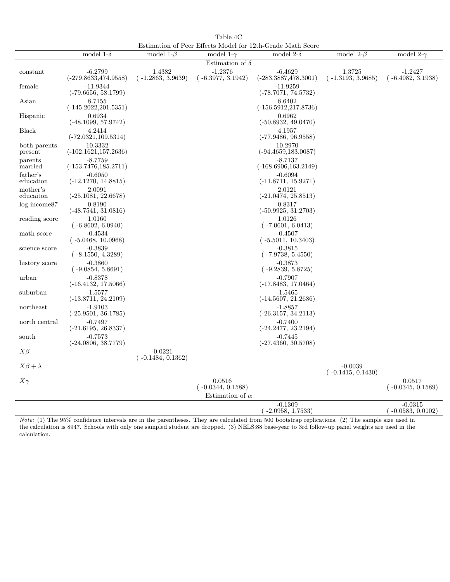Table 4C Estimation of Peer Effects Model for 12th-Grade Math Score

|                         | model 1- $\delta$                    | model 1- $\beta$                 | model 1- $\gamma$                | взинкалон ог г сег влесаз модет юг тдан-еладе маан юсоге<br>model 2- $\delta$ | model 2- $\beta$                 | model 2- $\gamma$                |
|-------------------------|--------------------------------------|----------------------------------|----------------------------------|-------------------------------------------------------------------------------|----------------------------------|----------------------------------|
|                         |                                      |                                  | Estimation of $\delta$           |                                                                               |                                  |                                  |
| constant                | $-6.2799$<br>$(-279.8633, 474.9558)$ | 1.4382<br>$(-1.2863, 3.9639)$    | $-1.2376$<br>$(-6.3977, 3.1942)$ | $-6.4629$<br>$(-283.3887, 478.3001)$                                          | 1.3725<br>$(-1.3193, 3.9685)$    | $-1.2427$<br>$(-6.4082, 3.1938)$ |
| female                  | $-11.9344$<br>$(-79.6656, 58.1799)$  |                                  |                                  | $-11.9259$<br>$(-78.7071, 74.5732)$                                           |                                  |                                  |
| Asian                   | 8.7155<br>$(-145.2022, 201.5351)$    |                                  |                                  | 8.6402<br>$(-156.5912, 217.8736)$                                             |                                  |                                  |
| Hispanic                | 0.6934<br>$(-48.1099, 57.9742)$      |                                  |                                  | 0.6962<br>$(-50.8932, 49.0470)$                                               |                                  |                                  |
| <b>Black</b>            | 4.2414<br>$(-72.0321, 109.5314)$     |                                  |                                  | 4.1957<br>$(-77.9486, 96.9558)$                                               |                                  |                                  |
| both parents<br>present | 10.3332<br>$(-102.1621, 157.2636)$   |                                  |                                  | 10.2970<br>$(-94.4659, 183.0087)$                                             |                                  |                                  |
| parents<br>married      | $-8.7759$<br>$(-153.7476, 185.2711)$ |                                  |                                  | $-8.7137$<br>$(-168.6906, 163.2149)$                                          |                                  |                                  |
| father's<br>education   | $-0.6050$<br>$(-12.1270, 14.8815)$   |                                  |                                  | $-0.6094$<br>$(-11.8711, 15.9271)$                                            |                                  |                                  |
| mother's<br>educaiton   | 2.0091<br>$(-25.1081, 22.6678)$      |                                  |                                  | 2.0121<br>$(-21.0474, 25.8513)$                                               |                                  |                                  |
| $log$ income $87$       | 0.8190<br>$(-48.7541, 31.0816)$      |                                  |                                  | 0.8317<br>$(-50.9925, 31.2703)$                                               |                                  |                                  |
| reading score           | 1.0160<br>$(-6.8602, 6.0940)$        |                                  |                                  | 1.0126<br>$(-7.0601, 6.0413)$                                                 |                                  |                                  |
| math score              | $-0.4534$<br>$(-5.0468, 10.0968)$    |                                  |                                  | $-0.4507$<br>$(-5.5011, 10.3403)$                                             |                                  |                                  |
| science score           | $-0.3839$<br>$(-8.1550, 4.3289)$     |                                  |                                  | $-0.3815$<br>$(-7.9738, 5.4550)$                                              |                                  |                                  |
| history score           | $-0.3860$<br>$(-9.0854, 5.8691)$     |                                  |                                  | $-0.3873$<br>$(-9.2839, 5.8725)$                                              |                                  |                                  |
| urban                   | $-0.8378$<br>$(-16.4132, 17.5066)$   |                                  |                                  | $-0.7907$<br>$(-17.8483, 17.0464)$                                            |                                  |                                  |
| suburban                | $-1.5577$<br>$(-13.8711, 24.2109)$   |                                  |                                  | $-1.5465$<br>$(-14.5607, 21.2686)$                                            |                                  |                                  |
| northeast               | $-1.9103$<br>$(-25.9501, 36.1785)$   |                                  |                                  | $-1.8857$<br>$(-26.3157, 34.2113)$                                            |                                  |                                  |
| north central           | $-0.7497$<br>$(-21.6195, 26.8337)$   |                                  |                                  | $-0.7400$<br>$(-24.2477, 23.2194)$                                            |                                  |                                  |
| south                   | $-0.7573$<br>$(-24.0806, 38.7779)$   |                                  |                                  | $-0.7445$<br>$(-27.4360, 30.5708)$                                            |                                  |                                  |
| $X\beta$                |                                      | $-0.0221$<br>$(-0.1484, 0.1362)$ |                                  |                                                                               |                                  |                                  |
| $X\beta + \lambda$      |                                      |                                  |                                  |                                                                               | $-0.0039$<br>$(-0.1415, 0.1430)$ |                                  |
| $X\gamma$               |                                      |                                  | 0.0516<br>$-0.0344, 0.1588$      |                                                                               |                                  | 0.0517<br>$-0.0345, 0.1589$      |
|                         |                                      |                                  | Estimation of $\alpha$           |                                                                               |                                  |                                  |
|                         |                                      |                                  |                                  | $-0.1309$<br>$(-2.0958, 1.7533)$                                              |                                  | $-0.0315$<br>$(-0.0583, 0.0102)$ |

Note: (1) The 95% confidence intervals are in the parentheses. They are calculated from 500 bootstrap replications. (2) The sample size used in the calculation is 8947. Schools with only one sampled student are dropped. (3) NELS:88 base-year to 3rd follow-up panel weights are used in the calculation.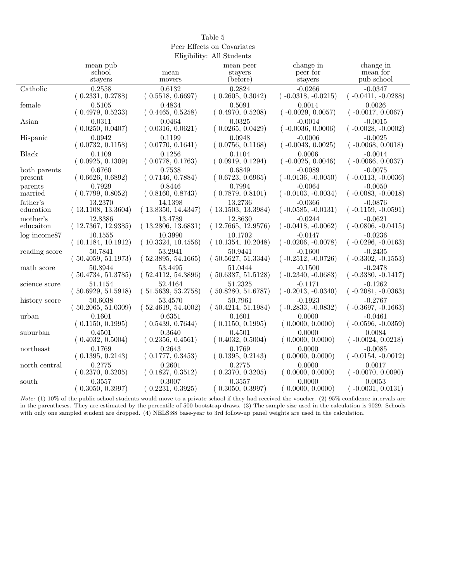| Peer Effects on Covariates |                    |                    |                           |                      |                      |  |
|----------------------------|--------------------|--------------------|---------------------------|----------------------|----------------------|--|
|                            |                    |                    | Eligibility: All Students |                      |                      |  |
|                            | mean pub           |                    | mean peer                 | change in            | change in            |  |
|                            | school             | mean               | stayers                   | peer for             | mean for             |  |
|                            | stayers            | movers             | (before)                  | stayers              | pub school           |  |
| Catholic                   | 0.2558             | 0.6132             | 0.2824                    | $-0.0266$            | $-0.0347$            |  |
|                            | (0.2331, 0.2788)   | (0.5518, 0.6697)   | (0.2605, 0.3042)          | $(-0.0318, -0.0215)$ | $(-0.0411, -0.0288)$ |  |
| female                     | 0.5105             | 0.4834             | 0.5091                    | 0.0014               | 0.0026               |  |
|                            | (0.4979, 0.5233)   | (0.4465, 0.5258)   | (0.4970, 0.5208)          | $(-0.0029, 0.0057)$  | $(-0.0017, 0.0067)$  |  |
| Asian                      | 0.0311             | 0.0464             | 0.0325                    | $-0.0014$            | $-0.0015$            |  |
|                            | (0.0250, 0.0407)   | (0.0316, 0.0621)   | (0.0265, 0.0429)          | $(-0.0036, 0.0006)$  | $(-0.0028, -0.0002)$ |  |
| Hispanic                   | 0.0942             | 0.1199             | 0.0948                    | $-0.0006$            | $-0.0025$            |  |
|                            | (0.0732, 0.1158)   | (0.0770, 0.1641)   | (0.0756, 0.1168)          | $(-0.0043, 0.0025)$  | $(-0.0068, 0.0018)$  |  |
| Black                      | 0.1109             | 0.1256             | 0.1104                    | 0.0006               | $-0.0014$            |  |
|                            | (0.0925, 0.1309)   | (0.0778, 0.1763)   | (0.0919, 0.1294)          | $(-0.0025, 0.0046)$  | $(-0.0066, 0.0037)$  |  |
| both parents               | 0.6760             | 0.7538             | 0.6849                    | $-0.0089$            | $-0.0075$            |  |
| present                    | (0.6626, 0.6892)   | (0.7146, 0.7884)   | (0.6723, 0.6965)          | $(-0.0136, -0.0050)$ | $(-0.0113, -0.0036)$ |  |
| parents                    | 0.7929             | 0.8446             | 0.7994                    | $-0.0064$            | $-0.0050$            |  |
| married                    | (0.7799, 0.8052)   | (0.8160, 0.8743)   | (0.7879, 0.8101)          | $(-0.0103, -0.0034)$ | $(-0.0083, -0.0018)$ |  |
| father's                   | 13.2370            | 14.1398            | 13.2736                   | $-0.0366$            | $-0.0876$            |  |
| education                  | (13.1108, 13.3604) | (13.8350, 14.4347) | (13.1503, 13.3984)        | $(-0.0585, -0.0131)$ | $(-0.1159, -0.0591)$ |  |
| mother's                   | 12.8386            | 13.4789            | 12.8630                   | $-0.0244$            | $-0.0621$            |  |
| educaiton                  | (12.7367, 12.9385) | (13.2806, 13.6831) | (12.7665, 12.9576)        | $(-0.0418, -0.0062)$ | $(-0.0806, -0.0415)$ |  |
| $log$ income $87$          | 10.1555            | 10.3990            | 10.1702                   | $-0.0147$            | $-0.0236$            |  |
|                            | (10.1184, 10.1912) | (10.3324, 10.4556) | (10.1354, 10.2048)        | $(-0.0206, -0.0078)$ | $(-0.0296, -0.0163)$ |  |
| reading score              | 50.7841            | 53.2941            | 50.9441                   | $-0.1600$            | $-0.2435$            |  |
|                            | (50.4059, 51.1973) | (52.3895, 54.1665) | (50.5627, 51.3344)        | $(-0.2512, -0.0726)$ | $(-0.3302, -0.1553)$ |  |
| math score                 | 50.8944            | 53.4495            | 51.0444                   | $-0.1500$            | $-0.2478$            |  |
|                            | (50.4734, 51.3785) | (52.4112, 54.3896) | (50.6387, 51.5128)        | $(-0.2340, -0.0683)$ | $(-0.3380, -0.1417)$ |  |
| science score              | 51.1154            | 52.4164            | 51.2325                   | $-0.1171$            | $-0.1262$            |  |
|                            | (50.6929, 51.5918) | (51.5639, 53.2758) | (50.8280, 51.6787)        | $(-0.2013, -0.0340)$ | $(-0.2081, -0.0363)$ |  |
| history score              | 50.6038            | 53.4570            | 50.7961                   | $-0.1923$            | $-0.2767$            |  |
|                            | (50.2065, 51.0309) | (52.4619, 54.4002) | (50.4214, 51.1984)        | $(-0.2833, -0.0832)$ | $(-0.3697, -0.1663)$ |  |
| urban                      | 0.1601             | 0.6351             | 0.1601                    | 0.0000               | $-0.0461$            |  |
|                            | (0.1150, 0.1995)   | (0.5439, 0.7644)   | (0.1150, 0.1995)          | (0.0000, 0.0000)     | $(-0.0596, -0.0359)$ |  |
| suburban                   | 0.4501             | 0.3640             | 0.4501                    | 0.0000               | 0.0084               |  |
|                            | (0.4032, 0.5004)   | (0.2356, 0.4561)   | (0.4032, 0.5004)          | (0.0000, 0.0000)     | $(-0.0024, 0.0218)$  |  |
| northeast                  | 0.1769             | 0.2643             | 0.1769                    | 0.0000               | $-0.0085$            |  |
|                            | (0.1395, 0.2143)   | (0.1777, 0.3453)   | (0.1395, 0.2143)          | (0.0000, 0.0000)     | $(-0.0154, -0.0012)$ |  |
| north central              | 0.2775             | 0.2601             | 0.2775                    | 0.0000               | 0.0017               |  |
|                            | (0.2370, 0.3205)   | (0.1827, 0.3512)   | (0.2370, 0.3205)          | (0.0000, 0.0000)     | $(-0.0070, 0.0090)$  |  |
| south                      | 0.3557             | 0.3007             | 0.3557                    | 0.0000               | 0.0053               |  |
|                            | (0.3050, 0.3997)   | (0.2231, 0.3925)   | (0.3050, 0.3997)          | 0.0000, 0.0000)      | $-0.0031, 0.0131)$   |  |

Table 5

Note: (1) 10% of the public school students would move to a private school if they had received the voucher. (2) 95% confidence intervals are in the parentheses. They are estimated by the percentile of 500 bootstrap draws. (3) The sample size used in the calculation is 9029. Schools with only one sampled student are dropped. (4) NELS:88 base-year to 3rd follow-up panel weights are used in the calculation.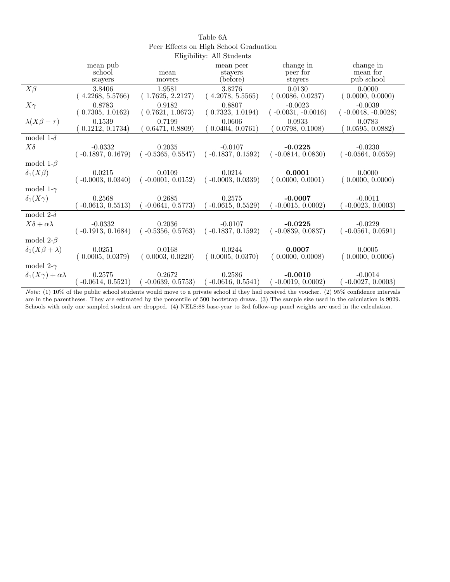|                                     |                     |                     | Eligibility: All Students |                      |                      |
|-------------------------------------|---------------------|---------------------|---------------------------|----------------------|----------------------|
|                                     | mean pub            |                     | mean peer                 | change in            | change in            |
|                                     | school              | mean                | stayers                   | peer for             | mean for             |
|                                     | stayers             | movers              | (before)                  | stayers              | pub school           |
| $X\beta$                            | 3.8406              | 1.9581              | 3.8276                    | 0.0130               | 0.0000               |
|                                     | (4.2268, 5.5766)    | (1.7625, 2.2127)    | (4.2078, 5.5565)          | (0.0086, 0.0237)     | (0.0000, 0.0000)     |
| $X\gamma$                           | 0.8783              | 0.9182              | 0.8807                    | $-0.0023$            | $-0.0039$            |
|                                     | (0.7305, 1.0162)    | (0.7621, 1.0673)    | (0.7323, 1.0194)          | $(-0.0031, -0.0016)$ | $(-0.0048, -0.0028)$ |
| $\lambda(X\beta-\tau)$              | 0.1539              | 0.7199              | 0.0606                    | 0.0933               | 0.0783               |
|                                     | (0.1212, 0.1734)    | 0.6471, 0.8809      | 0.0404, 0.0761)           | (0.0798, 0.1008)     | 0.0595, 0.0882)      |
| model 1- $\delta$                   |                     |                     |                           |                      |                      |
| $X\delta$                           | $-0.0332$           | 0.2035              | $-0.0107$                 | $-0.0225$            | $-0.0230$            |
|                                     | $(-0.1897, 0.1679)$ | $(-0.5365, 0.5547)$ | $(-0.1837, 0.1592)$       | $(-0.0814, 0.0830)$  | $(-0.0564, 0.0559)$  |
| model 1- $\beta$                    |                     |                     |                           |                      |                      |
| $\delta_1(X\beta)$                  | 0.0215              | 0.0109              | 0.0214                    | 0.0001               | 0.0000               |
|                                     | $-0.0003, 0.0340$   | $(-0.0001, 0.0152)$ | $(-0.0003, 0.0339)$       | (0.0000, 0.0001)     | (0.0000, 0.0000)     |
| model 1- $\gamma$                   |                     |                     |                           |                      |                      |
| $\delta_1(X\gamma)$                 | 0.2568              | 0.2685              | 0.2575                    | $-0.0007$            | $-0.0011$            |
|                                     | $-0.0613, 0.5513)$  | $-0.0641, 0.5773)$  | $-0.0615, 0.5529)$        | $-0.0015, 0.0002$    | $-0.0023, 0.0003$    |
| model 2- $\delta$                   |                     |                     |                           |                      |                      |
| $X\delta + \alpha\lambda$           | $-0.0332$           | 0.2036              | $-0.0107$                 | $-0.0225$            | $-0.0229$            |
|                                     | $(-0.1913, 0.1684)$ | $(-0.5356, 0.5763)$ | $(-0.1837, 0.1592)$       | $(-0.0839, 0.0837)$  | $(-0.0561, 0.0591)$  |
| model 2- $\beta$                    |                     |                     |                           |                      |                      |
| $\delta_1(X\beta+\lambda)$          | 0.0251              | 0.0168              | 0.0244                    | 0.0007               | 0.0005               |
|                                     | (0.0005, 0.0379)    | (0.0003, 0.0220)    | (0.0005, 0.0370)          | (0.0000, 0.0008)     | (0.0000, 0.0006)     |
| model 2- $\gamma$                   |                     |                     |                           |                      |                      |
| $\delta_1(X\gamma) + \alpha\lambda$ | 0.2575              | 0.2672              | 0.2586                    | $-0.0010$            | $-0.0014$            |
|                                     | $-0.0614, 0.5521)$  | $-0.0639, 0.5753)$  | $-0.0616, 0.5541)$        | $-0.0019, 0.0002)$   | $-0.0027, 0.0003$    |

| Table 6A                               |
|----------------------------------------|
| Peer Effects on High School Graduation |
|                                        |

Note: (1) 10% of the public school students would move to a private school if they had received the voucher. (2) 95% confidence intervals are in the parentheses. They are estimated by the percentile of 500 bootstrap draws. (3) The sample size used in the calculation is 9029. Schools with only one sampled student are dropped. (4) NELS:88 base-year to 3rd follow-up panel weights are used in the calculation.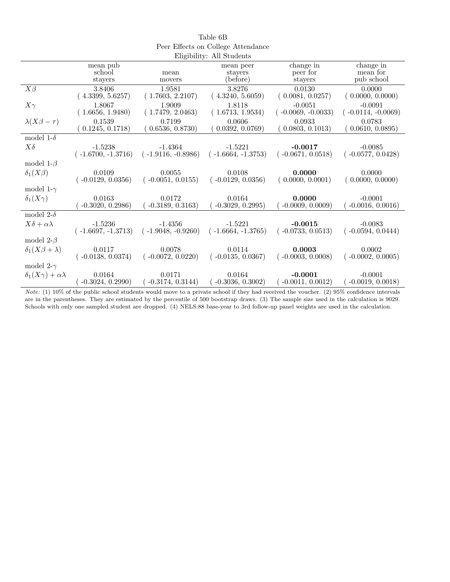|                                     |                      |                      | Eligibility: All Students |                      |                      |
|-------------------------------------|----------------------|----------------------|---------------------------|----------------------|----------------------|
|                                     | mean pub             |                      | mean peer                 | change in            | change in            |
|                                     | school               | mean                 | stayers                   | peer for             | mean for             |
|                                     | stayers              | movers               | (before)                  | stayers              | pub school           |
| $X\beta$                            | 3.8406               | 1.9581               | 3.8276                    | 0.0130               | 0.0000               |
|                                     | (4.3399, 5.6257)     | (1.7603, 2.2107)     | (4.3240, 5.6059)          | (0.0081, 0.0257)     | (0.0000, 0.0000)     |
| $X\gamma$                           | 1.8067               | 1.9009               | 1.8118                    | $-0.0051$            | $-0.0091$            |
|                                     | (1.6656, 1.9480)     | (1.7479, 2.0463)     | (1.6713, 1.9534)          | $(-0.0069, -0.0033)$ | $(-0.0114, -0.0069)$ |
| $\lambda(X\beta-\tau)$              | 0.1539               | 0.7199               | 0.0606                    | 0.0933               | 0.0783               |
|                                     | 0.1245, 0.1718)      | 0.6536, 0.8730)      | 0.0392, 0.0769)           | (0.0803, 0.1013)     | 0.0610, 0.0895)      |
| model 1- $\delta$                   |                      |                      |                           |                      |                      |
| $X\delta$                           | $-1.5238$            | $-1.4364$            | $-1.5221$                 | $-0.0017$            | $-0.0085$            |
|                                     | $(-1.6700, -1.3716)$ | $(-1.9116, -0.8986)$ | $(-1.6664, -1.3753)$      | $(-0.0671, 0.0518)$  | $(-0.0577, 0.0428)$  |
| model 1- $\beta$                    |                      |                      |                           |                      |                      |
| $\delta_1(X\beta)$                  | 0.0109               | 0.0055               | 0.0108                    | 0.0000               | 0.0000               |
|                                     | $(-0.0129, 0.0356)$  | $(-0.0051, 0.0155)$  | $(-0.0129, 0.0356)$       | (0.0000, 0.0001)     | (0.0000, 0.0000)     |
| model 1- $\gamma$                   |                      |                      |                           |                      |                      |
| $\delta_1(X\gamma)$                 | 0.0163               | 0.0172               | 0.0164                    | 0.0000               | $-0.0001$            |
|                                     | $-0.3020, 0.2986$    | $-0.3189, 0.3163)$   | $-0.3029, 0.2995)$        | $-0.0009, 0.0009$    | $-0.0016, 0.0016)$   |
| model 2- $\delta$                   |                      |                      |                           |                      |                      |
| $X\delta + \alpha\lambda$           | $-1.5236$            | $-1.4356$            | $-1.5221$                 | $-0.0015$            | $-0.0083$            |
|                                     | $(-1.6697, -1.3713)$ | $(-1.9048, -0.9260)$ | $(-1.6664, -1.3765)$      | $(-0.0733, 0.0513)$  | $(-0.0594, 0.0444)$  |
| model $2-\beta$                     |                      |                      |                           |                      |                      |
| $\delta_1(X\beta+\lambda)$          | 0.0117               | 0.0078               | 0.0114                    | 0.0003               | 0.0002               |
|                                     | $(-0.0138, 0.0374)$  | $(-0.0072, 0.0220)$  | $(-0.0135, 0.0367)$       | $(-0.0003, 0.0008)$  | $(-0.0002, 0.0005)$  |
| model 2- $\gamma$                   |                      |                      |                           |                      |                      |
| $\delta_1(X\gamma) + \alpha\lambda$ | 0.0164               | 0.0171               | 0.0164                    | $-0.0001$            | $-0.0001$            |
|                                     | $-0.3024, 0.2990)$   | $-0.3174, 0.3144)$   | $-0.3036, 0.3002$         | $-0.0011, 0.0012)$   | $-0.0019, 0.0018$    |

| Table 6B                           |
|------------------------------------|
| Peer Effects on College Attendance |
| Fligibility: All Students          |

Note: (1) 10% of the public school students would move to a private school if they had received the voucher. (2) 95% confidence intervals are in the parentheses. They are estimated by the percentile of 500 bootstrap draws. (3) The sample size used in the calculation is 9029. Schools with only one sampled student are dropped. (4) NELS:88 base-year to 3rd follow-up panel weights are used in the calculation.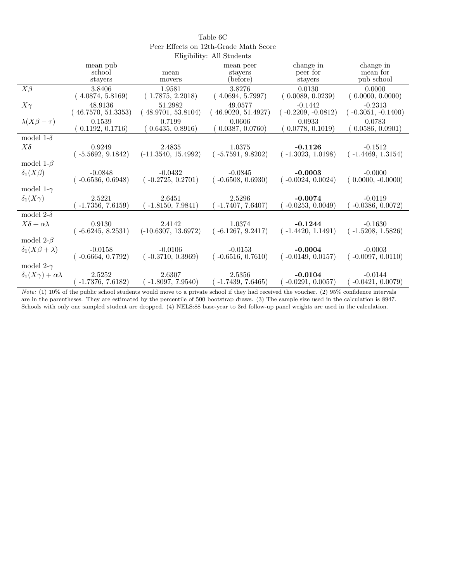|                                     |                     |                       | Eligibility: All Students |                      |                      |
|-------------------------------------|---------------------|-----------------------|---------------------------|----------------------|----------------------|
|                                     | mean pub            |                       | mean peer                 | change in            | change in            |
|                                     | school              | mean                  | stayers                   | peer for             | mean for             |
|                                     | stayers             | movers                | (before)                  | stayers              | pub school           |
| $X\beta$                            | 3.8406              | 1.9581                | 3.8276                    | 0.0130               | 0.0000               |
|                                     | (4.0874, 5.8169)    | (1.7875, 2.2018)      | (4.0694, 5.7997)          | (0.0089, 0.0239)     | (0.0000, 0.0000)     |
| $X\gamma$                           | 48.9136             | 51.2982               | 49.0577                   | $-0.1442$            | $-0.2313$            |
|                                     | (46.7570, 51.3353)  | (48.9701, 53.8104)    | (46.9020, 51.4927)        | $(-0.2209, -0.0812)$ | $(-0.3051, -0.1400)$ |
| $\lambda(X\beta-\tau)$              | 0.1539              | 0.7199                | 0.0606                    | 0.0933               | 0.0783               |
|                                     | 0.1192, 0.1716)     | (0.6435, 0.8916)      | 0.0387, 0.0760)           | (0.0778, 0.1019)     | 0.0586, 0.0901)      |
| model 1- $\delta$                   |                     |                       |                           |                      |                      |
| $X\delta$                           | 0.9249              | 2.4835                | 1.0375                    | $-0.1126$            | $-0.1512$            |
|                                     | $(-5.5692, 9.1842)$ | $(-11.3540, 15.4992)$ | $(-5.7591, 9.8202)$       | $(-1.3023, 1.0198)$  | $(-1.4469, 1.3154)$  |
| model 1- $\beta$                    |                     |                       |                           |                      |                      |
| $\delta_1(X\beta)$                  | $-0.0848$           | $-0.0432$             | $-0.0845$                 | $-0.0003$            | $-0.0000$            |
|                                     | $(-0.6536, 0.6948)$ | $(-0.2725, 0.2701)$   | $(-0.6508, 0.6930)$       | $(-0.0024, 0.0024)$  | $(0.0000, -0.0000)$  |
| model 1- $\gamma$                   |                     |                       |                           |                      |                      |
| $\delta_1(X\gamma)$                 | 2.5221              | 2.6451                | 2.5296                    | $-0.0074$            | $-0.0119$            |
|                                     | $-1.7356, 7.6159)$  | $-1.8150, 7.9841)$    | $-1.7407, 7.6407$         | $-0.0253, 0.0049$    | $-0.0386, 0.0072$    |
| model 2- $\delta$                   |                     |                       |                           |                      |                      |
| $X\delta + \alpha\lambda$           | 0.9130              | 2.4142                | 1.0374                    | $-0.1244$            | $-0.1630$            |
|                                     | $(-6.6245, 8.2531)$ | $(-10.6307, 13.6972)$ | $(-6.1267, 9.2417)$       | $(-1.4420, 1.1491)$  | $(-1.5208, 1.5826)$  |
| model 2- $\beta$                    |                     |                       |                           |                      |                      |
| $\delta_1(X\beta+\lambda)$          | $-0.0158$           | $-0.0106$             | $-0.0153$                 | $-0.0004$            | $-0.0003$            |
|                                     | $(-0.6664, 0.7792)$ | $(-0.3710, 0.3969)$   | $(-0.6516, 0.7610)$       | $(-0.0149, 0.0157)$  | $(-0.0097, 0.0110)$  |
| model 2- $\gamma$                   |                     |                       |                           |                      |                      |
| $\delta_1(X\gamma) + \alpha\lambda$ | 2.5252              | 2.6307                | 2.5356                    | $-0.0104$            | $-0.0144$            |
|                                     | $-1.7376, 7.6182)$  | $-1.8097, 7.9540$     | $-1.7439, 7.6465)$        | $(-0.0291, 0.0057)$  | $-0.0421, 0.0079)$   |

Table 6C Peer Effects on 12th-Grade Math Score

Note: (1) 10% of the public school students would move to a private school if they had received the voucher. (2) 95% confidence intervals are in the parentheses. They are estimated by the percentile of 500 bootstrap draws. (3) The sample size used in the calculation is 8947. Schools with only one sampled student are dropped. (4) NELS:88 base-year to 3rd follow-up panel weights are used in the calculation.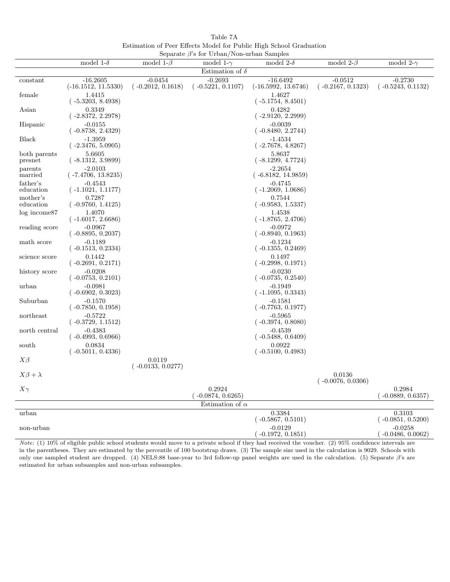Table 7A Estimation of Peer Effects Model for Public High School Graduation Separate β's for Urban/Non-urban Samples

|                         | model 1- $\delta$                 | model 1- $\beta$              | $\beta$ or $\beta$ is tot $\beta$ to $\alpha$ to $\alpha$ to $\alpha$ and $\beta$ of $\alpha$ to $\beta$<br>model 1- $\gamma$ | model 2- $\delta$                 | model 2- $\beta$              | model 2- $\gamma$                |
|-------------------------|-----------------------------------|-------------------------------|-------------------------------------------------------------------------------------------------------------------------------|-----------------------------------|-------------------------------|----------------------------------|
|                         |                                   |                               | Estimation of $\delta$                                                                                                        |                                   |                               |                                  |
| constant                | $-16.2605$                        | $-0.0454$                     | $-0.2693$                                                                                                                     | $-16.6492$                        | $-0.0512$                     | $-0.2730$                        |
|                         | $(-16.1512, 11.5330)$             | $(-0.2012, 0.1618)$           | $(-0.5221, 0.1107)$                                                                                                           | $(-16.5992, 13.6746)$             | $(-0.2167, 0.1323)$           | $(-0.5243, 0.1132)$              |
| female                  | 1.4415<br>$(-5.3203, 8.4938)$     |                               |                                                                                                                               | 1.4627<br>$(-5.1754, 8.4501)$     |                               |                                  |
| Asian                   | 0.3349<br>$(-2.8372, 2.2978)$     |                               |                                                                                                                               | 0.4282<br>$(-2.9120, 2.2999)$     |                               |                                  |
| Hispanic                | $-0.0155$<br>$(-0.8738, 2.4329)$  |                               |                                                                                                                               | $-0.0039$<br>$(-0.8480, 2.2744)$  |                               |                                  |
| <b>Black</b>            | $-1.3959$<br>$(-2.3476, 5.0905)$  |                               |                                                                                                                               | $-1.4534$<br>$(-2.7678, 4.8267)$  |                               |                                  |
| both parents<br>presnet | 5.6605<br>$(-8.1312, 3.9899)$     |                               |                                                                                                                               | 5.8637<br>$(-8.1299, 4.7724)$     |                               |                                  |
| parents<br>married      | $-2.0103$<br>$(-7.4706, 13.8235)$ |                               |                                                                                                                               | $-2.2654$<br>$(-6.8182, 14.9859)$ |                               |                                  |
| father's<br>education   | $-0.4543$<br>$(-1.1021, 1.1177)$  |                               |                                                                                                                               | $-0.4745$<br>$(-1.2069, 1.0686)$  |                               |                                  |
| mother's<br>education   | 0.7287<br>$(-0.9760, 1.4125)$     |                               |                                                                                                                               | 0.7544<br>$(-0.9583, 1.5337)$     |                               |                                  |
| $log$ income $87$       | 1.4070<br>$(-1.6017, 2.6686)$     |                               |                                                                                                                               | 1.4538<br>$(-1.8765, 2.4706)$     |                               |                                  |
| reading score           | $-0.0967$<br>$(-0.8895, 0.2037)$  |                               |                                                                                                                               | $-0.0972$<br>$(-0.8940, 0.1963)$  |                               |                                  |
| math score              | $-0.1189$<br>$(-0.1513, 0.2334)$  |                               |                                                                                                                               | $-0.1234$<br>$(-0.1355, 0.2469)$  |                               |                                  |
| science score           | 0.1442<br>$(-0.2691, 0.2171)$     |                               |                                                                                                                               | 0.1497<br>$(-0.2998, 0.1971)$     |                               |                                  |
| history score           | $-0.0208$<br>$(-0.0753, 0.2101)$  |                               |                                                                                                                               | $-0.0230$<br>$(-0.0735, 0.2540)$  |                               |                                  |
| urban                   | $-0.0981$<br>$(-0.6902, 0.3023)$  |                               |                                                                                                                               | $-0.1949$<br>$(-1.1095, 0.3343)$  |                               |                                  |
| Suburban                | $-0.1570$<br>$(-0.7850, 0.1958)$  |                               |                                                                                                                               | $-0.1581$<br>$(-0.7763, 0.1977)$  |                               |                                  |
| northeast               | $-0.5722$<br>$(-0.3729, 1.1512)$  |                               |                                                                                                                               | $-0.5965$<br>$(-0.3974, 0.8080)$  |                               |                                  |
| north central           | $-0.4383$<br>$(-0.4993, 0.6966)$  |                               |                                                                                                                               | $-0.4539$<br>$(-0.5488, 0.6409)$  |                               |                                  |
| south                   | 0.0834<br>$(-0.5011, 0.4336)$     |                               |                                                                                                                               | 0.0922<br>$(-0.5100, 0.4983)$     |                               |                                  |
| $X\beta$                |                                   | 0.0119<br>$(-0.0133, 0.0277)$ |                                                                                                                               |                                   |                               |                                  |
| $X\beta+\lambda$        |                                   |                               |                                                                                                                               |                                   | 0.0136<br>$(-0.0076, 0.0306)$ |                                  |
| $X\gamma$               |                                   |                               | 0.2924<br>$-0.0874, 0.6265)$                                                                                                  |                                   |                               | 0.2984<br>$-0.0889, 0.6357)$     |
|                         |                                   |                               | Estimation of $\alpha$                                                                                                        |                                   |                               |                                  |
| urban                   |                                   |                               |                                                                                                                               | 0.3384<br>$(-0.5867, 0.5101)$     |                               | 0.3103<br>$(-0.0851, 0.5200)$    |
| non-urban               |                                   |                               |                                                                                                                               | $-0.0129$<br>$(-0.1972, 0.1851)$  |                               | $-0.0258$<br>$(-0.0486, 0.0062)$ |

Note: (1) 10% of eligible public school students would move to a private school if they had received the voucher. (2) 95% confidence intervals are in the parentheses. They are estimated by the percentile of 100 bootstrap draws. (3) The sample size used in the calculation is 9029. Schools with only one sampled student are dropped. (4) NELS:88 base-year to 3rd follow-up panel weights are used in the calculation. (5) Separate β's are estimated for urban subsamples and non-urban subsamples.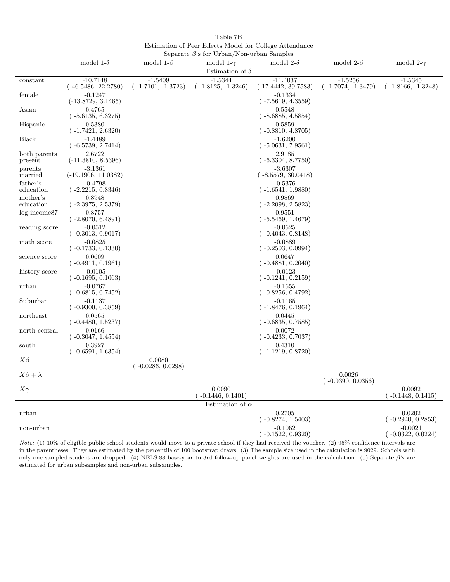Table 7B Estimation of Peer Effects Model for College Attendance Separate β's for Urban/Non-urban Samples

|                         |                                     |                                   | $\beta$ separate $\rho$ s for Urban/Non-urban Samples |                                     |                                   |                                   |
|-------------------------|-------------------------------------|-----------------------------------|-------------------------------------------------------|-------------------------------------|-----------------------------------|-----------------------------------|
|                         | model 1- $\delta$                   | model 1- $\beta$                  | model 1- $\gamma$                                     | model 2- $\delta$                   | model 2- $\beta$                  | model 2- $\gamma$                 |
|                         |                                     |                                   | Estimation of $\delta$                                |                                     |                                   |                                   |
| constant                | $-10.7148$<br>$(-46.5486, 22.2780)$ | $-1.5409$<br>$(-1.7101, -1.3723)$ | $-1.5344$<br>$(-1.8125, -1.3246)$                     | $-11.4037$<br>$(-17.4442, 39.7583)$ | $-1.5256$<br>$(-1.7074, -1.3479)$ | $-1.5345$<br>$(-1.8166, -1.3248)$ |
| female                  | $-0.1247$<br>$(-13.8729, 3.1465)$   |                                   |                                                       | $-0.1334$<br>$(-7.5619, 4.3559)$    |                                   |                                   |
| Asian                   | 0.4765<br>$(-5.6135, 6.3275)$       |                                   |                                                       | 0.5548<br>$(-8.6885, 4.5854)$       |                                   |                                   |
| Hispanic                | 0.5380<br>( -1.7421, 2.6320)        |                                   |                                                       | 0.5859<br>$(-0.8810, 4.8705)$       |                                   |                                   |
| <b>Black</b>            | $-1.4489$<br>$(-6.5739, 2.7414)$    |                                   |                                                       | $-1.6200$<br>$(-5.0631, 7.9561)$    |                                   |                                   |
| both parents<br>present | 2.6722<br>$(-11.3810, 8.5396)$      |                                   |                                                       | 2.9185<br>$(-6.3304, 8.7750)$       |                                   |                                   |
| parents<br>married      | $-3.1361$<br>$(-19.1906, 11.0382)$  |                                   |                                                       | $-3.6307$<br>$(-8.5579, 30.0418)$   |                                   |                                   |
| father's<br>education   | $-0.4798$<br>$(-2.2215, 0.8346)$    |                                   |                                                       | $-0.5376$<br>$(-1.6541, 1.9880)$    |                                   |                                   |
| mother's<br>education   | 0.8948<br>$(-2.3975, 2.5379)$       |                                   |                                                       | 0.9869<br>$(-2.2098, 2.5823)$       |                                   |                                   |
| $log$ income $87$       | 0.8757<br>$(-2.8070, 6.4891)$       |                                   |                                                       | 0.9551<br>$(-5.5469, 1.4679)$       |                                   |                                   |
| reading score           | $-0.0512$<br>$(-0.3013, 0.9017)$    |                                   |                                                       | $-0.0525$<br>$(-0.4043, 0.8148)$    |                                   |                                   |
| math score              | $-0.0825$<br>$(-0.1733, 0.1330)$    |                                   |                                                       | $-0.0889$<br>$(-0.2503, 0.0994)$    |                                   |                                   |
| science score           | 0.0609<br>$(-0.4911, 0.1961)$       |                                   |                                                       | 0.0647<br>$(-0.4881, 0.2040)$       |                                   |                                   |
| history score           | $-0.0105$<br>$(-0.1695, 0.1063)$    |                                   |                                                       | $-0.0123$<br>$(-0.1241, 0.2159)$    |                                   |                                   |
| urban                   | $-0.0767$<br>$(-0.6815, 0.7452)$    |                                   |                                                       | $-0.1555$<br>$(-0.8256, 0.4792)$    |                                   |                                   |
| Suburban                | $-0.1137$<br>$(-0.9300, 0.3859)$    |                                   |                                                       | $-0.1165$<br>$(-1.8476, 0.1964)$    |                                   |                                   |
| northeast               | 0.0565<br>$(-0.4480, 1.5237)$       |                                   |                                                       | 0.0445<br>$(-0.6835, 0.7585)$       |                                   |                                   |
| north central           | 0.0166<br>$(-0.3047, 1.4554)$       |                                   |                                                       | 0.0072<br>$(-0.4233, 0.7037)$       |                                   |                                   |
| south                   | 0.3927<br>$(-0.6591, 1.6354)$       |                                   |                                                       | 0.4310<br>$(-1.1219, 0.8720)$       |                                   |                                   |
| $X\beta$                |                                     | 0.0080<br>$(-0.0286, 0.0298)$     |                                                       |                                     | 0.0026                            |                                   |
| $X\beta + \lambda$      |                                     |                                   | 0.0090                                                |                                     | $(-0.0390, 0.0356)$               | 0.0092                            |
| $X\gamma$               |                                     |                                   | $(-0.1446, 0.1401)$                                   |                                     |                                   | $(-0.1448, 0.1415)$               |
|                         |                                     |                                   | Estimation of $\alpha$                                |                                     |                                   |                                   |
| urban                   |                                     |                                   |                                                       | 0.2705<br>$(-0.8274, 1.5403)$       |                                   | 0.0202<br>$(-0.2940, 0.2853)$     |
| non-urban               |                                     |                                   |                                                       | $-0.1062$<br>$(-0.1522, 0.9320)$    |                                   | $-0.0021$<br>$(-0.0322, 0.0224)$  |

Note: (1) 10% of eligible public school students would move to a private school if they had received the voucher. (2) 95% confidence intervals are in the parentheses. They are estimated by the percentile of 100 bootstrap draws. (3) The sample size used in the calculation is 9029. Schools with only one sampled student are dropped. (4) NELS:88 base-year to 3rd follow-up panel weights are used in the calculation. (5) Separate β's are estimated for urban subsamples and non-urban subsamples.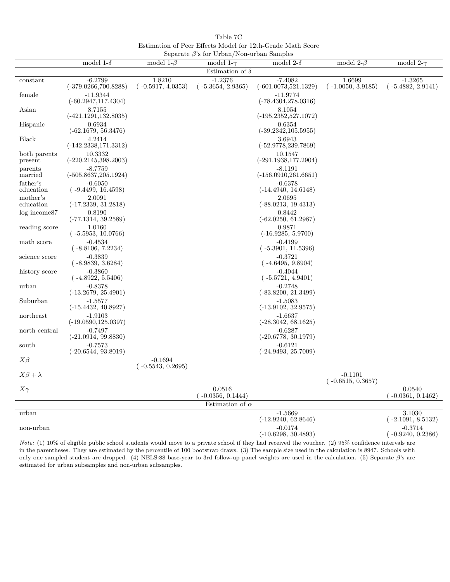Table 7C Estimation of Peer Effects Model for 12th-Grade Math Score Separate β's for Urban/Non-urban Samples

|                         | model 1- $\delta$                    | model 1- $\beta$                 | $\beta$ beparate $\beta$ s for Orban/Tyon-urban Samples<br>model 1- $\gamma$ | model 2- $\delta$                    | model $2-\beta$                  | model 2- $\gamma$                |
|-------------------------|--------------------------------------|----------------------------------|------------------------------------------------------------------------------|--------------------------------------|----------------------------------|----------------------------------|
|                         |                                      |                                  |                                                                              |                                      |                                  |                                  |
|                         |                                      |                                  | Estimation of $\delta$                                                       |                                      |                                  |                                  |
| constant                | $-6.2799$<br>$(-379.0266, 700.8288)$ | 1.8210<br>$(-0.5917, 4.0353)$    | $-1.2376$<br>$(-5.3654, 2.9365)$                                             | $-7.4082$<br>$(-601.0073, 521.1329)$ | 1.6699<br>$(-1.0050, 3.9185)$    | $-1.3265$<br>$(-5.4882, 2.9141)$ |
| female                  | $-11.9344$<br>$(-60.2947, 117.4304)$ |                                  |                                                                              | $-11.9774$<br>$(-78.4304, 278.0316)$ |                                  |                                  |
| Asian                   | 8.7155<br>$(-421.1291, 132.8035)$    |                                  |                                                                              | 8.1054<br>$(-195.2352, 527.1072)$    |                                  |                                  |
| Hispanic                | 0.6934<br>$(-62.1679, 56.3476)$      |                                  |                                                                              | 0.6354<br>$(-39.2342, 105.5955)$     |                                  |                                  |
| <b>Black</b>            | 4.2414<br>$(-142.2338, 171.3312)$    |                                  |                                                                              | 3.6943<br>$(-52.9778, 239.7869)$     |                                  |                                  |
| both parents<br>present | 10.3332<br>$(-220.2145, 398.2003)$   |                                  |                                                                              | 10.1547<br>$(-291.1938, 177.2904)$   |                                  |                                  |
| parents<br>married      | $-8.7759$<br>$(-505.8637,205.1924)$  |                                  |                                                                              | $-8.1191$<br>$(-156.0910, 261.6651)$ |                                  |                                  |
| father's<br>education   | $-0.6050$<br>$(-9.4499, 16.4598)$    |                                  |                                                                              | $-0.6378$<br>$(-14.4940, 14.6148)$   |                                  |                                  |
| mother's<br>education   | 2.0091<br>$(-17.2339, 31.2818)$      |                                  |                                                                              | 2.0695<br>$(-88.0213, 19.4313)$      |                                  |                                  |
| $log$ income $87$       | 0.8190<br>$(-77.1314, 39.2589)$      |                                  |                                                                              | 0.8442<br>$(-62.0250, 61.2987)$      |                                  |                                  |
| reading score           | 1.0160<br>$(-5.5953, 10.0766)$       |                                  |                                                                              | 0.9871<br>$(-16.9285, 5.9700)$       |                                  |                                  |
| math score              | $-0.4534$<br>$(-8.8106, 7.2234)$     |                                  |                                                                              | $-0.4199$<br>$(-5.3901, 11.5396)$    |                                  |                                  |
| science score           | $-0.3839$<br>(-8.9839, 3.6284)       |                                  |                                                                              | $-0.3721$<br>$(-4.6495, 9.8904)$     |                                  |                                  |
| history score           | $-0.3860$<br>$(-4.8922, 5.5406)$     |                                  |                                                                              | $-0.4044$<br>$(-5.5721, 4.9401)$     |                                  |                                  |
| urban                   | $-0.8378$<br>$(-13.2679, 25.4901)$   |                                  |                                                                              | $-0.2748$<br>$(-83.8200, 21.3499)$   |                                  |                                  |
| Suburban                | $-1.5577$<br>$(-15.4432, 40.8927)$   |                                  |                                                                              | $-1.5083$<br>$(-13.9102, 32.9575)$   |                                  |                                  |
| northeast               | $-1.9103$<br>$(-19.0590, 125.0397)$  |                                  |                                                                              | $-1.6637$<br>$(-28.3042, 68.1625)$   |                                  |                                  |
| north central           | $-0.7497$<br>$(-21.0914, 99.8830)$   |                                  |                                                                              | $-0.6287$<br>$(-20.6778, 30.1979)$   |                                  |                                  |
| south                   | $-0.7573$<br>$(-20.6544, 93.8019)$   |                                  |                                                                              | $-0.6121$<br>$(-24.9493, 25.7009)$   |                                  |                                  |
| $X\beta$                |                                      | $-0.1694$<br>$(-0.5543, 0.2695)$ |                                                                              |                                      |                                  |                                  |
| $X\beta+\lambda$        |                                      |                                  |                                                                              |                                      | $-0.1101$<br>$(-0.6515, 0.3657)$ |                                  |
| $X\gamma$               |                                      |                                  | 0.0516<br>$-0.0356, 0.1444$                                                  |                                      |                                  | 0.0540<br>$(-0.0361, 0.1462)$    |
|                         |                                      |                                  | Estimation of $\alpha$                                                       |                                      |                                  |                                  |
| urban                   |                                      |                                  |                                                                              | $-1.5669$<br>$(-12.9240, 62.8646)$   |                                  | 3.1030<br>$(-2.1091, 8.5132)$    |
| non-urban               |                                      |                                  |                                                                              | $-0.0174$<br>$(-10.6298, 30.4893)$   |                                  | $-0.3714$<br>$(-0.9240, 0.2386)$ |

Note: (1) 10% of eligible public school students would move to a private school if they had received the voucher. (2) 95% confidence intervals are in the parentheses. They are estimated by the percentile of 100 bootstrap draws. (3) The sample size used in the calculation is 8947. Schools with only one sampled student are dropped. (4) NELS:88 base-year to 3rd follow-up panel weights are used in the calculation. (5) Separate β's are estimated for urban subsamples and non-urban subsamples.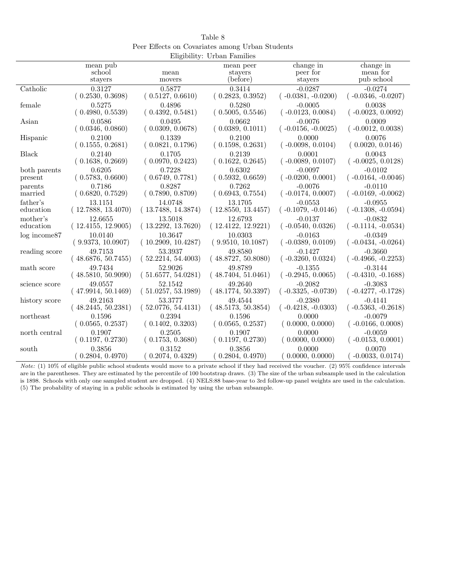| Table 8                                         |
|-------------------------------------------------|
| Peer Effects on Covariates among Urban Students |
| Eligibility: Urban Families                     |

|                   |                    |                    | $\text{m}_{\text{N}}$ $\text{m}_{\text{N}}$ , $\text{m}_{\text{N}}$ , $\text{m}_{\text{N}}$ , $\text{m}_{\text{N}}$ |                      |                      |
|-------------------|--------------------|--------------------|---------------------------------------------------------------------------------------------------------------------|----------------------|----------------------|
|                   | mean pub           |                    | mean peer                                                                                                           | change in            | change in            |
|                   | school             | mean               | stayers                                                                                                             | peer for             | mean for             |
|                   | stayers            | movers             | (before)                                                                                                            | stayers              | pub school           |
| Catholic          | 0.3127             | 0.5877             | 0.3414                                                                                                              | $-0.0287$            | $-0.0274$            |
|                   | (0.2530, 0.3698)   | (0.5127, 0.6610)   | (0.2823, 0.3952)                                                                                                    | $(-0.0381, -0.0200)$ | $(-0.0346, -0.0207)$ |
| female            | 0.5275             | 0.4896             | 0.5280                                                                                                              | $-0.0005$            | 0.0038               |
|                   | (0.4980, 0.5539)   | (0.4392, 0.5481)   | (0.5005, 0.5546)                                                                                                    | $(-0.0123, 0.0084)$  | $(-0.0023, 0.0092)$  |
| Asian             | 0.0586             | 0.0495             | 0.0662                                                                                                              | $-0.0076$            | 0.0009               |
|                   | (0.0346, 0.0860)   | (0.0309, 0.0678)   | (0.0389, 0.1011)                                                                                                    | $(-0.0156,-0.0025)$  | $(-0.0012, 0.0038)$  |
| Hispanic          | 0.2100             | 0.1339             | 0.2100                                                                                                              | 0.0000               | 0.0076               |
|                   | (0.1555, 0.2681)   | (0.0821, 0.1796)   | (0.1598, 0.2631)                                                                                                    | $(-0.0098, 0.0104)$  | (0.0020, 0.0146)     |
| Black             | 0.2140             | 0.1705             | 0.2139                                                                                                              | 0.0001               | 0.0043               |
|                   | (0.1638, 0.2669)   | (0.0970, 0.2423)   | (0.1622, 0.2645)                                                                                                    | $(-0.0089, 0.0107)$  | $(-0.0025, 0.0128)$  |
| both parents      | 0.6205             | 0.7228             | 0.6302                                                                                                              | $-0.0097$            | $-0.0102$            |
| present           | (0.5783, 0.6600)   | (0.6749, 0.7781)   | (0.5932, 0.6659)                                                                                                    | $(-0.0200, 0.0001)$  | $(-0.0164, -0.0046)$ |
| parents           | 0.7186             | 0.8287             | 0.7262                                                                                                              | $-0.0076$            | $-0.0110$            |
| married           | (0.6820, 0.7529)   | (0.7890, 0.8709)   | (0.6943, 0.7554)                                                                                                    | $(-0.0174, 0.0007)$  | $(-0.0169, -0.0062)$ |
| father's          | 13.1151            | 14.0748            | 13.1705                                                                                                             | $-0.0553$            | $-0.0955$            |
| education         | (12.7888, 13.4070) | (13.7488, 14.3874) | (12.8550, 13.4457)                                                                                                  | $(-0.1079, -0.0146)$ | $(-0.1308, -0.0594)$ |
| mother's          | 12.6655            | 13.5018            | 12.6793                                                                                                             | $-0.0137$            | $-0.0832$            |
| education         | (12.4155, 12.9005) | (13.2292, 13.7620) | (12.4122, 12.9221)                                                                                                  | $(-0.0540, 0.0326)$  | $(-0.1114, -0.0534)$ |
| $log$ income $87$ | 10.0140            | 10.3647            | 10.0303                                                                                                             | $-0.0163$            | $-0.0349$            |
|                   | (9.9373, 10.0907)  | (10.2909, 10.4287) | (9.9510, 10.1087)                                                                                                   | $(-0.0389, 0.0109)$  | $(-0.0434, -0.0264)$ |
| reading score     | 49.7153            | 53.3937            | 49.8580                                                                                                             | $-0.1427$            | $-0.3660$            |
|                   | (48.6876, 50.7455) | (52.2214, 54.4003) | (48.8727, 50.8080)                                                                                                  | $(-0.3260, 0.0324)$  | $(-0.4966, -0.2253)$ |
| math score        | 49.7434            | 52.9026            | 49.8789                                                                                                             | $-0.1355$            | $-0.3144$            |
|                   | (48.5810, 50.9090) | (51.6577, 54.0281) | (48.7404, 51.0461)                                                                                                  | $(-0.2945, 0.0065)$  | $(-0.4310, -0.1688)$ |
| science score     | 49.0557            | 52.1542            | 49.2640                                                                                                             | $-0.2082$            | $-0.3083$            |
|                   | (47.9914, 50.1469) | (51.0257, 53.1989) | (48.1774, 50.3397)                                                                                                  | $(-0.3325, -0.0739)$ | $(-0.4277, -0.1728)$ |
| history score     | 49.2163            | 53.3777            | 49.4544                                                                                                             | $-0.2380$            | $-0.4141$            |
|                   | (48.2445, 50.2381) | (52.0776, 54.4131) | (48.5173, 50.3854)                                                                                                  | $(-0.4218,-0.0303)$  | $(-0.5363, -0.2618)$ |
| northeast         | 0.1596             | 0.2394             | 0.1596                                                                                                              | 0.0000               | $-0.0079$            |
|                   | (0.0565, 0.2537)   | (0.1402, 0.3203)   | (0.0565, 0.2537)                                                                                                    | (0.0000, 0.0000)     | $(-0.0166, 0.0008)$  |
| north central     | 0.1907             | 0.2505             | 0.1907                                                                                                              | 0.0000               | $-0.0059$            |
|                   | (0.1197, 0.2730)   | (0.1753, 0.3680)   | (0.1197, 0.2730)                                                                                                    | (0.0000, 0.0000)     | $(-0.0153, 0.0001)$  |
| south             | 0.3856             | 0.3152             | 0.3856                                                                                                              | 0.0000               | 0.0070               |
|                   | 0.2804, 0.4970)    | 0.2074, 0.4329)    | (0.2804, 0.4970)                                                                                                    | 0.0000, 0.0000       | $-0.0033, 0.0174)$   |

Note: (1) 10% of eligible public school students would move to a private school if they had received the voucher. (2) 95% confidence intervals are in the parentheses. They are estimated by the percentile of 100 bootstrap draws. (3) The size of the urban subsample used in the calculation is 1898. Schools with only one sampled student are dropped. (4) NELS:88 base-year to 3rd follow-up panel weights are used in the calculation. (5) The probability of staying in a public schools is estimated by using the urban subsample.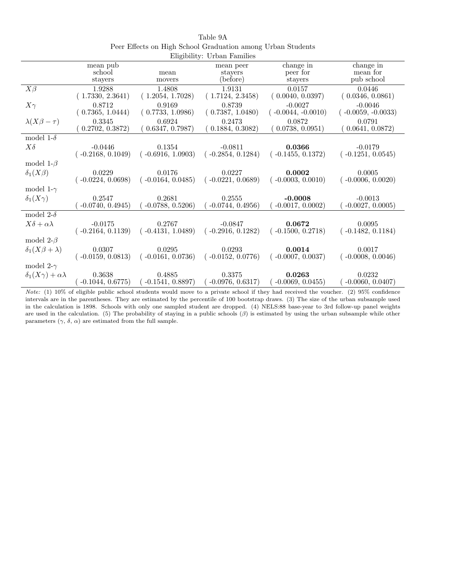|                                     |                     |                     | $\text{Lipunley: } \circ \text{Loun}$ radiation |                       |                       |
|-------------------------------------|---------------------|---------------------|-------------------------------------------------|-----------------------|-----------------------|
|                                     | mean pub<br>school  | mean                | mean peer<br>stayers                            | change in<br>peer for | change in<br>mean for |
|                                     | stayers             | movers              | (before)                                        | stayers               | pub school            |
| $X\beta$                            | 1.9288              | 1.4808              | 1.9131                                          | 0.0157                | 0.0446                |
|                                     | (1.7330, 2.3641)    | (1.2054, 1.7028)    | (1.7124, 2.3458)                                | (0.0040, 0.0397)      | (0.0346, 0.0861)      |
| $X\gamma$                           | 0.8712              | 0.9169              | 0.8739                                          | $-0.0027$             | $-0.0046$             |
|                                     | (0.7365, 1.0444)    | (0.7733, 1.0986)    | (0.7387, 1.0480)                                | $(-0.0044, -0.0010)$  | $(-0.0059, -0.0033)$  |
| $\lambda(X\beta-\tau)$              | 0.3345              | 0.6924              | 0.2473                                          | 0.0872                | 0.0791                |
|                                     | 0.2702, 0.3872)     | 0.6347, 0.7987)     | 0.1884, 0.3082)                                 | (0.0738, 0.0951)      | 0.0641, 0.0872)       |
| model 1- $\delta$                   |                     |                     |                                                 |                       |                       |
| $X\delta$                           | $-0.0446$           | 0.1354              | $-0.0811$                                       | 0.0366                | $-0.0179$             |
|                                     | $(-0.2168, 0.1049)$ | $(-0.6916, 1.0903)$ | $(-0.2854, 0.1284)$                             | $(-0.1455, 0.1372)$   | $(-0.1251, 0.0545)$   |
| model 1- $\beta$                    |                     |                     |                                                 |                       |                       |
| $\delta_1(X\beta)$                  | 0.0229              | 0.0176              | 0.0227                                          | 0.0002                | 0.0005                |
|                                     | $(-0.0224, 0.0698)$ | $(-0.0164, 0.0485)$ | $(-0.0221, 0.0689)$                             | $(-0.0003, 0.0010)$   | $(-0.0006, 0.0020)$   |
| model 1- $\gamma$                   |                     |                     |                                                 |                       |                       |
| $\delta_1(X\gamma)$                 | 0.2547              | 0.2681              | 0.2555                                          | $-0.0008$             | $-0.0013$             |
|                                     | $-0.0740, 0.4945)$  | $-0.0788, 0.5206$   | $-0.0744, 0.4956$                               | $-0.0017, 0.0002$     | $-0.0027, 0.0005)$    |
| model 2- $\delta$                   |                     |                     |                                                 |                       |                       |
| $X\delta + \alpha\lambda$           | $-0.0175$           | 0.2767              | $-0.0847$                                       | 0.0672                | 0.0095                |
|                                     | $(-0.2164, 0.1139)$ | $(-0.4131, 1.0489)$ | $(-0.2916, 0.1282)$                             | $(-0.1500, 0.2718)$   | $(-0.1482, 0.1184)$   |
| model 2- $\beta$                    |                     |                     |                                                 |                       |                       |
| $\delta_1(X\beta+\lambda)$          | 0.0307              | 0.0295              | 0.0293                                          | 0.0014                | 0.0017                |
|                                     | $(-0.0159, 0.0813)$ | $(-0.0161, 0.0736)$ | $(-0.0152, 0.0776)$                             | $(-0.0007, 0.0037)$   | $(-0.0008, 0.0046)$   |
| model 2- $\gamma$                   |                     |                     |                                                 |                       |                       |
| $\delta_1(X\gamma) + \alpha\lambda$ | 0.3638              | 0.4885              | 0.3375                                          | 0.0263                | 0.0232                |
|                                     | $-0.1044, 0.6775)$  | $-0.1541, 0.8897$   | $-0.0976, 0.6317$                               | $-0.0069, 0.0455)$    | $-0.0060, 0.0407)$    |

Table 9A Peer Effects on High School Graduation among Urban Students Eligibility: Urban Families

Note: (1) 10% of eligible public school students would move to a private school if they had received the voucher. (2) 95% confidence intervals are in the parentheses. They are estimated by the percentile of 100 bootstrap draws. (3) The size of the urban subsample used in the calculation is 1898. Schools with only one sampled student are dropped. (4) NELS:88 base-year to 3rd follow-up panel weights are used in the calculation. (5) The probability of staying in a public schools  $(\beta)$  is estimated by using the urban subsample while other parameters  $(\gamma, \delta, \alpha)$  are estimated from the full sample.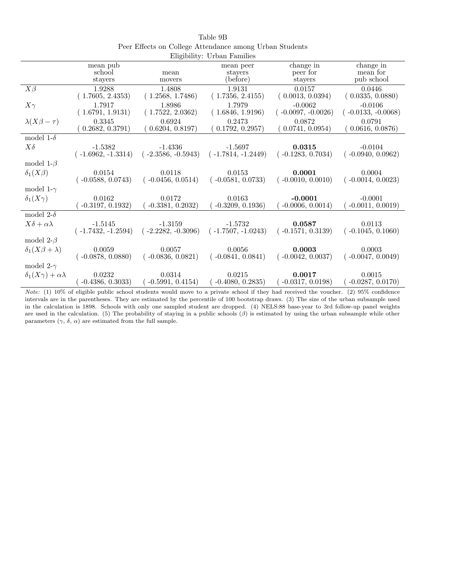|                                     |                      |                      | Engibility. UTDail Pallines |                      |                      |
|-------------------------------------|----------------------|----------------------|-----------------------------|----------------------|----------------------|
|                                     | mean pub             |                      | mean peer                   | change in            | change in            |
|                                     | school               | mean                 | stayers                     | peer for             | mean for             |
|                                     | stayers              | movers               | (before)                    | stayers              | pub school           |
| $X\beta$                            | 1.9288               | 1.4808               | 1.9131                      | 0.0157               | 0.0446               |
|                                     | (1.7605, 2.4353)     | (1.2568, 1.7486)     | (1.7356, 2.4155)            | (0.0013, 0.0394)     | (0.0335, 0.0880)     |
| $X\gamma$                           | 1.7917               | 1.8986               | 1.7979                      | $-0.0062$            | $-0.0106$            |
|                                     | (1.6791, 1.9131)     | (1.7522, 2.0362)     | (1.6846, 1.9196)            | $(-0.0097, -0.0026)$ | $(-0.0133, -0.0068)$ |
| $\lambda(X\beta-\tau)$              | 0.3345               | 0.6924               | 0.2473                      | 0.0872               | 0.0791               |
|                                     | 0.2682, 0.3791)      | (0.6204, 0.8197)     | (0.1792, 0.2957)            | (0.0741, 0.0954)     | (0.0616, 0.0876)     |
| model 1- $\delta$                   |                      |                      |                             |                      |                      |
| $X\delta$                           | $-1.5382$            | $-1.4336$            | $-1.5697$                   | 0.0315               | $-0.0104$            |
|                                     | $(-1.6962, -1.3314)$ | $(-2.3586, -0.5943)$ | $(-1.7814, -1.2449)$        | $(-0.1283, 0.7034)$  | $(-0.0940, 0.0962)$  |
| model 1- $\beta$                    |                      |                      |                             |                      |                      |
| $\delta_1(X\beta)$                  | 0.0154               | 0.0118               | 0.0153                      | 0.0001               | 0.0004               |
|                                     | $(-0.0588, 0.0743)$  | $(-0.0456, 0.0514)$  | $(-0.0581, 0.0733)$         | $(-0.0010, 0.0010)$  | $(-0.0014, 0.0023)$  |
| model 1- $\gamma$                   |                      |                      |                             |                      |                      |
| $\delta_1(X\gamma)$                 | 0.0162               | 0.0172               | 0.0163                      | $-0.0001$            | $-0.0001$            |
|                                     | $-0.3197, 0.1932)$   | $-0.3381, 0.2032)$   | $-0.3209, 0.1936)$          | $-0.0006, 0.0014)$   | $-0.0011, 0.0019$    |
| model 2- $\delta$                   |                      |                      |                             |                      |                      |
| $X\delta + \alpha\lambda$           | $-1.5145$            | $-1.3159$            | $-1.5732$                   | 0.0587               | 0.0113               |
|                                     | $(-1.7432, -1.2594)$ | $(-2.2282, -0.3096)$ | $(-1.7507, -1.0243)$        | $(-0.1571, 0.3139)$  | $(-0.1045, 0.1060)$  |
| model 2- $\beta$                    |                      |                      |                             |                      |                      |
| $\delta_1(X\beta+\lambda)$          | 0.0059               | 0.0057               | 0.0056                      | 0.0003               | 0.0003               |
|                                     | $(-0.0878, 0.0880)$  | $(-0.0836, 0.0821)$  | $(-0.0841, 0.0841)$         | $(-0.0042, 0.0037)$  | $(-0.0047, 0.0049)$  |
| model 2- $\gamma$                   |                      |                      |                             |                      |                      |
| $\delta_1(X\gamma) + \alpha\lambda$ | 0.0232               | 0.0314               | 0.0215                      | 0.0017               | 0.0015               |
|                                     | $-0.4386, 0.3033$    | $-0.5991, 0.4154)$   | $-0.4080, 0.2835)$          | $-0.0317, 0.0198)$   | $-0.0287, 0.0170)$   |

|                                                         | Table 9B                    |  |  |
|---------------------------------------------------------|-----------------------------|--|--|
| Peer Effects on College Attendance among Urban Students |                             |  |  |
|                                                         | Fligibility: Urban Familics |  |  |

Note: (1) 10% of eligible public school students would move to a private school if they had received the voucher. (2) 95% confidence intervals are in the parentheses. They are estimated by the percentile of 100 bootstrap draws. (3) The size of the urban subsample used in the calculation is 1898. Schools with only one sampled student are dropped. (4) NELS:88 base-year to 3rd follow-up panel weights are used in the calculation. (5) The probability of staying in a public schools  $(\beta)$  is estimated by using the urban subsample while other parameters  $(\gamma, \delta, \alpha)$  are estimated from the full sample.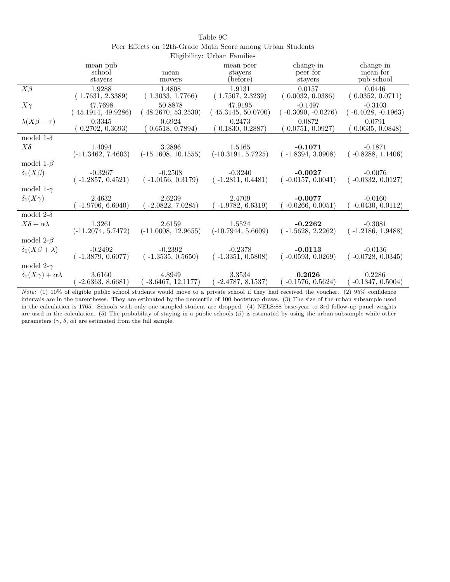|                                     |                      |                       | Engibility. Utball Fallings |                      |                      |
|-------------------------------------|----------------------|-----------------------|-----------------------------|----------------------|----------------------|
|                                     | mean pub             |                       | mean peer                   | change in            | change in            |
|                                     | school               | mean                  | stayers                     | peer for             | mean for             |
|                                     | stayers              | movers                | (before)                    | stayers              | pub school           |
|                                     |                      |                       |                             |                      |                      |
| $X\beta$                            | 1.9288               | 1.4808                | 1.9131                      | 0.0157               | 0.0446               |
|                                     | (1.7631, 2.3389)     | (1.3033, 1.7766)      | (1.7507, 2.3239)            | (0.0032, 0.0386)     | (0.0352, 0.0711)     |
| $X\gamma$                           | 47.7698              | 50.8878               | 47.9195                     | $-0.1497$            | $-0.3103$            |
|                                     | 45.1914, 49.9286)    | 48.2670, 53.2530)     | (45.3145, 50.0700)          | $(-0.3090, -0.0276)$ | $(-0.4028, -0.1963)$ |
| $\lambda(X\beta-\tau)$              | 0.3345               | 0.6924                | 0.2473                      | 0.0872               | 0.0791               |
|                                     | (0.2702, 0.3693)     | (0.6518, 0.7894)      | (0.1830, 0.2887)            | (0.0751, 0.0927)     | (0.0635, 0.0848)     |
| model 1- $\delta$                   |                      |                       |                             |                      |                      |
| $X\delta$                           | 1.4094               | 3.2896                | 1.5165                      | $-0.1071$            | $-0.1871$            |
|                                     | $(-11.3462, 7.4603)$ | $(-15.1608, 10.1555)$ | $(-10.3191, 5.7225)$        | $(-1.8394, 3.0908)$  | $(-0.8288, 1.1406)$  |
| model 1- $\beta$                    |                      |                       |                             |                      |                      |
| $\delta_1(X\beta)$                  | $-0.3267$            | $-0.2508$             | $-0.3240$                   | $-0.0027$            | $-0.0076$            |
|                                     | $(-1.2857, 0.4521)$  | $(-1.0156, 0.3179)$   | $(-1.2811, 0.4481)$         | $(-0.0157, 0.0041)$  | $(-0.0332, 0.0127)$  |
| model 1- $\gamma$                   |                      |                       |                             |                      |                      |
| $\delta_1(X\gamma)$                 | 2.4632               | 2.6239                | 2.4709                      | $-0.0077$            | $-0.0160$            |
|                                     | $-1.9706, 6.6040$    | $-2.0822, 7.0285$     | $-1.9782, 6.6319$           | $-0.0266, 0.0051)$   | $-0.0430, 0.0112)$   |
| model 2- $\delta$                   |                      |                       |                             |                      |                      |
| $X\delta + \alpha\lambda$           | 1.3261               | 2.6159                | 1.5524                      | $-0.2262$            | $-0.3081$            |
|                                     | $(-11.2074, 5.7472)$ | $(-11.0008, 12.9655)$ | $(-10.7944, 5.6609)$        | $(-1.5628, 2.2262)$  | $(-1.2186, 1.9488)$  |
| model 2- $\beta$                    |                      |                       |                             |                      |                      |
| $\delta_1(X\beta+\lambda)$          | $-0.2492$            | $-0.2392$             | $-0.2378$                   | $-0.0113$            | $-0.0136$            |
|                                     | $(-1.3879, 0.6077)$  | $(-1.3535, 0.5650)$   | $(-1.3351, 0.5808)$         | $(-0.0593, 0.0269)$  | $(-0.0728, 0.0345)$  |
| model 2- $\gamma$                   |                      |                       |                             |                      |                      |
| $\delta_1(X\gamma) + \alpha\lambda$ | 3.6160               | 4.8949                | 3.3534                      | 0.2626               | 0.2286               |
|                                     | $-2.6363, 8.6681)$   | $-3.6467, 12.1177$    | $-2.4787, 8.1537)$          | $-0.1576, 0.5624)$   | $-0.1347, 0.5004$    |

| Table 9C                                                   |
|------------------------------------------------------------|
| Peer Effects on 12th-Grade Math Score among Urban Students |
| Fligibility: Urban Familics                                |

Note: (1) 10% of eligible public school students would move to a private school if they had received the voucher. (2) 95% confidence intervals are in the parentheses. They are estimated by the percentile of 100 bootstrap draws. (3) The size of the urban subsample used in the calculation is 1765. Schools with only one sampled student are dropped. (4) NELS:88 base-year to 3rd follow-up panel weights are used in the calculation. (5) The probability of staying in a public schools  $(\beta)$  is estimated by using the urban subsample while other parameters  $(\gamma, \delta, \alpha)$  are estimated from the full sample.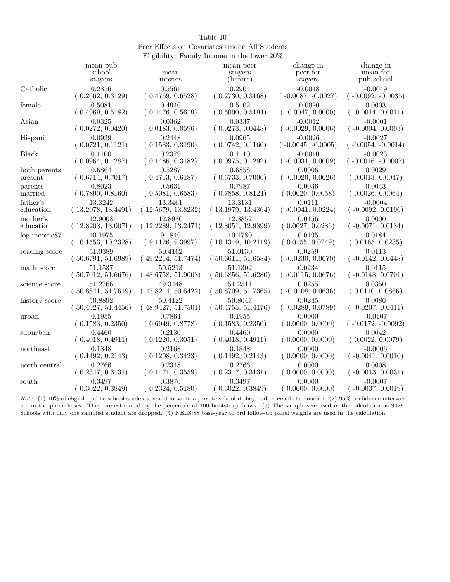| Table 10                                       |  |
|------------------------------------------------|--|
| Peer Effects on Covariates among All Students  |  |
| Eligibility: Family Income in the lower $20\%$ |  |

|                   | mean pub           |                    | mean peer          | change in            | change in            |
|-------------------|--------------------|--------------------|--------------------|----------------------|----------------------|
|                   | school             | mean               | stayers            | peer for             | mean for             |
|                   | stayers            | movers             | (before)           | stayers              | pub school           |
|                   |                    |                    |                    |                      |                      |
| Catholic          | 0.2856             | 0.5561             | 0.2904             | $-0.0048$            | $-0.0049$            |
|                   | (0.2662, 0.3129)   | (0.4769, 0.6528)   | (0.2730, 0.3168)   | $(-0.0087, -0.0027)$ | $(-0.0092, -0.0035)$ |
| female            | 0.5081             | 0.4940             | 0.5102             | $-0.0020$            | 0.0003               |
|                   | (0.4969, 0.5182)   | (0.4476, 0.5619)   | (0.5000, 0.5194)   | $(-0.0047, 0.0000)$  | $(-0.0014, 0.0011)$  |
| Asian             | 0.0325             | 0.0362             | 0.0337             | $-0.0012$            | $-0.0001$            |
|                   | (0.0272, 0.0420)   | (0.0183, 0.0596)   | (0.0273, 0.0448)   | $(-0.0029, 0.0006)$  | $(-0.0004, 0.0003)$  |
| Hispanic          | 0.0939             | 0.2448             | 0.0965             | $-0.0026$            | $-0.0027$            |
|                   | (0.0721, 0.1121)   | (0.1583, 0.3190)   | (0.0742, 0.1160)   | $(-0.0045, -0.0005)$ | $(-0.0054, -0.0014)$ |
| <b>Black</b>      | 0.1100             | 0.2379             | 0.1110             | $-0.0010$            | $-0.0023$            |
|                   | (0.0964, 0.1287)   | (0.1486, 0.3182)   | (0.0975, 0.1292)   | $(-0.0031, 0.0009)$  | $(-0.0046, -0.0007)$ |
| both parents      | 0.6864             | 0.5287             | 0.6858             | 0.0006               | 0.0029               |
| present           | (0.6714, 0.7017)   | (0.4713, 0.6187)   | (0.6733, 0.7006)   | $(-0.0020, 0.0026)$  | (0.0013, 0.0047)     |
| parents           | 0.8023             | 0.5631             | 0.7987             | 0.0036               | 0.0043               |
| married           | (0.7890, 0.8160)   | (0.5081, 0.6583)   | (0.7858, 0.8124)   | (0.0020, 0.0058)     | (0.0026, 0.0064)     |
| father's          | 13.3242            | 13.3461            | 13.3131            | 0.0111               | $-0.0004$            |
| education         | (13.2078, 13.4491) | (12.5679, 13.8232) | (13.1979, 13.4364) | $(-0.0041, 0.0224)$  | $(-0.0092, 0.0196)$  |
| mother's          | 12.9008            | 12.8980            | 12.8852            | 0.0156               | 0.0000               |
| education         | (12.8208, 13.0071) | (12.2289, 13.2471) | (12.8051, 12.9899) | (0.0027, 0.0286)     | $(-0.0071, 0.0184)$  |
| $log$ income $87$ | 10.1975            | 9.1849             | 10.1780            | 0.0195               | 0.0184               |
|                   | (10.1553, 10.2328) | (9.1126, 9.3997)   | (10.1349, 10.2119) | (0.0155, 0.0249)     | (0.0165, 0.0235)     |
| reading score     | 51.0389            | 50.4162            | 51.0130            | 0.0259               | 0.0113               |
|                   | (50.6791, 51.6989) | (49.2214, 51.7474) | (50.6611, 51.6584) | $(-0.0230, 0.0670)$  | $(-0.0142, 0.0448)$  |
| math score        | 51.1537            | 50.5213            | 51.1302            | 0.0234               | 0.0115               |
|                   | (50.7012, 51.6676) | (48.6758, 51.9008) | (50.6856, 51.6280) | $(-0.0115, 0.0676)$  | $(-0.0148, 0.0701)$  |
| science score     | 51.2766            | 49.3448            | 51.2511            | 0.0255               | 0.0350               |
|                   | (50.8841, 51.7619) | (47.8214, 50.6422) | (50.8709, 51.7365) | $(-0.0108, 0.0636)$  | (0.0140, 0.0866)     |
| history score     | 50.8892            | 50.4122            | 50.8647            | 0.0245               | 0.0086               |
|                   | (50.4927, 51.4456) | (48.9427, 51.7501) | (50.4755, 51.4176) | $(-0.0289, 0.0789)$  | $(-0.0207, 0.0411)$  |
| urban             | 0.1955             | 0.7864             | 0.1955             | 0.0000               | $-0.0107$            |
|                   | (0.1583, 0.2350)   | (0.6949, 0.8778)   | (0.1583, 0.2350)   | (0.0000, 0.0000)     | $(-0.0172, -0.0092)$ |
| suburban          | 0.4460             | 0.2130             | 0.4460             | 0.0000               | 0.0042               |
|                   | (0.4018, 0.4911)   | (0.1220, 0.3051)   | (0.4018, 0.4911)   | (0.0000, 0.0000)     | (0.0022, 0.0079)     |
| northeast         | 0.1848             | 0.2168             | 0.1848             | 0.0000               | $-0.0006$            |
|                   | (0.1492, 0.2143)   | (0.1208, 0.3423)   | (0.1492, 0.2143)   | (0.0000, 0.0000)     | $(-0.0041, 0.0010)$  |
| north central     | 0.2766             | 0.2348             | 0.2766             | 0.0000               | 0.0008               |
|                   | (0.2347, 0.3131)   | (0.1471, 0.3559)   | (0.2347, 0.3131)   | (0.0000, 0.0000)     | $(-0.0013, 0.0031)$  |
| south             | 0.3497             | 0.3876             | 0.3497             | 0.0000               | $-0.0007$            |
|                   | (0.3022, 0.3849)   | 0.2324, 0.5180     | (0.3022, 0.3849)   | 0.0000, 0.0000)      | $-0.0037, 0.0019$    |

Note: (1) 10% of eligible public school students would move to a private school if they had received the voucher. (2) 95% confidence intervals are in the parentheses. They are estimated by the percentile of 100 bootstrap draws. (3) The sample size used in the calculation is 9029. Schools with only one sampled student are dropped. (4) NELS:88 base-year to 3rd follow-up panel weights are used in the calculation.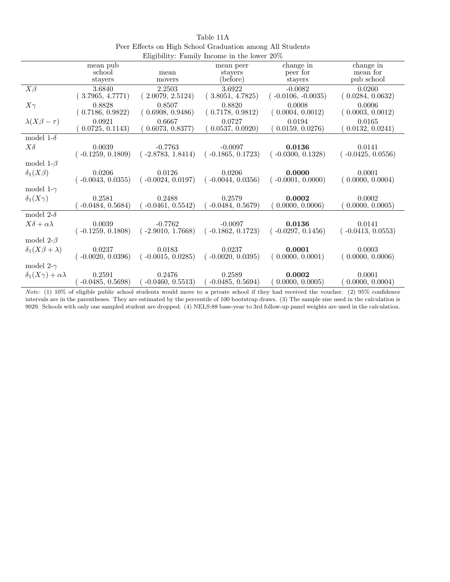|                                     |                     |                     | $\mathbf{m}_{\mathbf{p}}$ and $\mathbf{m}_{\mathbf{p}}$ . The summer is the result of $\mathbf{m}_{\mathbf{p}}$ |                      |                     |
|-------------------------------------|---------------------|---------------------|-----------------------------------------------------------------------------------------------------------------|----------------------|---------------------|
|                                     | mean pub            |                     | mean peer                                                                                                       | change in            | change in           |
|                                     | school              | mean                | stayers                                                                                                         | peer for             | mean for            |
|                                     | stayers             | movers              | (before)                                                                                                        | stayers              | pub school          |
| $X\beta$                            | 3.6840              | 2.2503              | 3.6922                                                                                                          | $-0.0082$            | 0.0260              |
|                                     | (3.7965, 4.7771)    | (2.0079, 2.5124)    | (3.8051, 4.7825)                                                                                                | $(-0.0106, -0.0035)$ | (0.0284, 0.0632)    |
| $X\gamma$                           | 0.8828              | 0.8507              | 0.8820                                                                                                          | 0.0008               | 0.0006              |
|                                     | (0.7186, 0.9822)    | (0.6908, 0.9486)    | (0.7178, 0.9812)                                                                                                | (0.0004, 0.0012)     | (0.0003, 0.0012)    |
| $\lambda(X\beta-\tau)$              | 0.0921              | 0.6667              | 0.0727                                                                                                          | 0.0194               | 0.0165              |
|                                     | 0.0725, 0.1143)     | 0.6073, 0.8377)     | (0.0537, 0.0920)                                                                                                | (0.0159, 0.0276)     | (0.0132, 0.0241)    |
| model 1- $\delta$                   |                     |                     |                                                                                                                 |                      |                     |
| $X\delta$                           | 0.0039              | $-0.7763$           | $-0.0097$                                                                                                       | 0.0136               | 0.0141              |
|                                     | $(-0.1259, 0.1809)$ | $(-2.8783, 1.8414)$ | $(-0.1865, 0.1723)$                                                                                             | $(-0.0300, 0.1328)$  | $(-0.0425, 0.0556)$ |
| model 1- $\beta$                    |                     |                     |                                                                                                                 |                      |                     |
| $\delta_1(X\beta)$                  | 0.0206              | 0.0126              | 0.0206                                                                                                          | 0.0000               | 0.0001              |
|                                     | $-0.0043, 0.0355$   | $(-0.0024, 0.0197)$ | $(-0.0044, 0.0356)$                                                                                             | $(-0.0001, 0.0000)$  | (0.0000, 0.0004)    |
| model 1- $\gamma$                   |                     |                     |                                                                                                                 |                      |                     |
| $\delta_1(X\gamma)$                 | 0.2581              | 0.2488              | 0.2579                                                                                                          | 0.0002               | 0.0002              |
|                                     | $-0.0484, 0.5684)$  | $-0.0461, 0.5542)$  | $-0.0484, 0.5679)$                                                                                              | 0.0000, 0.0006)      | 0.0000, 0.0005)     |
| model 2- $\delta$                   |                     |                     |                                                                                                                 |                      |                     |
| $X\delta + \alpha\lambda$           | 0.0039              | $-0.7762$           | $-0.0097$                                                                                                       | 0.0136               | 0.0141              |
|                                     | $(-0.1259, 0.1808)$ | $(-2.9010, 1.7668)$ | $(-0.1862, 0.1723)$                                                                                             | $(-0.0297, 0.1456)$  | $(-0.0413, 0.0553)$ |
| model 2- $\beta$                    |                     |                     |                                                                                                                 |                      |                     |
| $\delta_1(X\beta+\lambda)$          | 0.0237              | 0.0183              | 0.0237                                                                                                          | 0.0001               | 0.0003              |
|                                     | $(-0.0020, 0.0396)$ | $(-0.0015, 0.0285)$ | $(-0.0020, 0.0395)$                                                                                             | (0.0000, 0.0001)     | (0.0000, 0.0006)    |
| model 2- $\gamma$                   |                     |                     |                                                                                                                 |                      |                     |
| $\delta_1(X\gamma) + \alpha\lambda$ | 0.2591              | 0.2476              | 0.2589                                                                                                          | 0.0002               | 0.0001              |
|                                     | $-0.0485, 0.5698$   | $-0.0460, 0.5513)$  | $-0.0485, 0.5694)$                                                                                              | (0.0000, 0.0005)     | 0.0000, 0.0004)     |

Table 11A Peer Effects on High School Graduation among All Students Eligibility: Family Income in the lower 20%

Note: (1) 10% of eligible public school students would move to a private school if they had received the voucher. (2) 95% confidence intervals are in the parentheses. They are estimated by the percentile of 100 bootstrap draws. (3) The sample size used in the calculation is 9029. Schools with only one sampled student are dropped. (4) NELS:88 base-year to 3rd follow-up panel weights are used in the calculation.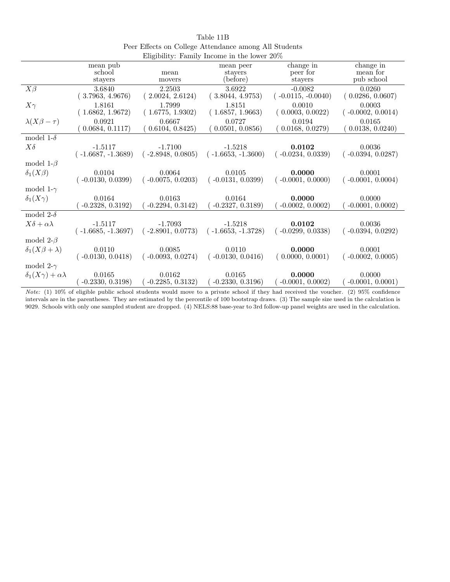|                                     |                      |                     | $\mu$ <sub>1</sub> , $\mu$ <sub>1</sub> , $\mu$ <sub>1</sub> , $\mu$ <sub>1</sub> , $\mu$ <sub>1</sub> , $\mu$ <sub>1</sub> , $\mu$ <sub>1</sub> , $\mu$ <sub>1</sub> , $\mu$ <sub>1</sub> , $\mu$ <sub>1</sub> , $\mu$ <sub>1</sub> , $\mu$ <sub>1</sub> , $\mu$ <sub>1</sub> , $\mu$ <sub>1</sub> , $\mu$ <sub>1</sub> , $\mu$ <sub>1</sub> , $\mu$ <sub>1</sub> , $\mu$ <sub>1</sub> , $\mu$ <sub>1</sub> , $\mu$ <sub>1</sub> , $\mu$ <sub>1</sub> , $\mu$ <sub>1</sub> , $\mu$ <sub>1</sub> , $\mu$ <sub>1</sub> , $\mu$ <sub></sub> |                       |                       |
|-------------------------------------|----------------------|---------------------|-------------------------------------------------------------------------------------------------------------------------------------------------------------------------------------------------------------------------------------------------------------------------------------------------------------------------------------------------------------------------------------------------------------------------------------------------------------------------------------------------------------------------------------------|-----------------------|-----------------------|
|                                     | mean pub<br>school   | mean                | mean peer<br>stayers                                                                                                                                                                                                                                                                                                                                                                                                                                                                                                                      | change in<br>peer for | change in<br>mean for |
|                                     | stayers              | movers              | (before)                                                                                                                                                                                                                                                                                                                                                                                                                                                                                                                                  | stayers               | pub school            |
| $X\beta$                            | 3.6840               | 2.2503              | 3.6922                                                                                                                                                                                                                                                                                                                                                                                                                                                                                                                                    | $-0.0082$             | 0.0260                |
|                                     | (3.7963, 4.9676)     | (2.0024, 2.6124)    | (3.8044, 4.9753)                                                                                                                                                                                                                                                                                                                                                                                                                                                                                                                          | $(-0.0115, -0.0040)$  | (0.0286, 0.0607)      |
| $X\gamma$                           | 1.8161               | 1.7999              | 1.8151                                                                                                                                                                                                                                                                                                                                                                                                                                                                                                                                    | 0.0010                | 0.0003                |
|                                     | (1.6862, 1.9672)     | (1.6775, 1.9302)    | (1.6857, 1.9663)                                                                                                                                                                                                                                                                                                                                                                                                                                                                                                                          | (0.0003, 0.0022)      | $(-0.0002, 0.0014)$   |
| $\lambda(X\beta-\tau)$              | 0.0921               | 0.6667              | 0.0727                                                                                                                                                                                                                                                                                                                                                                                                                                                                                                                                    | 0.0194                | 0.0165                |
|                                     | 0.0684, 0.1117       | (0.6104, 0.8425)    | (0.0501, 0.0856)                                                                                                                                                                                                                                                                                                                                                                                                                                                                                                                          | (0.0168, 0.0279)      | (0.0138, 0.0240)      |
| model 1- $\delta$                   |                      |                     |                                                                                                                                                                                                                                                                                                                                                                                                                                                                                                                                           |                       |                       |
| $X\delta$                           | $-1.5117$            | $-1.7100$           | $-1.5218$                                                                                                                                                                                                                                                                                                                                                                                                                                                                                                                                 | 0.0102                | 0.0036                |
|                                     | $(-1.6687, -1.3689)$ | $(-2.8948, 0.0805)$ | $(-1.6653, -1.3600)$                                                                                                                                                                                                                                                                                                                                                                                                                                                                                                                      | $(-0.0234, 0.0339)$   | $(-0.0394, 0.0287)$   |
| model 1- $\beta$                    |                      |                     |                                                                                                                                                                                                                                                                                                                                                                                                                                                                                                                                           |                       |                       |
| $\delta_1(X\beta)$                  | 0.0104               | 0.0064              | 0.0105                                                                                                                                                                                                                                                                                                                                                                                                                                                                                                                                    | 0.0000                | 0.0001                |
|                                     | $(-0.0130, 0.0399)$  | $(-0.0075, 0.0203)$ | $(-0.0131, 0.0399)$                                                                                                                                                                                                                                                                                                                                                                                                                                                                                                                       | $(-0.0001, 0.0000)$   | $(-0.0001, 0.0004)$   |
| model 1- $\gamma$                   |                      |                     |                                                                                                                                                                                                                                                                                                                                                                                                                                                                                                                                           |                       |                       |
| $\delta_1(X\gamma)$                 | 0.0164               | 0.0163              | 0.0164                                                                                                                                                                                                                                                                                                                                                                                                                                                                                                                                    | 0.0000                | 0.0000                |
|                                     | $-0.2328, 0.3192)$   | $-0.2294, 0.3142)$  | $-0.2327, 0.3189)$                                                                                                                                                                                                                                                                                                                                                                                                                                                                                                                        | $-0.0002, 0.0002)$    | $-0.0001, 0.0002)$    |
| model 2- $\delta$                   |                      |                     |                                                                                                                                                                                                                                                                                                                                                                                                                                                                                                                                           |                       |                       |
| $X\delta + \alpha\lambda$           | $-1.5117$            | -1.7093             | $-1.5218$                                                                                                                                                                                                                                                                                                                                                                                                                                                                                                                                 | 0.0102                | 0.0036                |
|                                     | $(-1.6685, -1.3697)$ | $(-2.8901, 0.0773)$ | $(-1.6653, -1.3728)$                                                                                                                                                                                                                                                                                                                                                                                                                                                                                                                      | $(-0.0299, 0.0338)$   | $(-0.0394, 0.0292)$   |
| model 2- $\beta$                    |                      |                     |                                                                                                                                                                                                                                                                                                                                                                                                                                                                                                                                           |                       |                       |
| $\delta_1(X\beta+\lambda)$          | 0.0110               | 0.0085              | 0.0110                                                                                                                                                                                                                                                                                                                                                                                                                                                                                                                                    | 0.0000                | 0.0001                |
|                                     | $(-0.0130, 0.0418)$  | $(-0.0093, 0.0274)$ | $(-0.0130, 0.0416)$                                                                                                                                                                                                                                                                                                                                                                                                                                                                                                                       | (0.0000, 0.0001)      | $(-0.0002, 0.0005)$   |
| model 2- $\gamma$                   |                      |                     |                                                                                                                                                                                                                                                                                                                                                                                                                                                                                                                                           |                       |                       |
| $\delta_1(X\gamma) + \alpha\lambda$ | 0.0165               | 0.0162              | 0.0165                                                                                                                                                                                                                                                                                                                                                                                                                                                                                                                                    | 0.0000                | 0.0000                |
|                                     | $-0.2330, 0.3198$    | $-0.2285, 0.3132)$  | $-0.2330, 0.3196$                                                                                                                                                                                                                                                                                                                                                                                                                                                                                                                         | $-0.0001, 0.0002)$    | $-0.0001, 0.0001)$    |

Table 11B Peer Effects on College Attendance among All Students Eligibility: Family Income in the lower 20%

Note: (1) 10% of eligible public school students would move to a private school if they had received the voucher. (2) 95% confidence intervals are in the parentheses. They are estimated by the percentile of 100 bootstrap draws. (3) The sample size used in the calculation is 9029. Schools with only one sampled student are dropped. (4) NELS:88 base-year to 3rd follow-up panel weights are used in the calculation.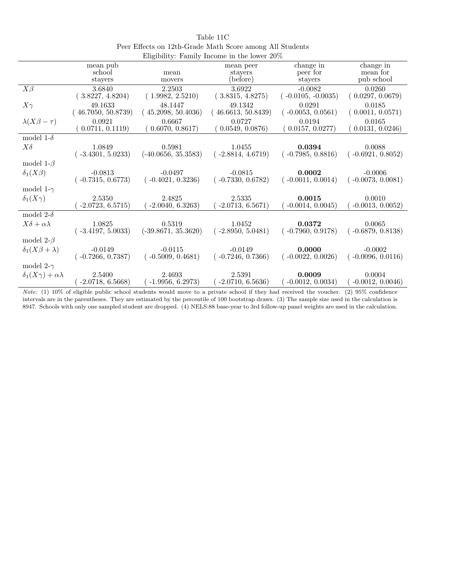|                                     | mean pub                         |                                  | mean peer                        | change in                         | change in                        |
|-------------------------------------|----------------------------------|----------------------------------|----------------------------------|-----------------------------------|----------------------------------|
|                                     | school                           | mean                             | stayers                          | peer for                          | mean for                         |
|                                     | stayers                          | movers                           | (before)                         | stayers                           | pub school                       |
| $X\beta$                            | 3.6840<br>(3.8227, 4.8204)       | 2.2503<br>(1.9982, 2.5210)       | 3.6922<br>(3.8315, 4.8275)       | $-0.0082$<br>$(-0.0105, -0.0035)$ | 0.0260<br>0.0297, 0.0679)        |
| $X\gamma$                           | 49.1633<br>(46.7050, 50.8739)    | 48.1447<br>45.2098, 50.4036)     | 49.1342<br>46.6613, 50.8439      | 0.0291<br>$(-0.0053, 0.0561)$     | 0.0185<br>(0.0011, 0.0571)       |
| $\lambda(X\beta-\tau)$              | 0.0921<br>0.0711, 0.1119)        | 0.6667<br>(0.6070, 0.8617)       | 0.0727<br>(0.0549, 0.0876)       | 0.0194<br>(0.0157, 0.0277)        | 0.0165<br>0.0131, 0.0246)        |
| model 1- $\delta$                   |                                  |                                  |                                  |                                   |                                  |
| $X\delta$                           | 1.0849<br>$(-3.4301, 5.0233)$    | 0.5981<br>$(-40.0656, 35.3583)$  | 1.0455<br>$(-2.8814, 4.6719)$    | 0.0394<br>$(-0.7985, 0.8816)$     | 0.0088<br>$(-0.6921, 0.8052)$    |
| model 1- $\beta$                    |                                  |                                  |                                  |                                   |                                  |
| $\delta_1(X\beta)$                  | $-0.0813$<br>$(-0.7315, 0.6773)$ | $-0.0497$<br>$(-0.4021, 0.3236)$ | $-0.0815$<br>$(-0.7330, 0.6782)$ | 0.0002<br>$(-0.0011, 0.0014)$     | $-0.0006$<br>$(-0.0073, 0.0081)$ |
| model 1- $\gamma$                   |                                  |                                  |                                  |                                   |                                  |
| $\delta_1(X\gamma)$                 | 2.5350<br>$-2.0723, 6.5715)$     | 2.4825<br>$-2.0040, 6.3263)$     | 2.5335<br>$-2.0713, 6.5671)$     | 0.0015<br>$-0.0014, 0.0045)$      | 0.0010<br>$-0.0013, 0.0052)$     |
| model 2- $\delta$                   |                                  |                                  |                                  |                                   |                                  |
| $X\delta + \alpha\lambda$           | 1.0825<br>$(-3.4197, 5.0033)$    | 0.5319<br>$(-39.8671, 35.3620)$  | 1.0452<br>$-2.8950, 5.0481$      | 0.0372<br>$(-0.7960, 0.9178)$     | 0.0065<br>$-0.6879, 0.8138$      |
| model 2- $\beta$                    |                                  |                                  |                                  |                                   |                                  |
| $\delta_1(X\beta+\lambda)$          | $-0.0149$<br>$(-0.7266, 0.7387)$ | $-0.0115$<br>$(-0.5009, 0.4681)$ | $-0.0149$<br>$(-0.7246, 0.7366)$ | 0.0000<br>$(-0.0022, 0.0026)$     | $-0.0002$<br>$(-0.0096, 0.0116)$ |
| model 2- $\gamma$                   |                                  |                                  |                                  |                                   |                                  |
| $\delta_1(X\gamma) + \alpha\lambda$ | 2.5400<br>$-2.0718, 6.5668)$     | 2.4693<br>$-1.9956, 6.2973)$     | 2.5391<br>$-2.0710, 6.5636)$     | 0.0009<br>$-0.0012, 0.0034)$      | 0.0004<br>$-0.0012, 0.0046)$     |

Table 11C Peer Effects on 12th-Grade Math Score among All Students Eligibility: Family Income in the lower 20%

Note: (1) 10% of eligible public school students would move to a private school if they had received the voucher. (2) 95% confidence intervals are in the parentheses. They are estimated by the percentile of 100 bootstrap draws. (3) The sample size used in the calculation is 8947. Schools with only one sampled student are dropped. (4) NELS:88 base-year to 3rd follow-up panel weights are used in the calculation.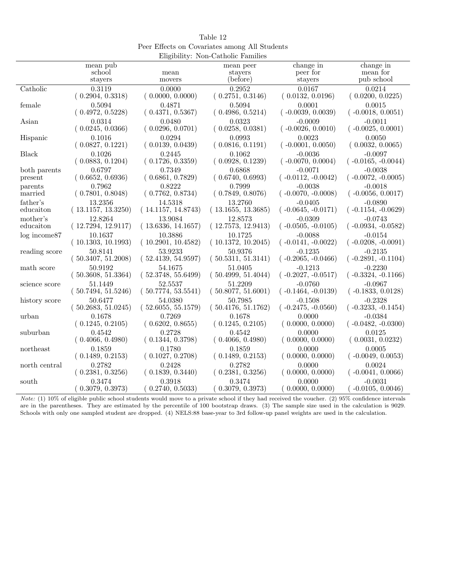| Table 12                                      |
|-----------------------------------------------|
| Peer Effects on Covariates among All Students |
| Eligibility: Non-Catholic Families            |

|                   |                    | $\text{m}_{\text{S}}$ and $\text{m}_{\text{S}}$ . Then contains $\text{r}$ |                    |                      |                      |
|-------------------|--------------------|----------------------------------------------------------------------------|--------------------|----------------------|----------------------|
|                   | mean pub           |                                                                            | mean peer          | change in            | change in            |
|                   | school             | mean                                                                       | stayers            | peer for             | mean for             |
|                   | stayers            | movers                                                                     | (before)           | stayers              | pub school           |
| Catholic          | 0.3119             | 0.0000                                                                     | 0.2952             | 0.0167               | 0.0214               |
|                   | (0.2904, 0.3318)   | (0.0000, 0.0000)                                                           | (0.2751, 0.3146)   | (0.0132, 0.0196)     | (0.0200, 0.0225)     |
| female            | 0.5094             | 0.4871                                                                     | 0.5094             | 0.0001               | 0.0015               |
|                   | (0.4972, 0.5228)   | (0.4371, 0.5367)                                                           | (0.4986, 0.5214)   | $(-0.0039, 0.0039)$  | $(-0.0018, 0.0051)$  |
| Asian             | 0.0314             | 0.0480                                                                     | 0.0323             | $-0.0009$            | $-0.0011$            |
|                   | (0.0245, 0.0366)   | (0.0296, 0.0701)                                                           | (0.0258, 0.0381)   | $(-0.0026, 0.0010)$  | $(-0.0025, 0.0001)$  |
| Hispanic          | 0.1016             | 0.0294                                                                     | 0.0993             | 0.0023               | 0.0050               |
|                   | (0.0827, 0.1221)   | (0.0139, 0.0439)                                                           | (0.0816, 0.1191)   | $(-0.0001, 0.0050)$  | (0.0032, 0.0065)     |
| Black             | 0.1026             | 0.2445                                                                     | 0.1062             | $-0.0036$            | $-0.0097$            |
|                   | (0.0883, 0.1204)   | (0.1726, 0.3359)                                                           | (0.0928, 0.1239)   | $(-0.0070, 0.0004)$  | $(-0.0165, -0.0044)$ |
| both parents      | 0.6797             | 0.7349                                                                     | 0.6868             | $-0.0071$            | $-0.0038$            |
| present           | (0.6652, 0.6936)   | (0.6861, 0.7829)                                                           | (0.6740, 0.6993)   | $(-0.0112, -0.0042)$ | $(-0.0072, -0.0005)$ |
| parents           | 0.7962             | 0.8222                                                                     | 0.7999             | $-0.0038$            | $-0.0018$            |
| married           | (0.7801, 0.8048)   | (0.7762, 0.8734)                                                           | (0.7849, 0.8076)   | $(-0.0070, -0.0008)$ | $(-0.0056, 0.0017)$  |
| father's          | 13.2356            | 14.5318                                                                    | 13.2760            | $-0.0405$            | $-0.0890$            |
| educaiton         | (13.1157, 13.3250) | (14.1157, 14.8743)                                                         | (13.1655, 13.3685) | $(-0.0645, -0.0171)$ | $(-0.1154, -0.0629)$ |
| mother's          | 12.8264            | 13.9084                                                                    | 12.8573            | $-0.0309$            | $-0.0743$            |
| educaiton         | (12.7294, 12.9117) | (13.6336, 14.1657)                                                         | (12.7573, 12.9413) | $(-0.0505, -0.0105)$ | $(-0.0934, -0.0582)$ |
| $log$ income $87$ | 10.1637            | 10.3886                                                                    | 10.1725            | $-0.0088$            | $-0.0154$            |
|                   | (10.1303, 10.1993) | (10.2901, 10.4582)                                                         | (10.1372, 10.2045) | $(-0.0141, -0.0022)$ | $(-0.0208, -0.0091)$ |
| reading score     | 50.8141            | 53.9233                                                                    | 50.9376            | $-0.1235$            | $-0.2135$            |
|                   | (50.3407, 51.2008) | (52.4139, 54.9597)                                                         | (50.5311, 51.3141) | $(-0.2065, -0.0466)$ | $(-0.2891, -0.1104)$ |
| math score        | 50.9192            | 54.1675                                                                    | 51.0405            | $-0.1213$            | $-0.2230$            |
|                   | (50.3608, 51.3364) | (52.3748, 55.6499)                                                         | (50.4999, 51.4044) | $(-0.2027, -0.0517)$ | $(-0.3324, -0.1166)$ |
| science score     | 51.1449            | 52.5537                                                                    | 51.2209            | $-0.0760$            | $-0.0967$            |
|                   | (50.7494, 51.5246) | (50.7774, 53.5541)                                                         | (50.8077, 51.6001) | $(-0.1464, -0.0139)$ | $(-0.1833, 0.0128)$  |
| history score     | 50.6477            | 54.0380                                                                    | 50.7985            | $-0.1508$            | $-0.2328$            |
|                   | (50.2683, 51.0245) | (52.6055, 55.1579)                                                         | (50.4176, 51.1762) | $(-0.2475, -0.0560)$ | $(-0.3233, -0.1454)$ |
| urban             | 0.1678             | 0.7269                                                                     | 0.1678             | 0.0000               | $-0.0384$            |
|                   | (0.1245, 0.2105)   | (0.6202, 0.8655)                                                           | (0.1245, 0.2105)   | (0.0000, 0.0000)     | $(-0.0482, -0.0300)$ |
| suburban          | 0.4542             | 0.2728                                                                     | 0.4542             | 0.0000               | 0.0125               |
|                   | (0.4066, 0.4980)   | (0.1344, 0.3798)                                                           | (0.4066, 0.4980)   | (0.0000, 0.0000)     | (0.0031, 0.0232)     |
| northeast         | 0.1859             | 0.1780                                                                     | 0.1859             | 0.0000               | 0.0005               |
|                   | (0.1489, 0.2153)   | (0.1027, 0.2708)                                                           | (0.1489, 0.2153)   | (0.0000, 0.0000)     | $(-0.0049, 0.0053)$  |
| north central     | 0.2782             | 0.2428                                                                     | 0.2782             | 0.0000               | 0.0024               |
|                   | (0.2381, 0.3256)   | (0.1839, 0.3440)                                                           | (0.2381, 0.3256)   | (0.0000, 0.0000)     | $(-0.0041, 0.0066)$  |
| south             | 0.3474             | 0.3918                                                                     | 0.3474             | 0.0000               | $-0.0031$            |
|                   | 0.3079, 0.3973)    | 0.2740, 0.5033                                                             | 0.3079, 0.3973)    | (0.0000, 0.0000)     | $-0.0105, 0.0046$    |

Note: (1) 10% of eligible public school students would move to a private school if they had received the voucher. (2) 95% confidence intervals are in the parentheses. They are estimated by the percentile of 100 bootstrap draws. (3) The sample size used in the calculation is 9029. Schools with only one sampled student are dropped. (4) NELS:88 base-year to 3rd follow-up panel weights are used in the calculation.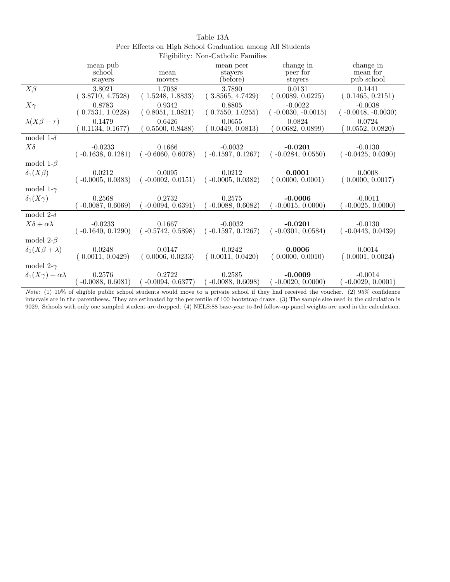|                                     |                                  |                               | Engrome, Ton Camone Familico     |                                   |                                   |
|-------------------------------------|----------------------------------|-------------------------------|----------------------------------|-----------------------------------|-----------------------------------|
|                                     | mean pub                         |                               | mean peer                        | change in                         | change in                         |
|                                     | school                           | mean                          | stayers                          | peer for                          | mean for                          |
|                                     | stayers                          | movers                        | (before)                         | stayers                           | pub school                        |
| $X\beta$                            | 3.8021<br>(3.8710, 4.7528)       | 1.7038<br>(1.5248, 1.8833)    | 3.7890<br>(3.8565, 4.7429)       | 0.0131<br>(0.0089, 0.0225)        | 0.1441<br>(0.1465, 0.2151)        |
| $X\gamma$                           | 0.8783<br>(0.7531, 1.0228)       | 0.9342<br>(0.8051, 1.0821)    | 0.8805<br>(0.7550, 1.0255)       | $-0.0022$<br>$(-0.0030, -0.0015)$ | $-0.0038$<br>$(-0.0048, -0.0030)$ |
| $\lambda(X\beta-\tau)$              | 0.1479<br>0.1134, 0.1677)        | 0.6426<br>(0.5500, 0.8488)    | 0.0655<br>(0.0449, 0.0813)       | 0.0824<br>(0.0682, 0.0899)        | 0.0724<br>(0.0552, 0.0820)        |
| model 1- $\delta$                   |                                  |                               |                                  |                                   |                                   |
| $X\delta$                           | $-0.0233$<br>$(-0.1638, 0.1281)$ | 0.1666<br>$(-0.6060, 0.6078)$ | $-0.0032$<br>$(-0.1597, 0.1267)$ | $-0.0201$<br>$(-0.0284, 0.0550)$  | $-0.0130$<br>$(-0.0425, 0.0390)$  |
| model 1- $\beta$                    |                                  |                               |                                  |                                   |                                   |
| $\delta_1(X\beta)$                  | 0.0212<br>$(-0.0005, 0.0383)$    | 0.0095<br>$(-0.0002, 0.0151)$ | 0.0212<br>$(-0.0005, 0.0382)$    | 0.0001<br>(0.0000, 0.0001)        | 0.0008<br>(0.0000, 0.0017)        |
| model 1- $\gamma$                   |                                  |                               |                                  |                                   |                                   |
| $\delta_1(X\gamma)$                 | 0.2568<br>$-0.0087, 0.6069)$     | 0.2732<br>$-0.0094, 0.6391)$  | 0.2575<br>$-0.0088, 0.6082)$     | $-0.0006$<br>$-0.0015, 0.0000$    | $-0.0011$<br>$-0.0025, 0.0000$    |
| model 2- $\delta$                   |                                  |                               |                                  |                                   |                                   |
| $X\delta + \alpha\lambda$           | $-0.0233$<br>$(-0.1640, 0.1290)$ | 0.1667<br>$(-0.5742, 0.5898)$ | $-0.0032$<br>$(-0.1597, 0.1267)$ | $-0.0201$<br>$(-0.0301, 0.0584)$  | $-0.0130$<br>$(-0.0443, 0.0439)$  |
| model 2- $\beta$                    |                                  |                               |                                  |                                   |                                   |
| $\delta_1(X\beta+\lambda)$          | 0.0248<br>(0.0011, 0.0429)       | 0.0147<br>(0.0006, 0.0233)    | 0.0242<br>(0.0011, 0.0420)       | 0.0006<br>(0.0000, 0.0010)        | 0.0014<br>(0.0001, 0.0024)        |
| model 2- $\gamma$                   |                                  |                               |                                  |                                   |                                   |
| $\delta_1(X\gamma) + \alpha\lambda$ | 0.2576<br>$-0.0088, 0.6081)$     | 0.2722<br>$-0.0094, 0.6377)$  | 0.2585<br>$-0.0088, 0.6098$      | $-0.0009$<br>$-0.0020, 0.0000$    | $-0.0014$<br>$-0.0029, 0.0001)$   |

Table 13A Peer Effects on High School Graduation among All Students Eligibility: Non-Catholic Families

Note: (1) 10% of eligible public school students would move to a private school if they had received the voucher. (2) 95% confidence intervals are in the parentheses. They are estimated by the percentile of 100 bootstrap draws. (3) The sample size used in the calculation is 9029. Schools with only one sampled student are dropped. (4) NELS:88 base-year to 3rd follow-up panel weights are used in the calculation.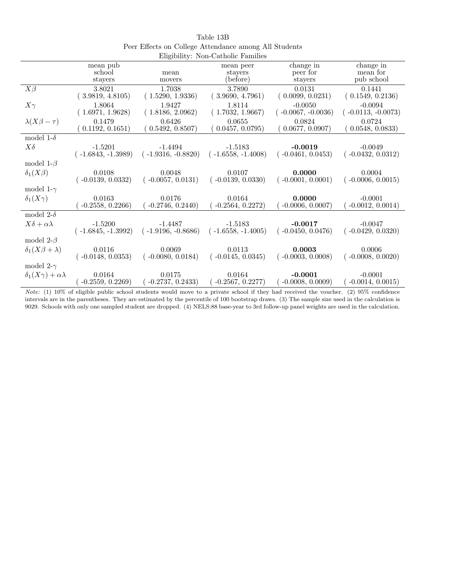|                                     |                      |                      | Engibility. Non-Catholic Pannies |                      |                      |
|-------------------------------------|----------------------|----------------------|----------------------------------|----------------------|----------------------|
|                                     | mean pub             |                      | mean peer                        | change in            | change in            |
|                                     | school               | mean                 | stayers                          | peer for             | mean for             |
|                                     | stayers              | movers               | (before)                         | stayers              | pub school           |
| $X\beta$                            | 3.8021               | 1.7038               | 3.7890                           | 0.0131               | 0.1441               |
|                                     | (3.9819, 4.8105)     | (1.5290, 1.9336)     | (3.9690, 4.7961)                 | (0.0099, 0.0231)     | (0.1549, 0.2136)     |
| $X\gamma$                           | 1.8064               | 1.9427               | 1.8114                           | $-0.0050$            | $-0.0094$            |
|                                     | (1.6971, 1.9628)     | (1.8186, 2.0962)     | (1.7032, 1.9667)                 | $(-0.0067, -0.0036)$ | $(-0.0113, -0.0073)$ |
| $\lambda(X\beta-\tau)$              | 0.1479               | 0.6426               | 0.0655                           | 0.0824               | 0.0724               |
|                                     | 0.1192, 0.1651)      | (0.5492, 0.8507)     | (0.0457, 0.0795)                 | 0.0677, 0.0907       | (0.0548, 0.0833)     |
| model 1- $\delta$                   |                      |                      |                                  |                      |                      |
| $X\delta$                           | $-1.5201$            | $-1.4494$            | $-1.5183$                        | $-0.0019$            | $-0.0049$            |
|                                     | $(-1.6843, -1.3989)$ | $(-1.9316, -0.8820)$ | $(-1.6558, -1.4008)$             | $(-0.0461, 0.0453)$  | $(-0.0432, 0.0312)$  |
| model 1- $\beta$                    |                      |                      |                                  |                      |                      |
| $\delta_1(X\beta)$                  | 0.0108               | 0.0048               | 0.0107                           | 0.0000               | 0.0004               |
|                                     | $(-0.0139, 0.0332)$  | $(-0.0057, 0.0131)$  | $(-0.0139, 0.0330)$              | $(-0.0001, 0.0001)$  | $(-0.0006, 0.0015)$  |
| model 1- $\gamma$                   |                      |                      |                                  |                      |                      |
| $\delta_1(X\gamma)$                 | 0.0163               | 0.0176               | 0.0164                           | 0.0000               | $-0.0001$            |
|                                     | $-0.2558, 0.2266$    | $-0.2746, 0.2440)$   | $-0.2564, 0.2272)$               | $-0.0006, 0.0007$    | $-0.0012, 0.0014)$   |
| model 2- $\delta$                   |                      |                      |                                  |                      |                      |
| $X\delta + \alpha\lambda$           | $-1.5200$            | $-1.4487$            | $-1.5183$                        | $-0.0017$            | $-0.0047$            |
|                                     | $(-1.6845, -1.3992)$ | $(-1.9196, -0.8686)$ | $(-1.6558, -1.4005)$             | $(-0.0450, 0.0476)$  | $(-0.0429, 0.0320)$  |
| model 2- $\beta$                    |                      |                      |                                  |                      |                      |
| $\delta_1(X\beta+\lambda)$          | 0.0116               | 0.0069               | 0.0113                           | 0.0003               | 0.0006               |
|                                     | $(-0.0148, 0.0353)$  | $(-0.0080, 0.0184)$  | $(-0.0145, 0.0345)$              | $(-0.0003, 0.0008)$  | $(-0.0008, 0.0020)$  |
| model 2- $\gamma$                   |                      |                      |                                  |                      |                      |
| $\delta_1(X\gamma) + \alpha\lambda$ | 0.0164               | 0.0175               | 0.0164                           | $-0.0001$            | $-0.0001$            |
|                                     | $-0.2559, 0.2269$    | $-0.2737, 0.2433)$   | $-0.2567, 0.2277)$               | $-0.0008, 0.0009$    | $(-0.0014, 0.0015)$  |

| Table 13B                                             |
|-------------------------------------------------------|
| Peer Effects on College Attendance among All Students |
| Fligibility: Non Catholic Familics                    |

Note: (1) 10% of eligible public school students would move to a private school if they had received the voucher. (2) 95% confidence intervals are in the parentheses. They are estimated by the percentile of 100 bootstrap draws. (3) The sample size used in the calculation is 9029. Schools with only one sampled student are dropped. (4) NELS:88 base-year to 3rd follow-up panel weights are used in the calculation.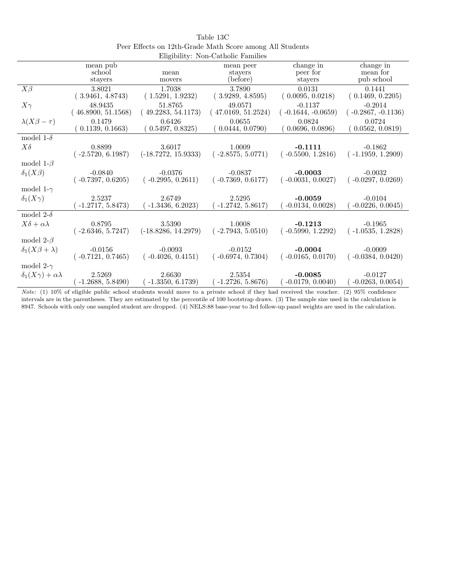|                                     |                     |                       | Lugionity. Ton Catholic I allinics |                       |                       |
|-------------------------------------|---------------------|-----------------------|------------------------------------|-----------------------|-----------------------|
|                                     | mean pub<br>school  | mean                  | mean peer<br>stayers               | change in<br>peer for | change in<br>mean for |
|                                     | stayers             | movers                | (before)                           | stayers               | pub school            |
| $X\beta$                            | 3.8021              | 1.7038                | 3.7890                             | 0.0131                | 0.1441                |
|                                     | (3.9461, 4.8743)    | (1.5291, 1.9232)      | (3.9289, 4.8595)                   | (0.0095, 0.0218)      | (0.1469, 0.2205)      |
| $X\gamma$                           | 48.9435             | 51.8765               | 49.0571                            | $-0.1137$             | $-0.2014$             |
|                                     | 46.8900, 51.1568    | 49.2283, 54.1173)     | (47.0169, 51.2524)                 | $-0.1644, -0.0659$    | $(-0.2867, -0.1136)$  |
| $\lambda(X\beta-\tau)$              | 0.1479              | 0.6426                | 0.0655                             | 0.0824                | 0.0724                |
|                                     | 0.1139, 0.1663)     | (0.5497, 0.8325)      | 0.0444, 0.0790)                    | (0.0696, 0.0896)      | 0.0562, 0.0819)       |
| model 1- $\delta$                   |                     |                       |                                    |                       |                       |
| $X\delta$                           | 0.8899              | 3.6017                | 1.0009                             | $-0.1111$             | $-0.1862$             |
|                                     | $(-2.5720, 6.1987)$ | $(-18.7272, 15.9333)$ | $(-2.8575, 5.0771)$                | $(-0.5500, 1.2816)$   | $(-1.1959, 1.2909)$   |
| model 1- $\beta$                    |                     |                       |                                    |                       |                       |
| $\delta_1(X\beta)$                  | $-0.0840$           | $-0.0376$             | $-0.0837$                          | $-0.0003$             | $-0.0032$             |
|                                     | $(-0.7397, 0.6205)$ | $(-0.2995, 0.2611)$   | $(-0.7369, 0.6177)$                | $(-0.0031, 0.0027)$   | $(-0.0297, 0.0269)$   |
| model 1- $\gamma$                   |                     |                       |                                    |                       |                       |
| $\delta_1(X\gamma)$                 | 2.5237              | 2.6749                | 2.5295                             | $-0.0059$             | $-0.0104$             |
|                                     | $-1.2717, 5.8473)$  | $-1.3436, 6.2023$     | $-1.2742, 5.8617$                  | $-0.0134, 0.0028$     | $-0.0226, 0.0045)$    |
| model 2- $\delta$                   |                     |                       |                                    |                       |                       |
| $X\delta + \alpha\lambda$           | 0.8795              | 3.5390                | 1.0008                             | $-0.1213$             | $-0.1965$             |
|                                     | $(-2.6346, 5.7247)$ | $(-18.8286, 14.2979)$ | $(-2.7943, 5.0510)$                | $(-0.5990, 1.2292)$   | $(-1.0535, 1.2828)$   |
| model 2- $\beta$                    |                     |                       |                                    |                       |                       |
| $\delta_1(X\beta+\lambda)$          | $-0.0156$           | $-0.0093$             | $-0.0152$                          | $-0.0004$             | $-0.0009$             |
|                                     | $(-0.7121, 0.7465)$ | $(-0.4026, 0.4151)$   | $(-0.6974, 0.7304)$                | $(-0.0165, 0.0170)$   | $(-0.0384, 0.0420)$   |
| model 2- $\gamma$                   |                     |                       |                                    |                       |                       |
| $\delta_1(X\gamma) + \alpha\lambda$ | 2.5269              | 2.6630                | 2.5354                             | $-0.0085$             | $-0.0127$             |
|                                     | $-1.2688, 5.8490)$  | $-1.3350, 6.1739)$    | $-1.2726, 5.8676$                  | $-0.0179, 0.0040)$    | $-0.0263, 0.0054)$    |

| Table 13C                                                |
|----------------------------------------------------------|
| Peer Effects on 12th-Grade Math Score among All Students |
| Eligibility: Non-Catholic Families                       |

Note: (1) 10% of eligible public school students would move to a private school if they had received the voucher. (2) 95% confidence intervals are in the parentheses. They are estimated by the percentile of 100 bootstrap draws. (3) The sample size used in the calculation is 8947. Schools with only one sampled student are dropped. (4) NELS:88 base-year to 3rd follow-up panel weights are used in the calculation.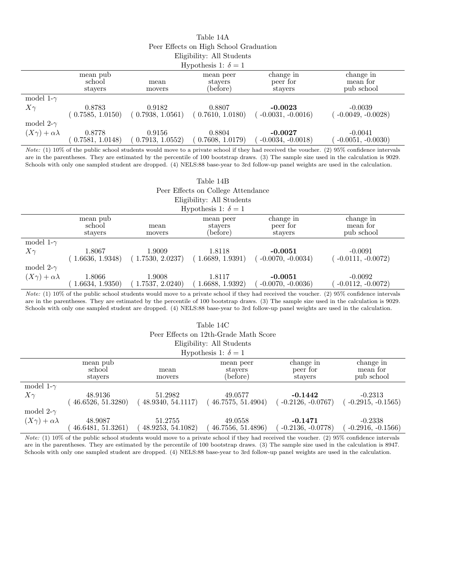| Table 14A                              |
|----------------------------------------|
| Peer Effects on High School Graduation |
| Eligibility: All Students              |
| $TT = 11 + 1 7 + 1$                    |

| Hypothesis 1: $\delta = 1$     |                               |                                                 |                                  |                                  |                                     |  |  |
|--------------------------------|-------------------------------|-------------------------------------------------|----------------------------------|----------------------------------|-------------------------------------|--|--|
|                                | mean pub<br>school<br>stayers | mean<br>movers                                  | mean peer<br>stayers<br>(before) | change in<br>peer for<br>stavers | change in<br>mean for<br>pub school |  |  |
| model 1- $\gamma$<br>$X\gamma$ | 0.8783                        | 0.9182<br>$(0.7585, 1.0150)$ $(0.7938, 1.0561)$ | 0.8807<br>(0.7610, 1.0180)       | $-0.0023$<br>$-0.0031, -0.0016$  | $-0.0039$<br>$-0.0049, -0.0028$     |  |  |
| model 2- $\gamma$              |                               |                                                 |                                  |                                  |                                     |  |  |
| $(X\gamma) + \alpha\lambda$    | 0.8778<br>0.7581, 1.0148      | 0.9156<br>0.7913, 1.0552)                       | 0.8804<br>0.7608, 1.0179)        | $-0.0027$<br>$-0.0034, -0.0018$  | $-0.0041$<br>$-0.0051, -0.0030)$    |  |  |

Note: (1) 10% of the public school students would move to a private school if they had received the voucher. (2) 95% confidence intervals are in the parentheses. They are estimated by the percentile of 100 bootstrap draws. (3) The sample size used in the calculation is 9029. Schools with only one sampled student are dropped. (4) NELS:88 base-year to 3rd follow-up panel weights are used in the calculation.

|  |  | Table 14B                          |  |  |
|--|--|------------------------------------|--|--|
|  |  | Peer Effects on College Attendance |  |  |
|  |  |                                    |  |  |

Eligibility: All Students  $H_{\text{noise}}$  1:  $\delta = 1$ 

| Hypothesis 1: $\theta = 1$  |                               |                            |                                  |                                  |                                     |  |  |
|-----------------------------|-------------------------------|----------------------------|----------------------------------|----------------------------------|-------------------------------------|--|--|
|                             | mean pub<br>school<br>stayers | mean<br>movers             | mean peer<br>stayers<br>(before) | change in<br>peer for<br>stavers | change in<br>mean for<br>pub school |  |  |
| model 1- $\gamma$           |                               |                            |                                  |                                  |                                     |  |  |
| $X\gamma$                   | 1.8067<br>1.6636, 1.9348      | 1.9009<br>(1.7530, 2.0237) | 1.8118<br>(1.6689, 1.9391)       | $-0.0051$<br>$-0.0070, -0.0034)$ | $-0.0091$<br>$-0.0111, -0.0072)$    |  |  |
| model 2- $\gamma$           |                               |                            |                                  |                                  |                                     |  |  |
| $(X\gamma) + \alpha\lambda$ | 1.8066<br>1.6634, 1.9350)     | 1.9008<br>1.7537, 2.0240   | 1.8117<br>1.6688, 1.9392)        | $-0.0051$<br>$-0.0070, -0.0036$  | $-0.0092$<br>$-0.0112, -0.0072)$    |  |  |
|                             |                               |                            |                                  |                                  |                                     |  |  |

Note: (1) 10% of the public school students would move to a private school if they had received the voucher. (2) 95% confidence intervals are in the parentheses. They are estimated by the percentile of 100 bootstrap draws. (3) The sample size used in the calculation is 9029. Schools with only one sampled student are dropped. (4) NELS:88 base-year to 3rd follow-up panel weights are used in the calculation.

## Table 14C

|  | Peer Effects on 12th-Grade Math Score |  |
|--|---------------------------------------|--|
|  |                                       |  |

| necis on 12th-criade mat                                         |  |  |
|------------------------------------------------------------------|--|--|
| Eligibility: All Students                                        |  |  |
| $\mathbf{H} = \mathbf{H} + \mathbf{H} + \mathbf{C} + \mathbf{H}$ |  |  |

| Hypothesis 1: $\delta = 1$  |                                                 |                    |                   |                    |                    |  |  |
|-----------------------------|-------------------------------------------------|--------------------|-------------------|--------------------|--------------------|--|--|
|                             | change in<br>change in<br>mean pub<br>mean peer |                    |                   |                    |                    |  |  |
|                             | school                                          | mean               | stavers           | peer for           | mean for           |  |  |
|                             | stavers                                         | movers             | (before)          | stavers            | pub school         |  |  |
| model 1- $\gamma$           |                                                 |                    |                   |                    |                    |  |  |
| $X\gamma$                   | 48.9136                                         | 51.2982            | 49.0577           | $-0.1442$          | $-0.2313$          |  |  |
|                             | 46.6526, 51.3280                                | (48.9340, 54.1117) | 46.7575, 51.4904  | $-0.2126, -0.0767$ | $-0.2915, -0.1565$ |  |  |
| model 2- $\gamma$           |                                                 |                    |                   |                    |                    |  |  |
| $(X\gamma) + \alpha\lambda$ | 48.9087                                         | 51.2755            | 49.0558           | $-0.1471$          | $-0.2338$          |  |  |
|                             | 46.6481, 51.3261)                               | 48.9253, 54.1082   | 46.7556, 51.4896) | $-0.2136, -0.0778$ | $-0.2916, -0.1566$ |  |  |

Note: (1) 10% of the public school students would move to a private school if they had received the voucher. (2) 95% confidence intervals are in the parentheses. They are estimated by the percentile of 100 bootstrap draws. (3) The sample size used in the calculation is 8947. Schools with only one sampled student are dropped. (4) NELS:88 base-year to 3rd follow-up panel weights are used in the calculation.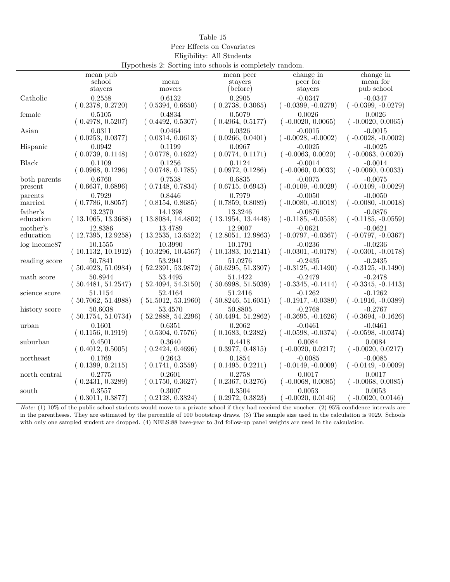Peer Effects on Covariates Eligibility: All Students Hypothesis  $9:$  Sorting into schools is completely rand

| rry pounesis 2: 50 rung muo schools is completely random. |                    |                    |                    |                      |                      |  |
|-----------------------------------------------------------|--------------------|--------------------|--------------------|----------------------|----------------------|--|
|                                                           | mean pub           |                    | mean peer          | change in            | change in            |  |
|                                                           | school             | mean               | stayers            | peer for             | mean for             |  |
|                                                           | stayers            | movers             | (before)           | stayers              | pub school           |  |
| Catholic                                                  | 0.2558             | 0.6132             | 0.2905             | $-0.0347$            | $-0.0347$            |  |
|                                                           | (0.2378, 0.2720)   | (0.5394, 0.6650)   | (0.2738, 0.3065)   | $(-0.0399, -0.0279)$ | $(-0.0399, -0.0279)$ |  |
| female                                                    | 0.5105             | 0.4834             | 0.5079             | 0.0026               | 0.0026               |  |
|                                                           | (0.4978, 0.5207)   | (0.4492, 0.5307)   | (0.4964, 0.5177)   | $(-0.0020, 0.0065)$  | $(-0.0020, 0.0065)$  |  |
| Asian                                                     | 0.0311             | 0.0464             | 0.0326             | $-0.0015$            | $-0.0015$            |  |
|                                                           | (0.0253, 0.0377)   | (0.0314, 0.0613)   | (0.0266, 0.0401)   | $(-0.0028, -0.0002)$ | $(-0.0028, -0.0002)$ |  |
| Hispanic                                                  | 0.0942             | 0.1199             | 0.0967             | $-0.0025$            | $-0.0025$            |  |
|                                                           | (0.0739, 0.1148)   | (0.0778, 0.1622)   | (0.0774, 0.1171)   | $(-0.0063, 0.0020)$  | $(-0.0063, 0.0020)$  |  |
| Black                                                     | 0.1109             | 0.1256             | 0.1124             | $-0.0014$            | $-0.0014$            |  |
|                                                           | (0.0968, 0.1296)   | (0.0748, 0.1785)   | (0.0972, 0.1286)   | $(-0.0060, 0.0033)$  | $(-0.0060, 0.0033)$  |  |
| both parents                                              | 0.6760             | 0.7538             | 0.6835             | $-0.0075$            | $-0.0075$            |  |
| present                                                   | (0.6637, 0.6896)   | (0.7148, 0.7834)   | (0.6715, 0.6943)   | $(-0.0109, -0.0029)$ | $(-0.0109, -0.0029)$ |  |
| parents                                                   | 0.7929             | 0.8446             | 0.7979             | $-0.0050$            | $-0.0050$            |  |
| married                                                   | (0.7786, 0.8057)   | (0.8154, 0.8685)   | (0.7859, 0.8089)   | $(-0.0080, -0.0018)$ | $(-0.0080, -0.0018)$ |  |
| father's                                                  | 13.2370            | 14.1398            | 13.3246            | $-0.0876$            | $-0.0876$            |  |
| education                                                 | (13.1065, 13.3688) | (13.8084, 14.4802) | (13.1954, 13.4448) | $(-0.1185, -0.0558)$ | $(-0.1185, -0.0559)$ |  |
| mother's                                                  | 12.8386            | 13.4789            | 12.9007            | $-0.0621$            | $-0.0621$            |  |
| education                                                 | (12.7395, 12.9258) | (13.2535, 13.6522) | (12.8051, 12.9863) | $(-0.0797, -0.0367)$ | $(-0.0797, -0.0367)$ |  |
| $log$ income $87$                                         | 10.1555            | 10.3990            | 10.1791            | $-0.0236$            | $-0.0236$            |  |
|                                                           | (10.1132, 10.1912) | (10.3296, 10.4567) | (10.1383, 10.2141) | $(-0.0301, -0.0178)$ | $(-0.0301, -0.0178)$ |  |
| reading score                                             | 50.7841            | 53.2941            | 51.0276            | $-0.2435$            | $-0.2435$            |  |
|                                                           | (50.4023, 51.0984) | (52.2391, 53.9872) | (50.6295, 51.3307) | $(-0.3125, -0.1490)$ | $(-0.3125, -0.1490)$ |  |
| math score                                                | 50.8944            | 53.4495            | 51.1422            | $-0.2479$            | $-0.2478$            |  |
|                                                           | (50.4481, 51.2547) | (52.4094, 54.3150) | (50.6998, 51.5039) | $(-0.3345, -0.1414)$ | $(-0.3345, -0.1413)$ |  |
| science score                                             | 51.1154            | 52.4164            | 51.2416            | $-0.1262$            | $-0.1262$            |  |
|                                                           | (50.7062, 51.4988) | (51.5012, 53.1960) | (50.8246, 51.6051) | $(-0.1917, -0.0389)$ | $(-0.1916, -0.0389)$ |  |
| history score                                             | 50.6038            | 53.4570            | 50.8805            | $-0.2768$            | $-0.2767$            |  |
|                                                           | (50.1754, 51.0734) | (52.2888, 54.2296) | (50.4494, 51.2862) | $(-0.3695, -0.1626)$ | $(-0.3694, -0.1626)$ |  |
| urban                                                     | 0.1601             | 0.6351             | 0.2062             | $-0.0461$            | $-0.0461$            |  |
|                                                           | (0.1156, 0.1919)   | (0.5304, 0.7576)   | (0.1683, 0.2382)   | $(-0.0598, -0.0374)$ | $(-0.0598, -0.0374)$ |  |
| suburban                                                  | 0.4501             | 0.3640             | 0.4418             | 0.0084               | 0.0084               |  |
|                                                           | (0.4012, 0.5005)   | (0.2424, 0.4696)   | (0.3977, 0.4815)   | $(-0.0020, 0.0217)$  | $(-0.0020, 0.0217)$  |  |
| northeast                                                 | 0.1769             | 0.2643             | 0.1854             | $-0.0085$            | $-0.0085$            |  |
|                                                           | (0.1399, 0.2115)   | (0.1741, 0.3559)   | (0.1495, 0.2211)   | $(-0.0149, -0.0009)$ | $(-0.0149, -0.0009)$ |  |
| north central                                             | 0.2775             | 0.2601             | 0.2758             | 0.0017               | 0.0017               |  |
|                                                           | (0.2431, 0.3289)   | (0.1750, 0.3627)   | (0.2367, 0.3276)   | $(-0.0068, 0.0085)$  | $(-0.0068, 0.0085)$  |  |
| south                                                     | 0.3557             | 0.3007             | 0.3504             | 0.0053               | 0.0053               |  |
|                                                           | (0.3011, 0.3877)   | (0.2128, 0.3824)   | 0.2972, 0.3823     | $($ -0.0020, 0.0146) | $(-0.0020, 0.0146)$  |  |

Note: (1) 10% of the public school students would move to a private school if they had received the voucher. (2) 95% confidence intervals are in the parentheses. They are estimated by the percentile of 100 bootstrap draws. (3) The sample size used in the calculation is 9029. Schools with only one sampled student are dropped. (4) NELS:88 base-year to 3rd follow-up panel weights are used in the calculation.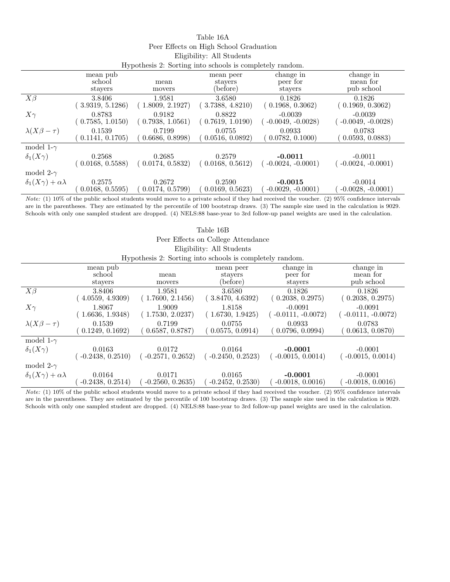| Table 16A                                               |
|---------------------------------------------------------|
| Peer Effects on High School Graduation                  |
| Eligibility: All Students                               |
| Hypothesis 2. Sorting into schools is completely random |

|                                     | rry pothesis 2. Sorting mto schools is completely random. |                  |                                  |                                  |                                     |  |
|-------------------------------------|-----------------------------------------------------------|------------------|----------------------------------|----------------------------------|-------------------------------------|--|
|                                     | mean pub<br>school<br>stayers                             | mean<br>movers   | mean peer<br>stayers<br>(before) | change in<br>peer for<br>stayers | change in<br>mean for<br>pub school |  |
| $X\beta$                            | 3.8406                                                    | 1.9581           | 3.6580                           | 0.1826                           | 0.1826                              |  |
|                                     | 3.9319, 5.1286                                            | 1.8009, 2.1927   | 3.7388, 4.8210                   | (0.1968, 0.3062)                 | (0.1969, 0.3062)                    |  |
| $X\gamma$                           | 0.8783                                                    | 0.9182           | 0.8822                           | $-0.0039$                        | $-0.0039$                           |  |
|                                     | (0.7585, 1.0150)                                          | (0.7938, 1.0561) | (0.7619, 1.0190)                 | $-0.0049, -0.0028$               | $-0.0049, -0.0028$                  |  |
| $\lambda(X\beta-\tau)$              | 0.1539                                                    | 0.7199           | 0.0755                           | 0.0933                           | 0.0783                              |  |
|                                     | 0.1141, 0.1705)                                           | 0.6686, 0.8998)  | 0.0516, 0.0892)                  | 0.0782, 0.1000                   | (0.0593, 0.0883)                    |  |
| model 1- $\gamma$                   |                                                           |                  |                                  |                                  |                                     |  |
| $\delta_1(X\gamma)$                 | 0.2568                                                    | 0.2685           | 0.2579                           | $-0.0011$                        | $-0.0011$                           |  |
|                                     | (0.0168, 0.5588)                                          | (0.0174, 0.5832) | (0.0168, 0.5612)                 | $-0.0024, -0.0001$               | $-0.0024, -0.0001)$                 |  |
| model 2- $\gamma$                   |                                                           |                  |                                  |                                  |                                     |  |
| $\delta_1(X\gamma) + \alpha\lambda$ | 0.2575                                                    | 0.2672           | 0.2590                           | $-0.0015$                        | $-0.0014$                           |  |
|                                     | 0.0168, 0.5595)                                           | 0.0174, 0.5799   | 0.0169, 0.5623)                  | $-0.0029, -0.0001)$              | $-0.0028, -0.0001)$                 |  |

Note: (1) 10% of the public school students would move to a private school if they had received the voucher. (2) 95% confidence intervals are in the parentheses. They are estimated by the percentile of 100 bootstrap draws. (3) The sample size used in the calculation is 9029. Schools with only one sampled student are dropped. (4) NELS:88 base-year to 3rd follow-up panel weights are used in the calculation.

| Table 16B                           |                               |                               |                                                          |                                  |                                     |  |
|-------------------------------------|-------------------------------|-------------------------------|----------------------------------------------------------|----------------------------------|-------------------------------------|--|
| Peer Effects on College Attendance  |                               |                               |                                                          |                                  |                                     |  |
|                                     |                               |                               | Eligibility: All Students                                |                                  |                                     |  |
|                                     |                               |                               | Hypothesis 2: Sorting into schools is completely random. |                                  |                                     |  |
|                                     | mean pub<br>school<br>stayers | mean<br>movers                | mean peer<br>stayers<br>(before)                         | change in<br>peer for<br>stayers | change in<br>mean for<br>pub school |  |
| $X\beta$                            | 3.8406<br>4.0559, 4.9309      | 1.9581<br>(1.7600, 2.1456)    | 3.6580<br>3.8470, 4.6392)                                | 0.1826<br>(0.2038, 0.2975)       | 0.1826<br>(0.2038, 0.2975)          |  |
| $X\gamma$                           | 1.8067<br>1.6636, 1.9348      | 1.9009<br>(1.7530, 2.0237)    | 1.8158<br>(1.6730, 1.9425)                               | $-0.0091$<br>$-0.0111, -0.0072)$ | $-0.0091$<br>$-0.0111, -0.0072)$    |  |
| $\lambda(X\beta-\tau)$              | 0.1539<br>0.1249, 0.1692)     | 0.7199<br>0.6587, 0.8787)     | 0.0755<br>0.0575, 0.0914)                                | 0.0933<br>0.0796, 0.0994)        | 0.0783<br>0.0613, 0.0870)           |  |
| model 1- $\gamma$                   |                               |                               |                                                          |                                  |                                     |  |
| $\delta_1(X\gamma)$                 | 0.0163<br>$-0.2438, 0.2510$   | 0.0172<br>$(-0.2571, 0.2652)$ | 0.0164<br>$-0.2450, 0.2523$                              | $-0.0001$<br>$-0.0015, 0.0014)$  | $-0.0001$<br>$-0.0015, 0.0014$      |  |
| model 2- $\gamma$                   |                               |                               |                                                          |                                  |                                     |  |
| $\delta_1(X\gamma) + \alpha\lambda$ | 0.0164<br>$-0.2438, 0.2514$   | 0.0171<br>$-0.2560, 0.2635)$  | 0.0165<br>$-0.2452, 0.2530$                              | $-0.0001$<br>$-0.0018, 0.0016$   | $-0.0001$<br>$-0.0018, 0.0016$      |  |

Note: (1) 10% of the public school students would move to a private school if they had received the voucher. (2) 95% confidence intervals are in the parentheses. They are estimated by the percentile of 100 bootstrap draws. (3) The sample size used in the calculation is 9029. Schools with only one sampled student are dropped. (4) NELS:88 base-year to 3rd follow-up panel weights are used in the calculation.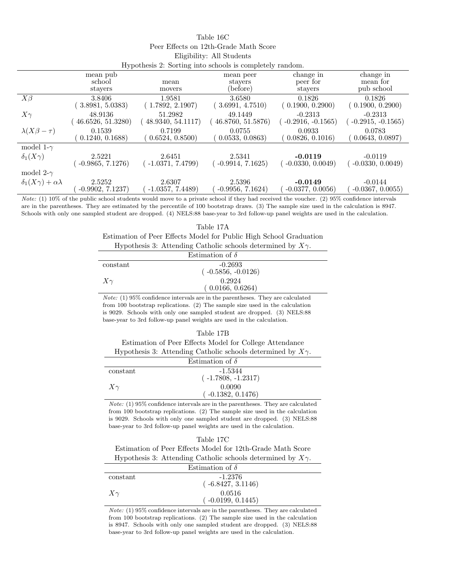| Table 16C                             |  |
|---------------------------------------|--|
| Peer Effects on 12th-Grade Math Score |  |
| Eligibility: All Students             |  |
|                                       |  |

| Hypothesis 2: Sorting into schools is completely random. |                               |                   |                                  |                                  |                                     |  |
|----------------------------------------------------------|-------------------------------|-------------------|----------------------------------|----------------------------------|-------------------------------------|--|
|                                                          | mean pub<br>school<br>stayers | mean<br>movers    | mean peer<br>stayers<br>(before) | change in<br>peer for<br>stayers | change in<br>mean for<br>pub school |  |
| $X\beta$                                                 | 3.8406                        | 1.9581            | 3.6580                           | 0.1826                           | 0.1826                              |  |
|                                                          | 3.8981, 5.0383)               | (1.7892, 2.1907)  | 3.6991, 4.7510)                  | (0.1900, 0.2900)                 | 0.1900, 0.2900)                     |  |
| $X\gamma$                                                | 48.9136                       | 51.2982           | 49.1449                          | $-0.2313$                        | $-0.2313$                           |  |
|                                                          | 46.6526, 51.3280)             | 48.9340, 54.1117) | 46.8760, 51.5876)                | $-0.2916, -0.1565$               | $-0.2915, -0.1565$                  |  |
| $\lambda(X\beta-\tau)$                                   | 0.1539                        | 0.7199            | 0.0755                           | 0.0933                           | 0.0783                              |  |
|                                                          | 0.1240, 0.1688)               | 0.6524, 0.8500)   | 0.0533, 0.0863)                  | 0.0826, 0.1016                   | 0.0643, 0.0897                      |  |
| model 1- $\gamma$                                        |                               |                   |                                  |                                  |                                     |  |
| $\delta_1(X\gamma)$                                      | 2.5221                        | 2.6451            | 2.5341                           | $-0.0119$                        | $-0.0119$                           |  |
|                                                          | $-0.9865, 7.1276$             | $-1.0371, 7.4799$ | $-0.9914, 7.1625$                | $-0.0330, 0.0049$                | $-0.0330, 0.0049$                   |  |
| model 2- $\gamma$                                        |                               |                   |                                  |                                  |                                     |  |
| $\delta_1(X\gamma) + \alpha\lambda$                      | 2.5252                        | 2.6307            | 2.5396                           | $-0.0149$                        | $-0.0144$                           |  |
|                                                          | $-0.9902, 7.1237$             | $-1.0357, 7.4489$ | $-0.9956, 7.1624$                | $-0.0377, 0.0056$                | $-0.0367, 0.0055$                   |  |

Note: (1) 10% of the public school students would move to a private school if they had received the voucher. (2) 95% confidence intervals are in the parentheses. They are estimated by the percentile of 100 bootstrap draws. (3) The sample size used in the calculation is 8947. Schools with only one sampled student are dropped. (4) NELS:88 base-year to 3rd follow-up panel weights are used in the calculation.

| Table 17A                                                             |
|-----------------------------------------------------------------------|
| Estimation of Peer Effects Model for Public High School Graduation    |
| Hypothesis 3: Attending Catholic schools determined by $X_{\gamma}$ . |

|           | Estimation of $\delta$ |  |
|-----------|------------------------|--|
| constant  | $-0.2693$              |  |
|           | $(-0.5856, -0.0126)$   |  |
| $X\gamma$ | 0.2924                 |  |
|           | (0.0166, 0.6264)       |  |

Note: (1) 95% confidence intervals are in the parentheses. They are calculated from 100 bootstrap replications. (2) The sample size used in the calculation is 9029. Schools with only one sampled student are dropped. (3) NELS:88 base-year to 3rd follow-up panel weights are used in the calculation.

## Table 17B

Estimation of Peer Effects Model for College Attendance Hypothesis 3: Attending Catholic schools determined by  $X_{\gamma}$ .

| $\boldsymbol{v}$ $\boldsymbol{\perp}$ |                        |  |  |
|---------------------------------------|------------------------|--|--|
|                                       | Estimation of $\delta$ |  |  |
| constant                              | $-1.5344$              |  |  |
|                                       | $(-1.7808, -1.2317)$   |  |  |
| $X\gamma$                             | 0.0090                 |  |  |
|                                       | $-0.1382, 0.1476$      |  |  |
|                                       |                        |  |  |

Note: (1) 95% confidence intervals are in the parentheses. They are calculated from 100 bootstrap replications. (2) The sample size used in the calculation is 9029. Schools with only one sampled student are dropped. (3) NELS:88 base-year to 3rd follow-up panel weights are used in the calculation.

| Table 17C |
|-----------|
|           |

Estimation of Peer Effects Model for 12th-Grade Math Score Hypothesis 3: Attending Catholic schools determined by  $X_{\gamma}$ .

| .         |                        |  |
|-----------|------------------------|--|
|           | Estimation of $\delta$ |  |
| constant  | $-1.2376$              |  |
|           | $(-6.8427, 3.1146)$    |  |
| $X\gamma$ | 0.0516                 |  |
|           | $(-0.0199, 0.1445)$    |  |

Note: (1) 95% confidence intervals are in the parentheses. They are calculated from 100 bootstrap replications. (2) The sample size used in the calculation is 8947. Schools with only one sampled student are dropped. (3) NELS:88 base-year to 3rd follow-up panel weights are used in the calculation.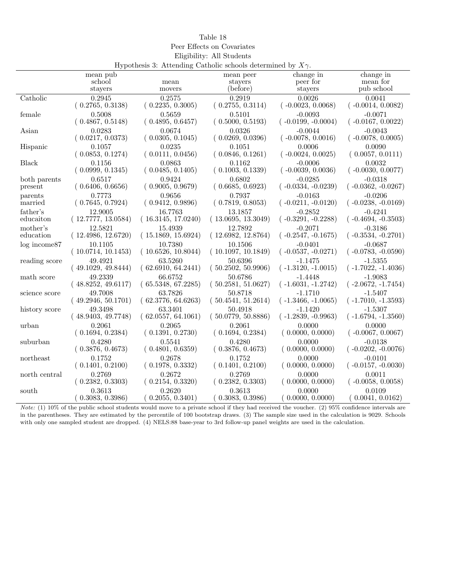| rable ·<br>IΧ |
|---------------|
|---------------|

Peer Effects on Covariates

Eligibility: All Students

| Hypothesis 3: Attending Catholic schools determined by $X_{\gamma}$ . |                    |                    |                    |                      |                      |  |
|-----------------------------------------------------------------------|--------------------|--------------------|--------------------|----------------------|----------------------|--|
|                                                                       | mean pub           |                    | mean peer          | change in            | change in            |  |
|                                                                       | school             | mean               | stayers            | peer for             | mean for             |  |
|                                                                       | stayers            | movers             | (before)           | stayers              | pub school           |  |
| Catholic                                                              | 0.2945             | 0.2575             | 0.2919             | 0.0026               | 0.0041               |  |
|                                                                       | (0.2765, 0.3138)   | (0.2235, 0.3005)   | (0.2755, 0.3114)   | $(-0.0023, 0.0068)$  | $(-0.0014, 0.0082)$  |  |
| female                                                                | 0.5008             | 0.5659             | 0.5101             | $-0.0093$            | $-0.0071$            |  |
|                                                                       | (0.4867, 0.5148)   | (0.4895, 0.6457)   | (0.5000, 0.5193)   | $(-0.0199, -0.0004)$ | $(-0.0167, 0.0022)$  |  |
| Asian                                                                 | 0.0283             | 0.0674             | 0.0326             | $-0.0044$            | $-0.0043$            |  |
|                                                                       | (0.0217, 0.0373)   | (0.0305, 0.1045)   | (0.0269, 0.0396)   | $(-0.0078, 0.0016)$  | $(-0.0078, 0.0005)$  |  |
| Hispanic                                                              | 0.1057             | 0.0235             | 0.1051             | 0.0006               | 0.0090               |  |
|                                                                       | (0.0853, 0.1274)   | (0.0111, 0.0456)   | (0.0846, 0.1261)   | $(-0.0024, 0.0025)$  | (0.0057, 0.0111)     |  |
| <b>Black</b>                                                          | 0.1156             | 0.0863             | 0.1162             | $-0.0006$            | 0.0032               |  |
|                                                                       | (0.0999, 0.1345)   | (0.0485, 0.1405)   | (0.1003, 0.1339)   | $(-0.0039, 0.0036)$  | $(-0.0030, 0.0077)$  |  |
| both parents                                                          | 0.6517             | 0.9424             | 0.6802             | $-0.0285$            | $-0.0318$            |  |
| present                                                               | (0.6406, 0.6656)   | (0.9005, 0.9679)   | (0.6685, 0.6923)   | $(-0.0334, -0.0239)$ | $(-0.0362, -0.0267)$ |  |
| parents                                                               | 0.7773             | 0.9656             | 0.7937             | $-0.0163$            | $-0.0206$            |  |
| married                                                               | (0.7645, 0.7924)   | (0.9412, 0.9896)   | (0.7819, 0.8053)   | $(-0.0211, -0.0120)$ | $(-0.0238, -0.0169)$ |  |
| father's                                                              | 12.9005            | 16.7763            | 13.1857            | $-0.2852$            | $-0.4241$            |  |
| educaiton                                                             | (12.7777, 13.0584) | (16.3145, 17.0240) | (13.0695, 13.3049) | $(-0.3291, -0.2288)$ | $(-0.4694, -0.3503)$ |  |
| mother's                                                              | 12.5821            | 15.4939            | 12.7892            | $-0.2071$            | $-0.3186$            |  |
| education                                                             | (12.4986, 12.6720) | (15.1869, 15.6924) | (12.6982, 12.8764) | $(-0.2547, -0.1675)$ | $(-0.3534, -0.2701)$ |  |
| $log$ income $87$                                                     | 10.1105            | 10.7380            | 10.1506            | $-0.0401$            | $-0.0687$            |  |
|                                                                       | (10.0714, 10.1453) | (10.6526, 10.8044) | (10.1097, 10.1849) | $(-0.0537, -0.0271)$ | $(-0.0783, -0.0590)$ |  |
| reading score                                                         | 49.4921            | 63.5260            | 50.6396            | $-1.1475$            | $-1.5355$            |  |
|                                                                       | (49.1029, 49.8444) | (62.6910, 64.2441) | (50.2502, 50.9906) | $(-1.3120, -1.0015)$ | $(-1.7022, -1.4036)$ |  |
| math score                                                            | 49.2339            | 66.6752            | 50.6786            | $-1.4448$            | $-1.9083$            |  |
|                                                                       | (48.8252, 49.6117) | (65.5348, 67.2285) | (50.2581, 51.0627) | $(-1.6031, -1.2742)$ | $(-2.0672, -1.7454)$ |  |
| science score                                                         | 49.7008            | 63.7826            | 50.8718            | $-1.1710$            | $-1.5407$            |  |
|                                                                       | (49.2946, 50.1701) | (62.3776, 64.6263) | (50.4541, 51.2614) | $(-1.3466, -1.0065)$ | $(-1.7010, -1.3593)$ |  |
| history score                                                         | 49.3498            | 63.3401            | 50.4918            | $-1.1420$            | $-1.5307$            |  |
|                                                                       | (48.9403, 49.7748) | (62.0557, 64.1061) | (50.0779, 50.8886) | $(-1.2839, -0.9963)$ | $(-1.6794, -1.3560)$ |  |
| urban                                                                 | 0.2061             | 0.2065             | 0.2061             | 0.0000               | 0.0000               |  |
|                                                                       | (0.1694, 0.2384)   | (0.1391, 0.2730)   | (0.1694, 0.2384)   | (0.0000, 0.0000)     | $(-0.0067, 0.0067)$  |  |
| suburban                                                              | 0.4280             | 0.5541             | 0.4280             | 0.0000               | $-0.0138$            |  |
|                                                                       | (0.3876, 0.4673)   | (0.4801, 0.6359)   | (0.3876, 0.4673)   | (0.0000, 0.0000)     | $(-0.0202, -0.0076)$ |  |
| northeast                                                             | 0.1752             | 0.2678             | 0.1752             | 0.0000               | $-0.0101$            |  |
|                                                                       | (0.1401, 0.2100)   | (0.1978, 0.3332)   | (0.1401, 0.2100)   | (0.0000, 0.0000)     | $(-0.0157, -0.0030)$ |  |
| north central                                                         | 0.2769             | 0.2672             | 0.2769             | 0.0000               | 0.0011               |  |
|                                                                       | (0.2382, 0.3303)   | (0.2154, 0.3320)   | (0.2382, 0.3303)   | (0.0000, 0.0000)     | $(-0.0058, 0.0058)$  |  |
| south                                                                 | 0.3613             | 0.2620             | 0.3613             | 0.0000               | 0.0109               |  |
|                                                                       | (0.3083, 0.3986)   | 0.2055, 0.3401)    | (0.3083, 0.3986)   | 0.0000, 0.0000)      | (0.0041, 0.0162)     |  |

Note: (1) 10% of the public school students would move to a private school if they had received the voucher. (2) 95% confidence intervals are in the parentheses. They are estimated by the percentile of 100 bootstrap draws. (3) The sample size used in the calculation is 9029. Schools with only one sampled student are dropped. (4) NELS:88 base-year to 3rd follow-up panel weights are used in the calculation.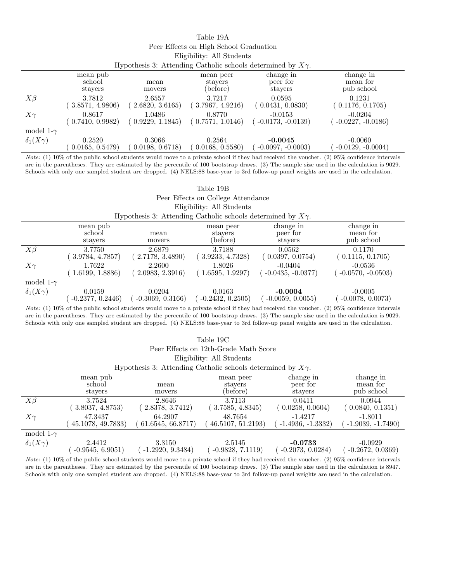| Table 19A                              |  |
|----------------------------------------|--|
| Peer Effects on High School Graduation |  |
| Eligibility: All Students              |  |
|                                        |  |

| Hypothesis 3: Attending Catholic schools determined by $X_{\gamma}$ . |                               |                 |                                  |                                  |                                     |
|-----------------------------------------------------------------------|-------------------------------|-----------------|----------------------------------|----------------------------------|-------------------------------------|
|                                                                       | mean pub<br>school<br>stavers | mean<br>movers  | mean peer<br>stavers<br>(before) | change in<br>peer for<br>stavers | change in<br>mean for<br>pub school |
| $X\beta$                                                              | 3.7812                        | 2.6557          | 3.7217                           | 0.0595                           | 0.1231                              |
|                                                                       | (3.8571, 4.9806)              | 2.6820, 3.6165) | (3.7967, 4.9216)                 | (0.0431, 0.0830)                 | (0.1176, 0.1705)                    |
| $X\gamma$                                                             | 0.8617                        | 1.0486          | 0.8770                           | $-0.0153$                        | $-0.0204$                           |
|                                                                       | 0.7410, 0.9982)               | 0.9229, 1.1845) | 0.7571, 1.0146                   | $-0.0173, -0.0139$               | $-0.0227, -0.0186$                  |
| model 1- $\gamma$                                                     |                               |                 |                                  |                                  |                                     |
| $\delta_1(X\gamma)$                                                   | 0.2520                        | 0.3066          | 0.2564                           | $-0.0045$                        | $-0.0060$                           |
|                                                                       | 0.0165, 0.5479)               | 0.0198, 0.6718  | (0.0168, 0.5580)                 | $-0.0097, -0.0003$               | $-0.0129, -0.0004)$                 |

Note: (1) 10% of the public school students would move to a private school if they had received the voucher. (2) 95% confidence intervals are in the parentheses. They are estimated by the percentile of 100 bootstrap draws. (3) The sample size used in the calculation is 9029. Schools with only one sampled student are dropped. (4) NELS:88 base-year to 3rd follow-up panel weights are used in the calculation.

| Table 19B           |                                    |                                                                       |                                  |                                  |                                     |  |  |
|---------------------|------------------------------------|-----------------------------------------------------------------------|----------------------------------|----------------------------------|-------------------------------------|--|--|
|                     | Peer Effects on College Attendance |                                                                       |                                  |                                  |                                     |  |  |
|                     |                                    |                                                                       | Eligibility: All Students        |                                  |                                     |  |  |
|                     |                                    | Hypothesis 3: Attending Catholic schools determined by $X_{\gamma}$ . |                                  |                                  |                                     |  |  |
|                     | mean pub<br>school<br>stayers      | mean<br>movers                                                        | mean peer<br>stavers<br>(before) | change in<br>peer for<br>stayers | change in<br>mean for<br>pub school |  |  |
| $X\beta$            | 3.7750<br>3.9784, 4.7857)          | 2.6879<br>2.7178, 3.4890                                              | 3.7188<br>(3.9233, 4.7328)       | 0.0562<br>(0.0397, 0.0754)       | 0.1170<br>0.1115, 0.1705            |  |  |
| $X\gamma$           | 1.7622<br>1.6199, 1.8886           | 2.2600<br>2.0983, 2.3916                                              | 1.8026<br>1.6595, 1.9297         | $-0.0404$<br>$-0.0435, -0.0377)$ | $-0.0536$<br>$-0.0570, -0.0503)$    |  |  |
| model 1- $\gamma$   |                                    |                                                                       |                                  |                                  |                                     |  |  |
| $\delta_1(X\gamma)$ | 0.0159<br>$-0.2377, 0.2446$        | 0.0204<br>$-0.3069, 0.3166$                                           | 0.0163<br>$-0.2432, 0.2505$      | $-0.0004$<br>$-0.0059, 0.0055$   | $-0.0005$<br>$-0.0078, 0.0073$      |  |  |

Note: (1) 10% of the public school students would move to a private school if they had received the voucher. (2) 95% confidence intervals are in the parentheses. They are estimated by the percentile of 100 bootstrap draws. (3) The sample size used in the calculation is 9029. Schools with only one sampled student are dropped. (4) NELS:88 base-year to 3rd follow-up panel weights are used in the calculation.

| Table 19C                             |                               |                                                                       |                                  |                                  |                                     |  |  |
|---------------------------------------|-------------------------------|-----------------------------------------------------------------------|----------------------------------|----------------------------------|-------------------------------------|--|--|
| Peer Effects on 12th-Grade Math Score |                               |                                                                       |                                  |                                  |                                     |  |  |
|                                       | Eligibility: All Students     |                                                                       |                                  |                                  |                                     |  |  |
|                                       |                               | Hypothesis 3: Attending Catholic schools determined by $X_{\gamma}$ . |                                  |                                  |                                     |  |  |
|                                       | mean pub<br>school<br>stayers | mean<br>movers                                                        | mean peer<br>stayers<br>(before) | change in<br>peer for<br>stayers | change in<br>mean for<br>pub school |  |  |
| $X\beta$                              | 3.7524<br>3.8037, 4.8753)     | 2.8646<br>2.8378, 3.7412                                              | 3.7113<br>3.7585, 4.8345         | 0.0411<br>(0.0258, 0.0604)       | 0.0944<br>(0.0840, 0.1351)          |  |  |
| $X\gamma$                             | 47.3437<br>45.1078, 49.7833)  | 64.2907<br>61.6545, 66.8717                                           | 48.7654<br>46.5107, 51.2193)     | $-1.4217$<br>$-1.4936, -1.3332$  | $-1.8011$<br>$-1.9039, -1.7490)$    |  |  |
| model 1- $\gamma$                     |                               |                                                                       |                                  |                                  |                                     |  |  |
| $\delta_1(X\gamma)$                   | 2.4412<br>$-0.9545, 6.9051)$  | 3.3150<br>$-1.2920, 9.3484)$                                          | 2.5145<br>$-0.9828, 7.1119$      | $-0.0733$<br>$-0.2073, 0.0284)$  | $-0.0929$<br>$-0.2672, 0.0369$      |  |  |

Note: (1) 10% of the public school students would move to a private school if they had received the voucher. (2) 95% confidence intervals are in the parentheses. They are estimated by the percentile of 100 bootstrap draws. (3) The sample size used in the calculation is 8947. Schools with only one sampled student are dropped. (4) NELS:88 base-year to 3rd follow-up panel weights are used in the calculation.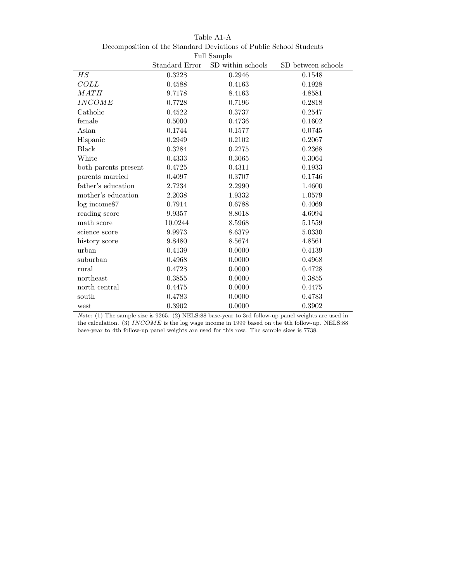| <b>Full Sample</b>             |                |                   |                    |  |
|--------------------------------|----------------|-------------------|--------------------|--|
|                                | Standard Error | SD within schools | SD between schools |  |
| HS                             | 0.3228         | 0.2946            | 0.1548             |  |
| COLL                           | 0.4588         | 0.4163            | 0.1928             |  |
| MATH                           | 9.7178         | 8.4163            | 4.8581             |  |
| <b>INCOME</b>                  | 0.7728         | 0.7196            | 0.2818             |  |
| Catholic                       | 0.4522         | 0.3737            | 0.2547             |  |
| female                         | 0.5000         | 0.4736            | 0.1602             |  |
| Asian                          | 0.1744         | 0.1577            | 0.0745             |  |
| Hispanic                       | 0.2949         | 0.2102            | 0.2067             |  |
| <b>Black</b>                   | 0.3284         | 0.2275            | 0.2368             |  |
| White                          | 0.4333         | 0.3065            | 0.3064             |  |
| both parents present           | 0.4725         | 0.4311            | 0.1933             |  |
| parents married                | 0.4097         | 0.3707            | 0.1746             |  |
| father's education             | 2.7234         | 2.2990            | 1.4600             |  |
| mother's education             | 2.2038         | 1.9332            | 1.0579             |  |
| log income87                   | 0.7914         | 0.6788            | 0.4069             |  |
| reading score                  | 9.9357         | 8.8018            | 4.6094             |  |
| math score                     | 10.0244        | 8.5968            | 5.1559             |  |
| science score                  | 9.9973         | 8.6379            | 5.0330             |  |
| history score                  | 9.8480         | 8.5674            | 4.8561             |  |
| urban                          | 0.4139         | 0.0000            | 0.4139             |  |
| suburban                       | 0.4968         | 0.0000            | 0.4968             |  |
| rural                          | 0.4728         | 0.0000            | 0.4728             |  |
| northeast                      | 0.3855         | 0.0000            | 0.3855             |  |
| $\operatorname{north}$ central | 0.4475         | 0.0000            | 0.4475             |  |
| south                          | 0.4783         | 0.0000            | 0.4783             |  |
| west                           | 0.3902         | 0.0000            | 0.3902             |  |

Table A1-A Decomposition of the Standard Deviations of Public School Students

Note: (1) The sample size is 9265. (2) NELS:88 base-year to 3rd follow-up panel weights are used in the calculation. (3) INCOME is the log wage income in 1999 based on the 4th follow-up. NELS:88 base-year to 4th follow-up panel weights are used for this row. The sample sizes is 7738.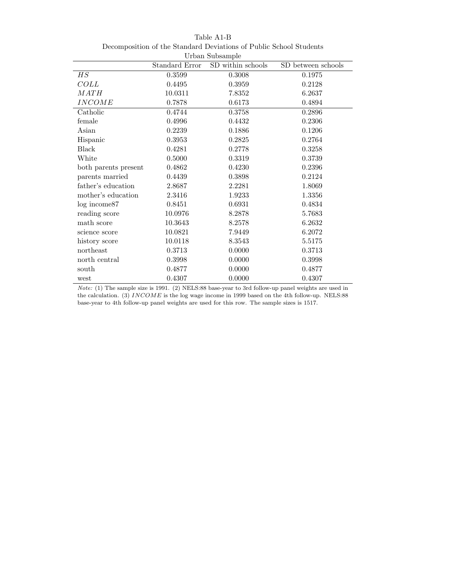| Urban Subsample      |                       |                   |                    |  |
|----------------------|-----------------------|-------------------|--------------------|--|
|                      | <b>Standard Error</b> | SD within schools | SD between schools |  |
| HS                   | 0.3599                | 0.3008            | 0.1975             |  |
| $COLL$               | 0.4495                | 0.3959            | 0.2128             |  |
| MATH                 | 10.0311               | 7.8352            | 6.2637             |  |
| <b>INCOME</b>        | 0.7878                | 0.6173            | 0.4894             |  |
| Catholic             | 0.4744                | 0.3758            | 0.2896             |  |
| female               | 0.4996                | 0.4432            | 0.2306             |  |
| Asian                | 0.2239                | 0.1886            | 0.1206             |  |
| Hispanic             | 0.3953                | 0.2825            | 0.2764             |  |
| <b>Black</b>         | 0.4281                | 0.2778            | 0.3258             |  |
| White                | 0.5000                | 0.3319            | 0.3739             |  |
| both parents present | 0.4862                | 0.4230            | 0.2396             |  |
| parents married      | 0.4439                | 0.3898            | 0.2124             |  |
| father's education   | 2.8687                | 2.2281            | 1.8069             |  |
| mother's education   | 2.3416                | 1.9233            | 1.3356             |  |
| $log$ income $87$    | 0.8451                | 0.6931            | 0.4834             |  |
| reading score        | 10.0976               | 8.2878            | 5.7683             |  |
| math score           | 10.3643               | 8.2578            | 6.2632             |  |
| science score        | 10.0821               | 7.9449            | 6.2072             |  |
| history score        | 10.0118               | 8.3543            | 5.5175             |  |
| northeast            | 0.3713                | 0.0000            | 0.3713             |  |
| north central        | 0.3998                | 0.0000            | 0.3998             |  |
| south                | 0.4877                | 0.0000            | 0.4877             |  |
| west                 | 0.4307                | 0.0000            | 0.4307             |  |

Table A1-B Decomposition of the Standard Deviations of Public School Students

Note: (1) The sample size is 1991. (2) NELS:88 base-year to 3rd follow-up panel weights are used in the calculation. (3) INCOME is the log wage income in 1999 based on the 4th follow-up. NELS:88 base-year to 4th follow-up panel weights are used for this row. The sample sizes is 1517.